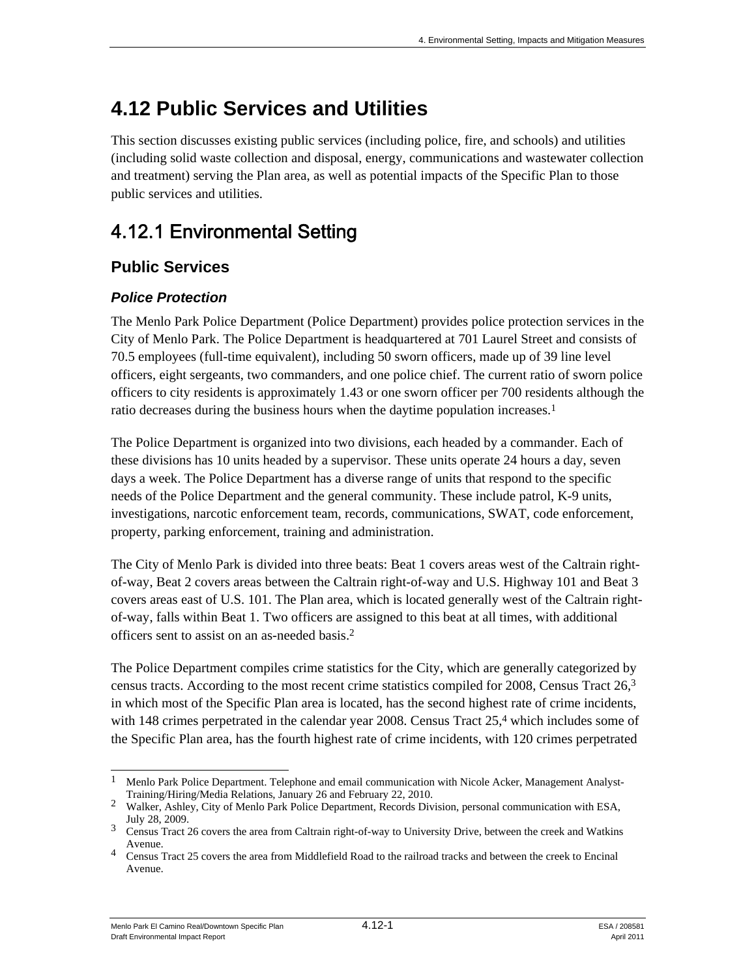This section discusses existing public services (including police, fire, and schools) and utilities (including solid waste collection and disposal, energy, communications and wastewater collection and treatment) serving the Plan area, as well as potential impacts of the Specific Plan to those public services and utilities.

# 4.12.1 Environmental Setting

# **Public Services**

# *Police Protection*

The Menlo Park Police Department (Police Department) provides police protection services in the City of Menlo Park. The Police Department is headquartered at 701 Laurel Street and consists of 70.5 employees (full-time equivalent), including 50 sworn officers, made up of 39 line level officers, eight sergeants, two commanders, and one police chief. The current ratio of sworn police officers to city residents is approximately 1.43 or one sworn officer per 700 residents although the ratio decreases during the business hours when the daytime population increases.<sup>1</sup>

The Police Department is organized into two divisions, each headed by a commander. Each of these divisions has 10 units headed by a supervisor. These units operate 24 hours a day, seven days a week. The Police Department has a diverse range of units that respond to the specific needs of the Police Department and the general community. These include patrol, K-9 units, investigations, narcotic enforcement team, records, communications, SWAT, code enforcement, property, parking enforcement, training and administration.

The City of Menlo Park is divided into three beats: Beat 1 covers areas west of the Caltrain rightof-way, Beat 2 covers areas between the Caltrain right-of-way and U.S. Highway 101 and Beat 3 covers areas east of U.S. 101. The Plan area, which is located generally west of the Caltrain rightof-way, falls within Beat 1. Two officers are assigned to this beat at all times, with additional officers sent to assist on an as-needed basis.2

The Police Department compiles crime statistics for the City, which are generally categorized by census tracts. According to the most recent crime statistics compiled for 2008, Census Tract 26,3 in which most of the Specific Plan area is located, has the second highest rate of crime incidents, with 148 crimes perpetrated in the calendar year 2008. Census Tract  $25<sup>4</sup>$  which includes some of the Specific Plan area, has the fourth highest rate of crime incidents, with 120 crimes perpetrated

l  $1$  Menlo Park Police Department. Telephone and email communication with Nicole Acker, Management Analyst-

Training/Hiring/Media Relations, January 26 and February 22, 2010. <sup>2</sup> Walker, Ashley, City of Menlo Park Police Department, Records Division, personal communication with ESA, July 28, 2009. 3 Census Tract 26 covers the area from Caltrain right-of-way to University Drive, between the creek and Watkins

Avenue.

<sup>4</sup> Census Tract 25 covers the area from Middlefield Road to the railroad tracks and between the creek to Encinal Avenue.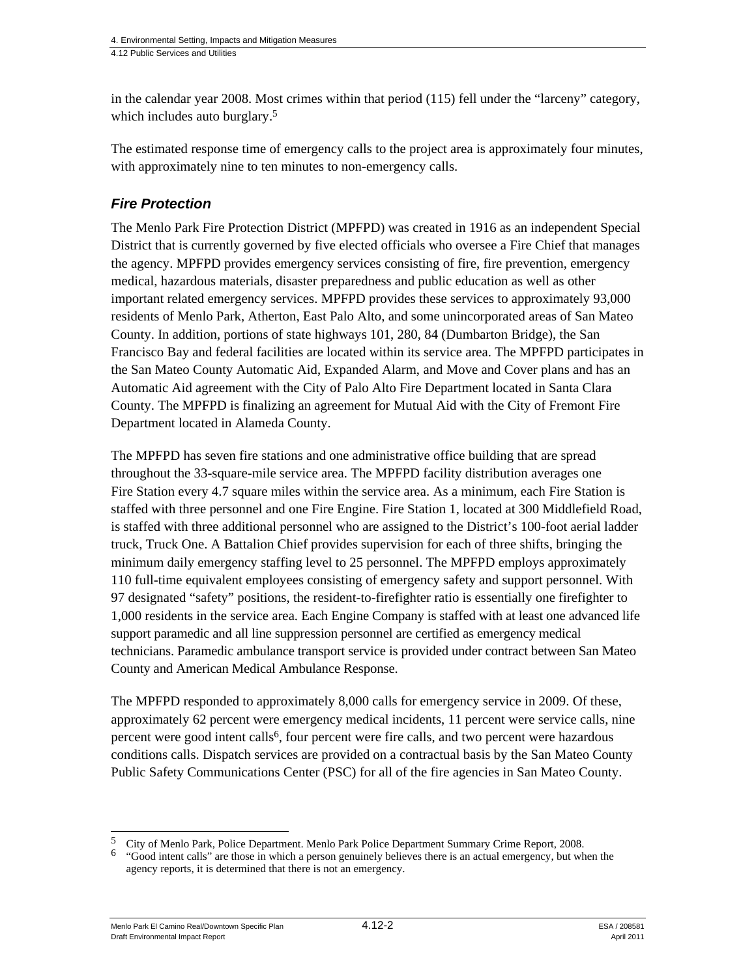in the calendar year 2008. Most crimes within that period (115) fell under the "larceny" category, which includes auto burglary.<sup>5</sup>

The estimated response time of emergency calls to the project area is approximately four minutes, with approximately nine to ten minutes to non-emergency calls.

# *Fire Protection*

The Menlo Park Fire Protection District (MPFPD) was created in 1916 as an independent Special District that is currently governed by five elected officials who oversee a Fire Chief that manages the agency. MPFPD provides emergency services consisting of fire, fire prevention, emergency medical, hazardous materials, disaster preparedness and public education as well as other important related emergency services. MPFPD provides these services to approximately 93,000 residents of Menlo Park, Atherton, East Palo Alto, and some unincorporated areas of San Mateo County. In addition, portions of state highways 101, 280, 84 (Dumbarton Bridge), the San Francisco Bay and federal facilities are located within its service area. The MPFPD participates in the San Mateo County Automatic Aid, Expanded Alarm, and Move and Cover plans and has an Automatic Aid agreement with the City of Palo Alto Fire Department located in Santa Clara County. The MPFPD is finalizing an agreement for Mutual Aid with the City of Fremont Fire Department located in Alameda County.

The MPFPD has seven fire stations and one administrative office building that are spread throughout the 33-square-mile service area. The MPFPD facility distribution averages one Fire Station every 4.7 square miles within the service area. As a minimum, each Fire Station is staffed with three personnel and one Fire Engine. Fire Station 1, located at 300 Middlefield Road, is staffed with three additional personnel who are assigned to the District's 100-foot aerial ladder truck, Truck One. A Battalion Chief provides supervision for each of three shifts, bringing the minimum daily emergency staffing level to 25 personnel. The MPFPD employs approximately 110 full-time equivalent employees consisting of emergency safety and support personnel. With 97 designated "safety" positions, the resident-to-firefighter ratio is essentially one firefighter to 1,000 residents in the service area. Each Engine Company is staffed with at least one advanced life support paramedic and all line suppression personnel are certified as emergency medical technicians. Paramedic ambulance transport service is provided under contract between San Mateo County and American Medical Ambulance Response.

The MPFPD responded to approximately 8,000 calls for emergency service in 2009. Of these, approximately 62 percent were emergency medical incidents, 11 percent were service calls, nine percent were good intent calls<sup>6</sup>, four percent were fire calls, and two percent were hazardous conditions calls. Dispatch services are provided on a contractual basis by the San Mateo County Public Safety Communications Center (PSC) for all of the fire agencies in San Mateo County.

Menlo Park El Camino Real/Downtown Specific Plan  $4.12$ -2  $5.4$  / 208581 Draft Environmental Impact Report April 2011

<sup>5</sup> 

<sup>5</sup> City of Menlo Park, Police Department. Menlo Park Police Department Summary Crime Report, 2008. 6 "Good intent calls" are those in which a person genuinely believes there is an actual emergency, but when the agency reports, it is determined that there is not an emergency.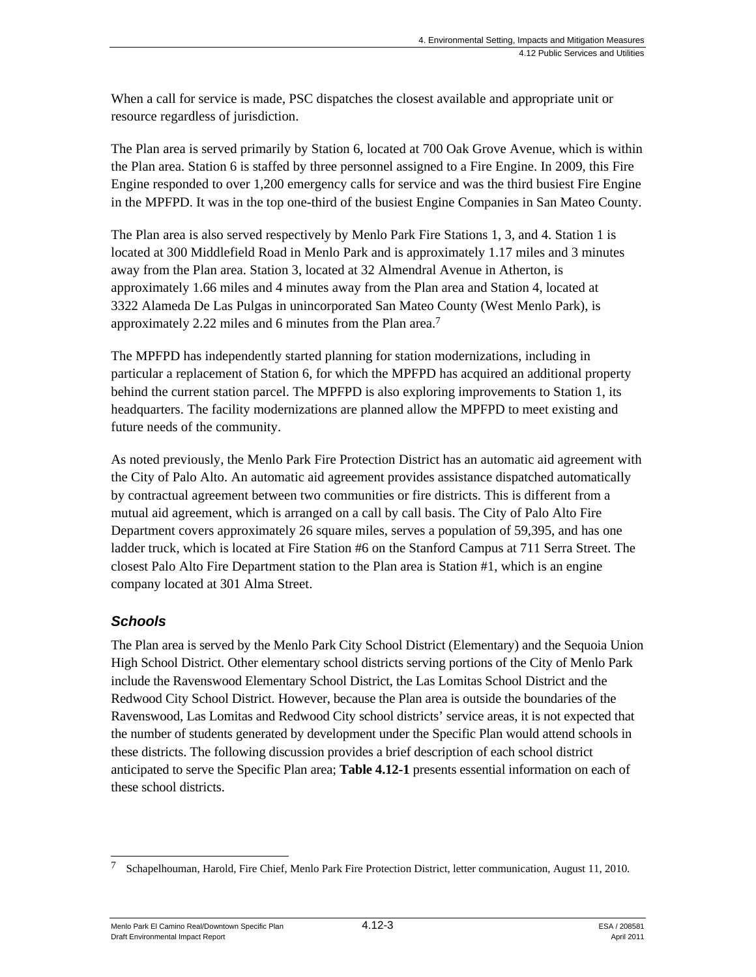When a call for service is made, PSC dispatches the closest available and appropriate unit or resource regardless of jurisdiction.

The Plan area is served primarily by Station 6, located at 700 Oak Grove Avenue, which is within the Plan area. Station 6 is staffed by three personnel assigned to a Fire Engine. In 2009, this Fire Engine responded to over 1,200 emergency calls for service and was the third busiest Fire Engine in the MPFPD. It was in the top one-third of the busiest Engine Companies in San Mateo County.

The Plan area is also served respectively by Menlo Park Fire Stations 1, 3, and 4. Station 1 is located at 300 Middlefield Road in Menlo Park and is approximately 1.17 miles and 3 minutes away from the Plan area. Station 3, located at 32 Almendral Avenue in Atherton, is approximately 1.66 miles and 4 minutes away from the Plan area and Station 4, located at 3322 Alameda De Las Pulgas in unincorporated San Mateo County (West Menlo Park), is approximately 2.22 miles and 6 minutes from the Plan area.7

The MPFPD has independently started planning for station modernizations, including in particular a replacement of Station 6, for which the MPFPD has acquired an additional property behind the current station parcel. The MPFPD is also exploring improvements to Station 1, its headquarters. The facility modernizations are planned allow the MPFPD to meet existing and future needs of the community.

As noted previously, the Menlo Park Fire Protection District has an automatic aid agreement with the City of Palo Alto. An automatic aid agreement provides assistance dispatched automatically by contractual agreement between two communities or fire districts. This is different from a mutual aid agreement, which is arranged on a call by call basis. The City of Palo Alto Fire Department covers approximately 26 square miles, serves a population of 59,395, and has one ladder truck, which is located at Fire Station #6 on the Stanford Campus at 711 Serra Street. The closest Palo Alto Fire Department station to the Plan area is Station #1, which is an engine company located at 301 Alma Street.

# *Schools*

The Plan area is served by the Menlo Park City School District (Elementary) and the Sequoia Union High School District. Other elementary school districts serving portions of the City of Menlo Park include the Ravenswood Elementary School District, the Las Lomitas School District and the Redwood City School District. However, because the Plan area is outside the boundaries of the Ravenswood, Las Lomitas and Redwood City school districts' service areas, it is not expected that the number of students generated by development under the Specific Plan would attend schools in these districts. The following discussion provides a brief description of each school district anticipated to serve the Specific Plan area; **Table 4.12-1** presents essential information on each of these school districts.

Menlo Park El Camino Real/Downtown Specific Plan  $4.12-3$  ESA / 208581 Draft Environmental Impact Report April 2011

<sup>1</sup> 7 Schapelhouman, Harold, Fire Chief, Menlo Park Fire Protection District, letter communication, August 11, 2010.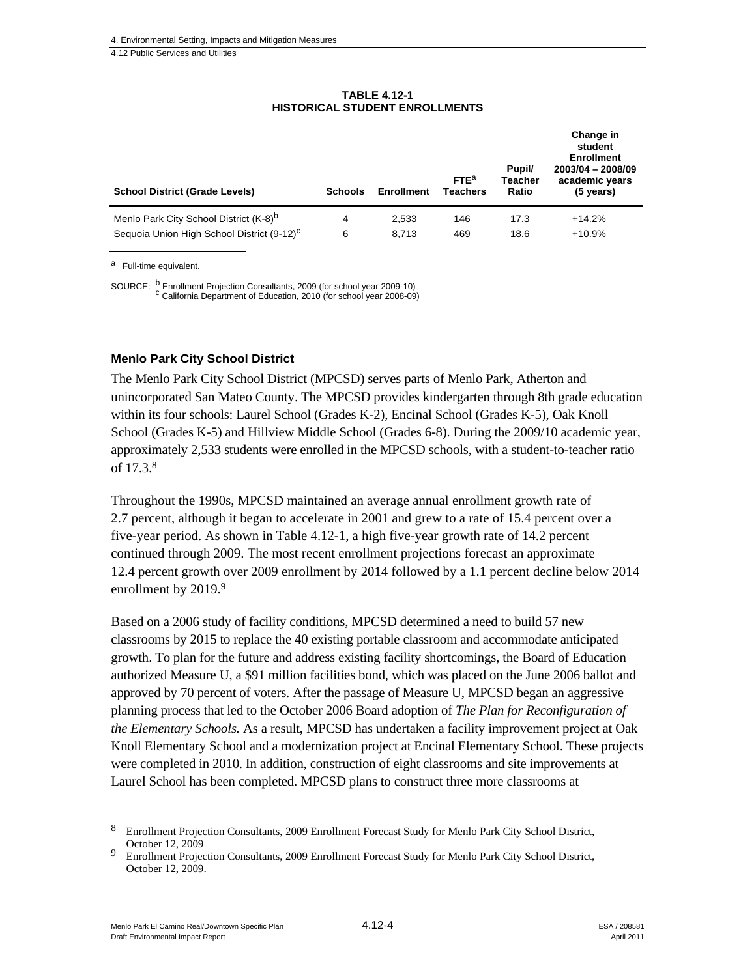| <b>School District (Grade Levels)</b>                  | <b>Schools</b> | <b>Enrollment</b> | FTE <sup>a</sup><br><b>Teachers</b> | Pupil/<br>Teacher<br>Ratio | Change in<br>student<br><b>Enrollment</b><br>2003/04 - 2008/09<br>academic years<br>$(5 \text{ years})$ |
|--------------------------------------------------------|----------------|-------------------|-------------------------------------|----------------------------|---------------------------------------------------------------------------------------------------------|
| Menlo Park City School District (K-8) <sup>b</sup>     | 4              | 2,533             | 146                                 | 17.3                       | $+14.2%$                                                                                                |
| Sequoia Union High School District (9-12) <sup>c</sup> | 6              | 8.713             | 469                                 | 18.6                       | $+10.9%$                                                                                                |
|                                                        |                |                   |                                     |                            |                                                                                                         |

**TABLE 4.12-1 HISTORICAL STUDENT ENROLLMENTS** 

a Full-time equivalent.

SOURCE: <sup>b</sup> Enrollment Projection Consultants, 2009 (for school year 2009-10) c California Department of Education, 2010 (for school year 2008-09)

#### **Menlo Park City School District**

The Menlo Park City School District (MPCSD) serves parts of Menlo Park, Atherton and unincorporated San Mateo County. The MPCSD provides kindergarten through 8th grade education within its four schools: Laurel School (Grades K-2), Encinal School (Grades K-5), Oak Knoll School (Grades K-5) and Hillview Middle School (Grades 6-8). During the 2009/10 academic year, approximately 2,533 students were enrolled in the MPCSD schools, with a student-to-teacher ratio of 17.3.8

Throughout the 1990s, MPCSD maintained an average annual enrollment growth rate of 2.7 percent, although it began to accelerate in 2001 and grew to a rate of 15.4 percent over a five-year period. As shown in Table 4.12-1, a high five-year growth rate of 14.2 percent continued through 2009. The most recent enrollment projections forecast an approximate 12.4 percent growth over 2009 enrollment by 2014 followed by a 1.1 percent decline below 2014 enrollment by 2019.<sup>9</sup>

Based on a 2006 study of facility conditions, MPCSD determined a need to build 57 new classrooms by 2015 to replace the 40 existing portable classroom and accommodate anticipated growth. To plan for the future and address existing facility shortcomings, the Board of Education authorized Measure U, a \$91 million facilities bond, which was placed on the June 2006 ballot and approved by 70 percent of voters. After the passage of Measure U, MPCSD began an aggressive planning process that led to the October 2006 Board adoption of *The Plan for Reconfiguration of the Elementary Schools.* As a result, MPCSD has undertaken a facility improvement project at Oak Knoll Elementary School and a modernization project at Encinal Elementary School. These projects were completed in 2010. In addition, construction of eight classrooms and site improvements at Laurel School has been completed. MPCSD plans to construct three more classrooms at

l

<sup>8</sup> Enrollment Projection Consultants, 2009 Enrollment Forecast Study for Menlo Park City School District, October 12, 2009

<sup>9</sup> Enrollment Projection Consultants, 2009 Enrollment Forecast Study for Menlo Park City School District, October 12, 2009.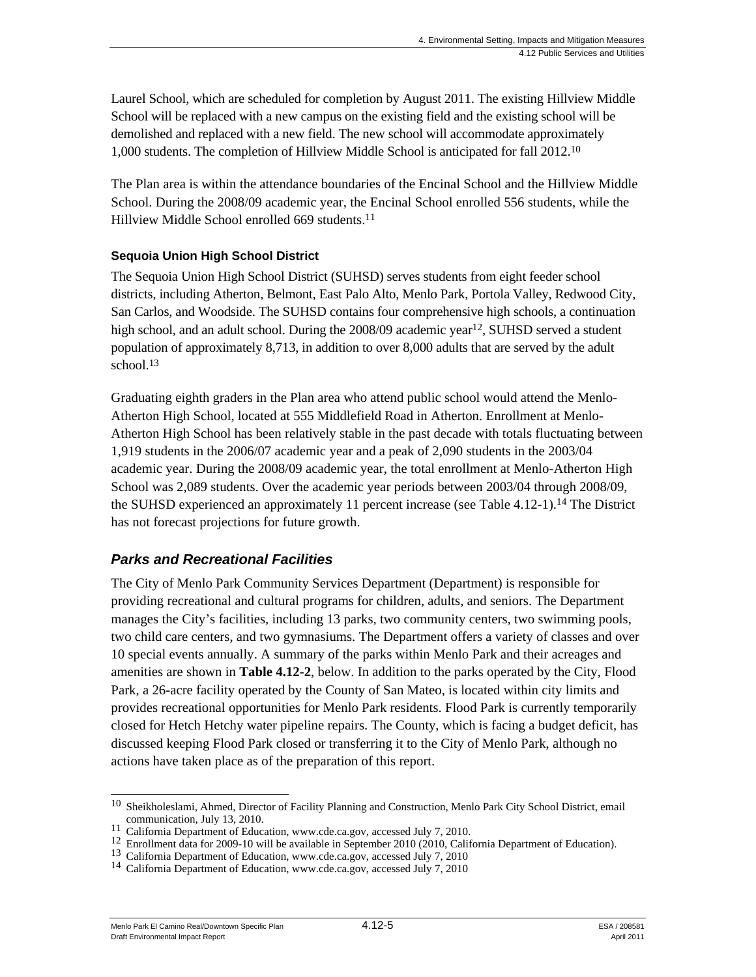Laurel School, which are scheduled for completion by August 2011. The existing Hillview Middle School will be replaced with a new campus on the existing field and the existing school will be demolished and replaced with a new field. The new school will accommodate approximately 1,000 students. The completion of Hillview Middle School is anticipated for fall 2012.10

The Plan area is within the attendance boundaries of the Encinal School and the Hillview Middle School. During the 2008/09 academic year, the Encinal School enrolled 556 students, while the Hillview Middle School enrolled 669 students.11

## **Sequoia Union High School District**

The Sequoia Union High School District (SUHSD) serves students from eight feeder school districts, including Atherton, Belmont, East Palo Alto, Menlo Park, Portola Valley, Redwood City, San Carlos, and Woodside. The SUHSD contains four comprehensive high schools, a continuation high school, and an adult school. During the  $2008/09$  academic year<sup>12</sup>, SUHSD served a student population of approximately 8,713, in addition to over 8,000 adults that are served by the adult school. $13$ 

Graduating eighth graders in the Plan area who attend public school would attend the Menlo-Atherton High School, located at 555 Middlefield Road in Atherton. Enrollment at Menlo-Atherton High School has been relatively stable in the past decade with totals fluctuating between 1,919 students in the 2006/07 academic year and a peak of 2,090 students in the 2003/04 academic year. During the 2008/09 academic year, the total enrollment at Menlo-Atherton High School was 2,089 students. Over the academic year periods between 2003/04 through 2008/09, the SUHSD experienced an approximately 11 percent increase (see Table 4.12-1).14 The District has not forecast projections for future growth.

# *Parks and Recreational Facilities*

The City of Menlo Park Community Services Department (Department) is responsible for providing recreational and cultural programs for children, adults, and seniors. The Department manages the City's facilities, including 13 parks, two community centers, two swimming pools, two child care centers, and two gymnasiums. The Department offers a variety of classes and over 10 special events annually. A summary of the parks within Menlo Park and their acreages and amenities are shown in **Table 4.12-2**, below. In addition to the parks operated by the City, Flood Park, a 26-acre facility operated by the County of San Mateo, is located within city limits and provides recreational opportunities for Menlo Park residents. Flood Park is currently temporarily closed for Hetch Hetchy water pipeline repairs. The County, which is facing a budget deficit, has discussed keeping Flood Park closed or transferring it to the City of Menlo Park, although no actions have taken place as of the preparation of this report.

 $\overline{\phantom{a}}$ <sup>10</sup> Sheikholeslami, Ahmed, Director of Facility Planning and Construction, Menlo Park City School District, email communication, July 13, 2010.<br>
<sup>11</sup> California Department of Education, www.cde.ca.gov, accessed July 7, 2010.<br>
<sup>12</sup> Enrollment data for 2009-10 will be available in September 2010 (2010, California Department of Education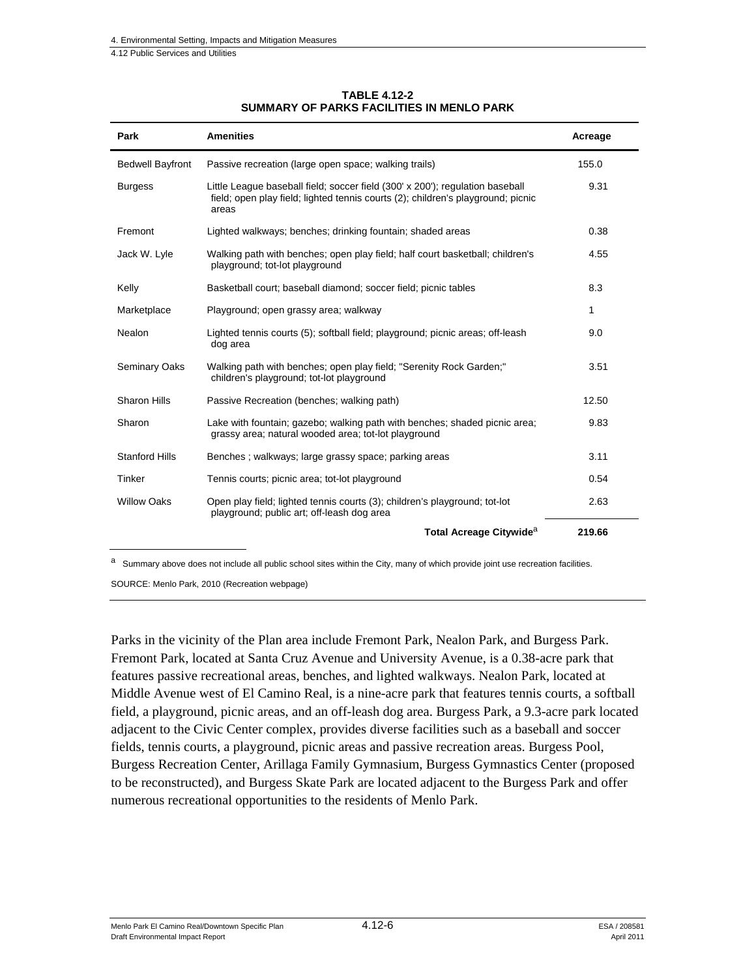| Park                    | <b>Amenities</b>                                                                                                                                                           | Acreage |
|-------------------------|----------------------------------------------------------------------------------------------------------------------------------------------------------------------------|---------|
| <b>Bedwell Bayfront</b> | Passive recreation (large open space; walking trails)                                                                                                                      | 155.0   |
| <b>Burgess</b>          | Little League baseball field; soccer field (300' x 200'); regulation baseball<br>field; open play field; lighted tennis courts (2); children's playground; picnic<br>areas | 9.31    |
| Fremont                 | Lighted walkways; benches; drinking fountain; shaded areas                                                                                                                 | 0.38    |
| Jack W. Lyle            | Walking path with benches; open play field; half court basketball; children's<br>playground; tot-lot playground                                                            | 4.55    |
| Kelly                   | Basketball court; baseball diamond; soccer field; picnic tables                                                                                                            | 8.3     |
| Marketplace             | Playground; open grassy area; walkway                                                                                                                                      | 1       |
| Nealon                  | Lighted tennis courts (5); softball field; playground; picnic areas; off-leash<br>dog area                                                                                 | 9.0     |
| <b>Seminary Oaks</b>    | Walking path with benches; open play field; "Serenity Rock Garden;"<br>children's playground; tot-lot playground                                                           | 3.51    |
| <b>Sharon Hills</b>     | Passive Recreation (benches; walking path)                                                                                                                                 | 12.50   |
| Sharon                  | Lake with fountain; gazebo; walking path with benches; shaded picnic area;<br>grassy area; natural wooded area; tot-lot playground                                         | 9.83    |
| <b>Stanford Hills</b>   | Benches ; walkways; large grassy space; parking areas                                                                                                                      | 3.11    |
| Tinker                  | Tennis courts; picnic area; tot-lot playground                                                                                                                             | 0.54    |
| <b>Willow Oaks</b>      | Open play field; lighted tennis courts (3); children's playground; tot-lot<br>playground; public art; off-leash dog area                                                   | 2.63    |
|                         | Total Acreage Citywide <sup>a</sup>                                                                                                                                        | 219.66  |

#### **TABLE 4.12-2 SUMMARY OF PARKS FACILITIES IN MENLO PARK**

a Summary above does not include all public school sites within the City, many of which provide joint use recreation facilities.

SOURCE: Menlo Park, 2010 (Recreation webpage)

Parks in the vicinity of the Plan area include Fremont Park, Nealon Park, and Burgess Park. Fremont Park, located at Santa Cruz Avenue and University Avenue, is a 0.38-acre park that features passive recreational areas, benches, and lighted walkways. Nealon Park, located at Middle Avenue west of El Camino Real, is a nine-acre park that features tennis courts, a softball field, a playground, picnic areas, and an off-leash dog area. Burgess Park, a 9.3-acre park located adjacent to the Civic Center complex, provides diverse facilities such as a baseball and soccer fields, tennis courts, a playground, picnic areas and passive recreation areas. Burgess Pool, Burgess Recreation Center, Arillaga Family Gymnasium, Burgess Gymnastics Center (proposed to be reconstructed), and Burgess Skate Park are located adjacent to the Burgess Park and offer numerous recreational opportunities to the residents of Menlo Park.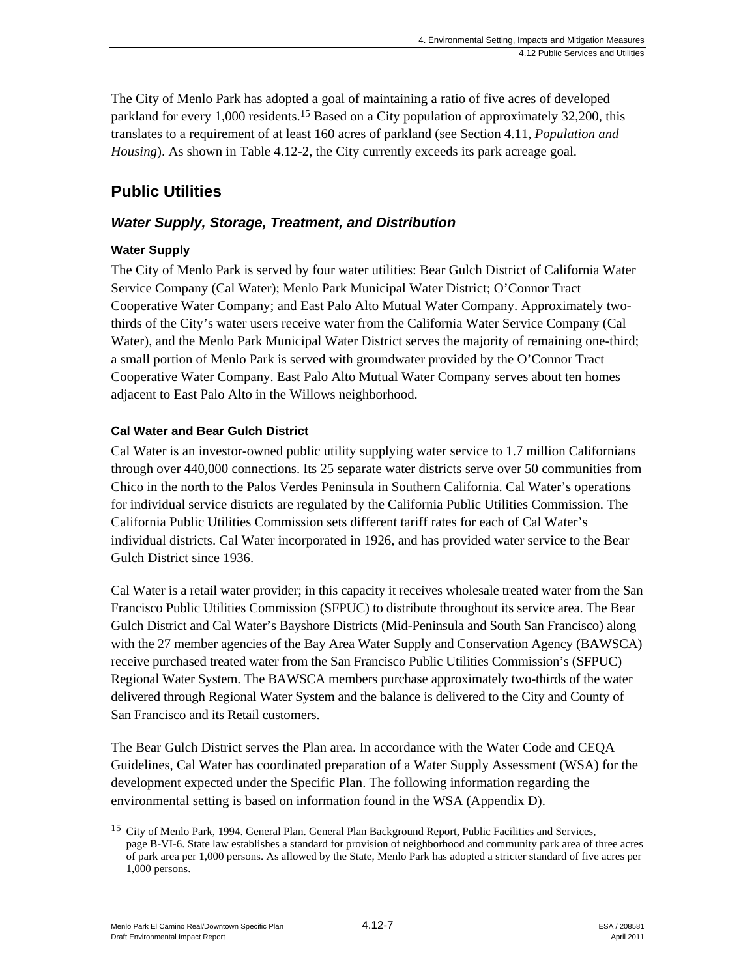The City of Menlo Park has adopted a goal of maintaining a ratio of five acres of developed parkland for every 1,000 residents.<sup>15</sup> Based on a City population of approximately 32,200, this translates to a requirement of at least 160 acres of parkland (see Section 4.11, *Population and Housing*). As shown in Table 4.12-2, the City currently exceeds its park acreage goal.

# **Public Utilities**

# *Water Supply, Storage, Treatment, and Distribution*

# **Water Supply**

The City of Menlo Park is served by four water utilities: Bear Gulch District of California Water Service Company (Cal Water); Menlo Park Municipal Water District; O'Connor Tract Cooperative Water Company; and East Palo Alto Mutual Water Company. Approximately twothirds of the City's water users receive water from the California Water Service Company (Cal Water), and the Menlo Park Municipal Water District serves the majority of remaining one-third; a small portion of Menlo Park is served with groundwater provided by the O'Connor Tract Cooperative Water Company. East Palo Alto Mutual Water Company serves about ten homes adjacent to East Palo Alto in the Willows neighborhood.

## **Cal Water and Bear Gulch District**

Cal Water is an investor-owned public utility supplying water service to 1.7 million Californians through over 440,000 connections. Its 25 separate water districts serve over 50 communities from Chico in the north to the Palos Verdes Peninsula in Southern California. Cal Water's operations for individual service districts are regulated by the California Public Utilities Commission. The California Public Utilities Commission sets different tariff rates for each of Cal Water's individual districts. Cal Water incorporated in 1926, and has provided water service to the Bear Gulch District since 1936.

Cal Water is a retail water provider; in this capacity it receives wholesale treated water from the San Francisco Public Utilities Commission (SFPUC) to distribute throughout its service area. The Bear Gulch District and Cal Water's Bayshore Districts (Mid-Peninsula and South San Francisco) along with the 27 member agencies of the Bay Area Water Supply and Conservation Agency (BAWSCA) receive purchased treated water from the San Francisco Public Utilities Commission's (SFPUC) Regional Water System. The BAWSCA members purchase approximately two-thirds of the water delivered through Regional Water System and the balance is delivered to the City and County of San Francisco and its Retail customers.

The Bear Gulch District serves the Plan area. In accordance with the Water Code and CEQA Guidelines, Cal Water has coordinated preparation of a Water Supply Assessment (WSA) for the development expected under the Specific Plan. The following information regarding the environmental setting is based on information found in the WSA (Appendix D).

<sup>1</sup> 15 City of Menlo Park, 1994. General Plan. General Plan Background Report, Public Facilities and Services, page B-VI-6. State law establishes a standard for provision of neighborhood and community park area of three acres of park area per 1,000 persons. As allowed by the State, Menlo Park has adopted a stricter standard of five acres per 1,000 persons.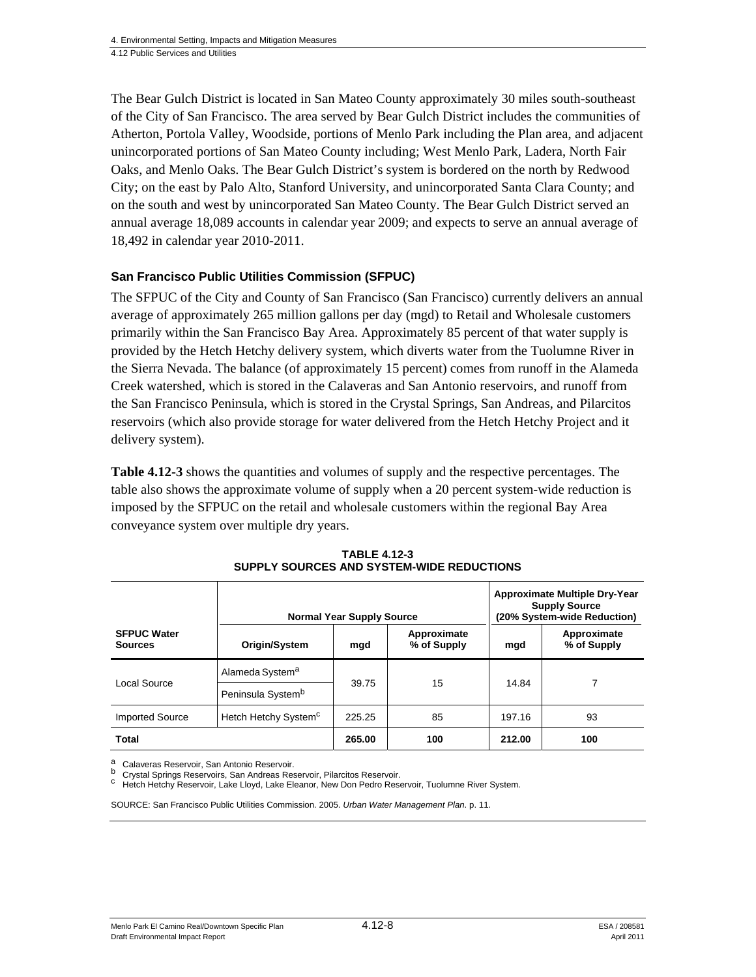The Bear Gulch District is located in San Mateo County approximately 30 miles south-southeast of the City of San Francisco. The area served by Bear Gulch District includes the communities of Atherton, Portola Valley, Woodside, portions of Menlo Park including the Plan area, and adjacent unincorporated portions of San Mateo County including; West Menlo Park, Ladera, North Fair Oaks, and Menlo Oaks. The Bear Gulch District's system is bordered on the north by Redwood City; on the east by Palo Alto, Stanford University, and unincorporated Santa Clara County; and on the south and west by unincorporated San Mateo County. The Bear Gulch District served an annual average 18,089 accounts in calendar year 2009; and expects to serve an annual average of 18,492 in calendar year 2010-2011.

#### **San Francisco Public Utilities Commission (SFPUC)**

The SFPUC of the City and County of San Francisco (San Francisco) currently delivers an annual average of approximately 265 million gallons per day (mgd) to Retail and Wholesale customers primarily within the San Francisco Bay Area. Approximately 85 percent of that water supply is provided by the Hetch Hetchy delivery system, which diverts water from the Tuolumne River in the Sierra Nevada. The balance (of approximately 15 percent) comes from runoff in the Alameda Creek watershed, which is stored in the Calaveras and San Antonio reservoirs, and runoff from the San Francisco Peninsula, which is stored in the Crystal Springs, San Andreas, and Pilarcitos reservoirs (which also provide storage for water delivered from the Hetch Hetchy Project and it delivery system).

**Table 4.12-3** shows the quantities and volumes of supply and the respective percentages. The table also shows the approximate volume of supply when a 20 percent system-wide reduction is imposed by the SFPUC on the retail and wholesale customers within the regional Bay Area conveyance system over multiple dry years.

|                                      |                                  | <b>Normal Year Supply Source</b> |                            | <b>Approximate Multiple Dry-Year</b><br><b>Supply Source</b><br>(20% System-wide Reduction) |                            |  |
|--------------------------------------|----------------------------------|----------------------------------|----------------------------|---------------------------------------------------------------------------------------------|----------------------------|--|
| <b>SFPUC Water</b><br><b>Sources</b> | Origin/System                    | mgd                              | Approximate<br>% of Supply | mgd                                                                                         | Approximate<br>% of Supply |  |
| Local Source                         | Alameda System <sup>a</sup>      |                                  |                            | 14.84                                                                                       |                            |  |
|                                      | Peninsula System <sup>b</sup>    | 39.75                            | 15                         |                                                                                             |                            |  |
| <b>Imported Source</b>               | Hetch Hetchy System <sup>c</sup> | 225.25                           | 85                         | 197.16                                                                                      | 93                         |  |
| Total                                |                                  | 265.00                           | 100                        | 212.00                                                                                      | 100                        |  |

**TABLE 4.12-3 SUPPLY SOURCES AND SYSTEM-WIDE REDUCTIONS** 

Calaveras Reservoir, San Antonio Reservoir.<br>Crystal Springs Reservoirs, San Andreas Reservoir, Pilarcitos Reservoir.

<sup>C</sup> Hetch Hetchy Reservoir, Lake Lloyd, Lake Eleanor, New Don Pedro Reservoir, Tuolumne River System.

SOURCE: San Francisco Public Utilities Commission. 2005. *Urban Water Management Plan*. p. 11.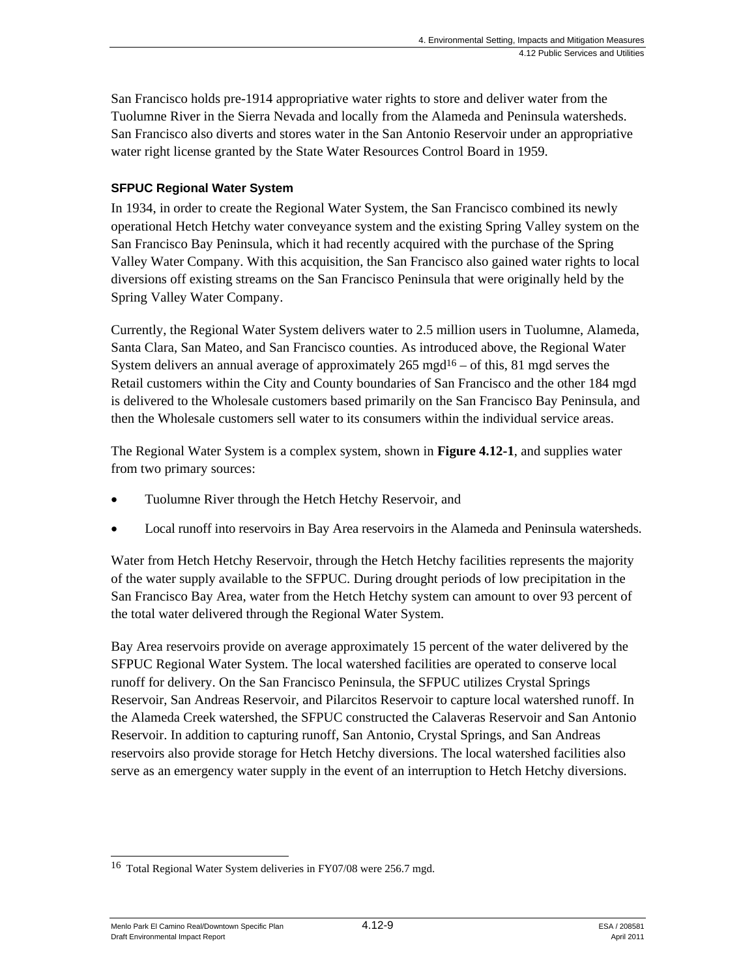San Francisco holds pre-1914 appropriative water rights to store and deliver water from the Tuolumne River in the Sierra Nevada and locally from the Alameda and Peninsula watersheds. San Francisco also diverts and stores water in the San Antonio Reservoir under an appropriative water right license granted by the State Water Resources Control Board in 1959.

### **SFPUC Regional Water System**

In 1934, in order to create the Regional Water System, the San Francisco combined its newly operational Hetch Hetchy water conveyance system and the existing Spring Valley system on the San Francisco Bay Peninsula, which it had recently acquired with the purchase of the Spring Valley Water Company. With this acquisition, the San Francisco also gained water rights to local diversions off existing streams on the San Francisco Peninsula that were originally held by the Spring Valley Water Company.

Currently, the Regional Water System delivers water to 2.5 million users in Tuolumne, Alameda, Santa Clara, San Mateo, and San Francisco counties. As introduced above, the Regional Water System delivers an annual average of approximately  $265 \text{ mgd}^{16} - \text{of this}$ , 81 mgd serves the Retail customers within the City and County boundaries of San Francisco and the other 184 mgd is delivered to the Wholesale customers based primarily on the San Francisco Bay Peninsula, and then the Wholesale customers sell water to its consumers within the individual service areas.

The Regional Water System is a complex system, shown in **Figure 4.12-1**, and supplies water from two primary sources:

- Tuolumne River through the Hetch Hetchy Reservoir, and
- Local runoff into reservoirs in Bay Area reservoirs in the Alameda and Peninsula watersheds.

Water from Hetch Hetchy Reservoir, through the Hetch Hetchy facilities represents the majority of the water supply available to the SFPUC. During drought periods of low precipitation in the San Francisco Bay Area, water from the Hetch Hetchy system can amount to over 93 percent of the total water delivered through the Regional Water System.

Bay Area reservoirs provide on average approximately 15 percent of the water delivered by the SFPUC Regional Water System. The local watershed facilities are operated to conserve local runoff for delivery. On the San Francisco Peninsula, the SFPUC utilizes Crystal Springs Reservoir, San Andreas Reservoir, and Pilarcitos Reservoir to capture local watershed runoff. In the Alameda Creek watershed, the SFPUC constructed the Calaveras Reservoir and San Antonio Reservoir. In addition to capturing runoff, San Antonio, Crystal Springs, and San Andreas reservoirs also provide storage for Hetch Hetchy diversions. The local watershed facilities also serve as an emergency water supply in the event of an interruption to Hetch Hetchy diversions.

Menlo Park El Camino Real/Downtown Specific Plan  $4.12$ -9  $5.4$  / 208581 Draft Environmental Impact Report April 2011

<sup>1</sup> <sup>16</sup> Total Regional Water System deliveries in FY07/08 were 256.7 mgd.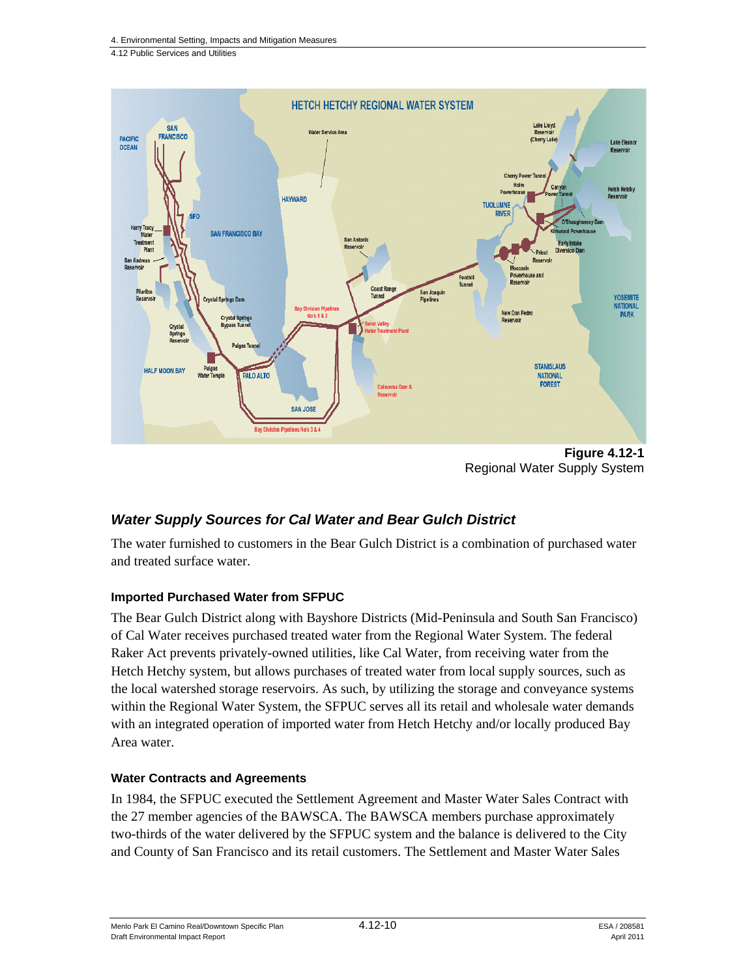

**Figure 4.12-1**  Regional Water Supply System

# *Water Supply Sources for Cal Water and Bear Gulch District*

The water furnished to customers in the Bear Gulch District is a combination of purchased water and treated surface water.

#### **Imported Purchased Water from SFPUC**

The Bear Gulch District along with Bayshore Districts (Mid-Peninsula and South San Francisco) of Cal Water receives purchased treated water from the Regional Water System. The federal Raker Act prevents privately-owned utilities, like Cal Water, from receiving water from the Hetch Hetchy system, but allows purchases of treated water from local supply sources, such as the local watershed storage reservoirs. As such, by utilizing the storage and conveyance systems within the Regional Water System, the SFPUC serves all its retail and wholesale water demands with an integrated operation of imported water from Hetch Hetchy and/or locally produced Bay Area water.

#### **Water Contracts and Agreements**

In 1984, the SFPUC executed the Settlement Agreement and Master Water Sales Contract with the 27 member agencies of the BAWSCA. The BAWSCA members purchase approximately two-thirds of the water delivered by the SFPUC system and the balance is delivered to the City and County of San Francisco and its retail customers. The Settlement and Master Water Sales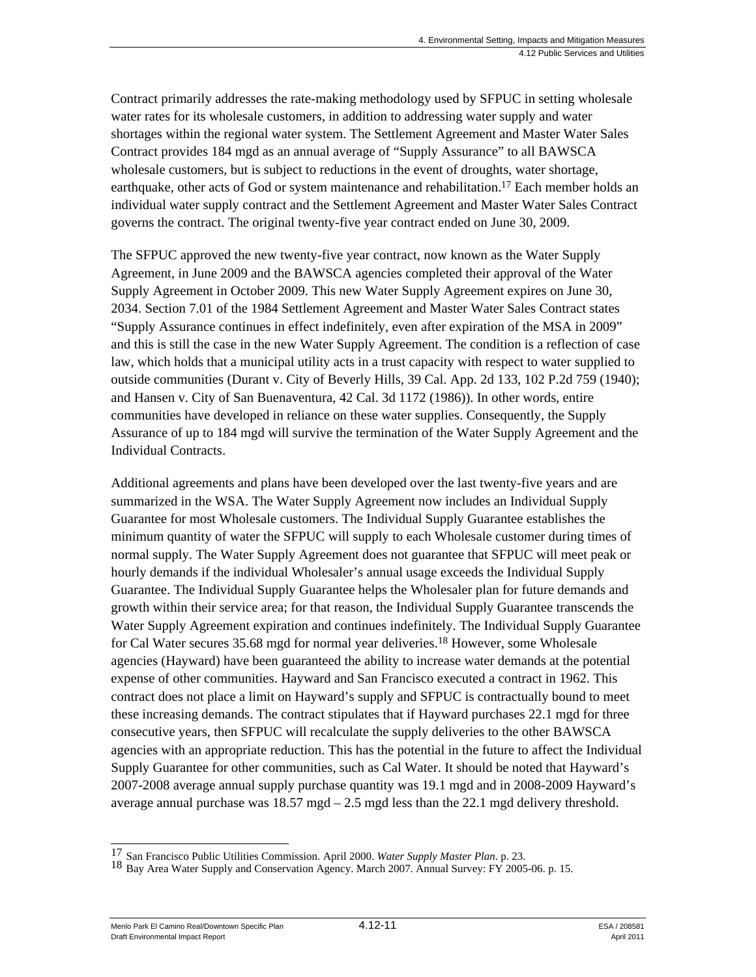Contract primarily addresses the rate-making methodology used by SFPUC in setting wholesale water rates for its wholesale customers, in addition to addressing water supply and water shortages within the regional water system. The Settlement Agreement and Master Water Sales Contract provides 184 mgd as an annual average of "Supply Assurance" to all BAWSCA wholesale customers, but is subject to reductions in the event of droughts, water shortage, earthquake, other acts of God or system maintenance and rehabilitation.<sup>17</sup> Each member holds an individual water supply contract and the Settlement Agreement and Master Water Sales Contract governs the contract. The original twenty-five year contract ended on June 30, 2009.

The SFPUC approved the new twenty-five year contract, now known as the Water Supply Agreement, in June 2009 and the BAWSCA agencies completed their approval of the Water Supply Agreement in October 2009. This new Water Supply Agreement expires on June 30, 2034. Section 7.01 of the 1984 Settlement Agreement and Master Water Sales Contract states "Supply Assurance continues in effect indefinitely, even after expiration of the MSA in 2009" and this is still the case in the new Water Supply Agreement. The condition is a reflection of case law, which holds that a municipal utility acts in a trust capacity with respect to water supplied to outside communities (Durant v. City of Beverly Hills, 39 Cal. App. 2d 133, 102 P.2d 759 (1940); and Hansen v. City of San Buenaventura, 42 Cal. 3d 1172 (1986)). In other words, entire communities have developed in reliance on these water supplies. Consequently, the Supply Assurance of up to 184 mgd will survive the termination of the Water Supply Agreement and the Individual Contracts.

Additional agreements and plans have been developed over the last twenty-five years and are summarized in the WSA. The Water Supply Agreement now includes an Individual Supply Guarantee for most Wholesale customers. The Individual Supply Guarantee establishes the minimum quantity of water the SFPUC will supply to each Wholesale customer during times of normal supply. The Water Supply Agreement does not guarantee that SFPUC will meet peak or hourly demands if the individual Wholesaler's annual usage exceeds the Individual Supply Guarantee. The Individual Supply Guarantee helps the Wholesaler plan for future demands and growth within their service area; for that reason, the Individual Supply Guarantee transcends the Water Supply Agreement expiration and continues indefinitely. The Individual Supply Guarantee for Cal Water secures 35.68 mgd for normal year deliveries.18 However, some Wholesale agencies (Hayward) have been guaranteed the ability to increase water demands at the potential expense of other communities. Hayward and San Francisco executed a contract in 1962. This contract does not place a limit on Hayward's supply and SFPUC is contractually bound to meet these increasing demands. The contract stipulates that if Hayward purchases 22.1 mgd for three consecutive years, then SFPUC will recalculate the supply deliveries to the other BAWSCA agencies with an appropriate reduction. This has the potential in the future to affect the Individual Supply Guarantee for other communities, such as Cal Water. It should be noted that Hayward's 2007-2008 average annual supply purchase quantity was 19.1 mgd and in 2008-2009 Hayward's average annual purchase was 18.57 mgd – 2.5 mgd less than the 22.1 mgd delivery threshold.

Menlo Park El Camino Real/Downtown Specific Plan  $4.12-11$  And  $4.12-11$  ESA / 208581 Draft Environmental Impact Report April 2011

<sup>&</sup>lt;sup>17</sup> San Francisco Public Utilities Commission. April 2000. Water Supply Master Plan. p. 23.

<sup>18</sup> Bay Area Water Supply and Conservation Agency. March 2007. Annual Survey: FY 2005-06. p. 15.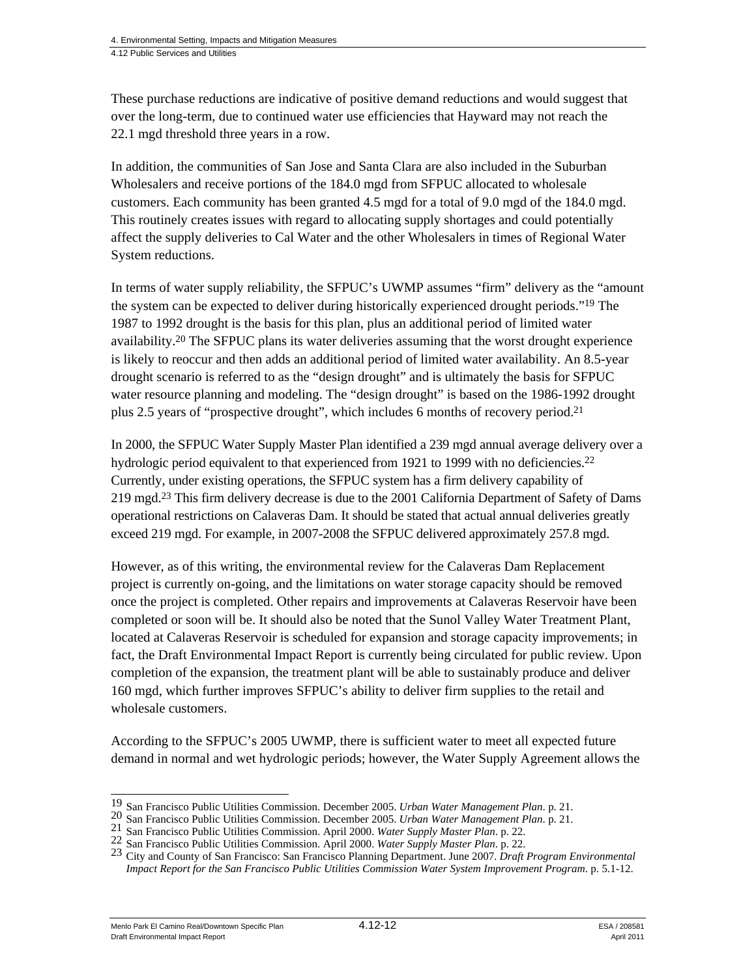These purchase reductions are indicative of positive demand reductions and would suggest that over the long-term, due to continued water use efficiencies that Hayward may not reach the 22.1 mgd threshold three years in a row.

In addition, the communities of San Jose and Santa Clara are also included in the Suburban Wholesalers and receive portions of the 184.0 mgd from SFPUC allocated to wholesale customers. Each community has been granted  $4.5 \text{ mgd}$  for a total of 9.0 mgd of the 184.0 mgd. This routinely creates issues with regard to allocating supply shortages and could potentially affect the supply deliveries to Cal Water and the other Wholesalers in times of Regional Water System reductions.

In terms of water supply reliability, the SFPUC's UWMP assumes "firm" delivery as the "amount the system can be expected to deliver during historically experienced drought periods."19 The 1987 to 1992 drought is the basis for this plan, plus an additional period of limited water availability.20 The SFPUC plans its water deliveries assuming that the worst drought experience is likely to reoccur and then adds an additional period of limited water availability. An 8.5-year drought scenario is referred to as the "design drought" and is ultimately the basis for SFPUC water resource planning and modeling. The "design drought" is based on the 1986-1992 drought plus 2.5 years of "prospective drought", which includes 6 months of recovery period.21

In 2000, the SFPUC Water Supply Master Plan identified a 239 mgd annual average delivery over a hydrologic period equivalent to that experienced from 1921 to 1999 with no deficiencies.<sup>22</sup> Currently, under existing operations, the SFPUC system has a firm delivery capability of 219 mgd.<sup>23</sup> This firm delivery decrease is due to the 2001 California Department of Safety of Dams operational restrictions on Calaveras Dam. It should be stated that actual annual deliveries greatly exceed 219 mgd. For example, in 2007-2008 the SFPUC delivered approximately 257.8 mgd.

However, as of this writing, the environmental review for the Calaveras Dam Replacement project is currently on-going, and the limitations on water storage capacity should be removed once the project is completed. Other repairs and improvements at Calaveras Reservoir have been completed or soon will be. It should also be noted that the Sunol Valley Water Treatment Plant, located at Calaveras Reservoir is scheduled for expansion and storage capacity improvements; in fact, the Draft Environmental Impact Report is currently being circulated for public review. Upon completion of the expansion, the treatment plant will be able to sustainably produce and deliver 160 mgd, which further improves SFPUC's ability to deliver firm supplies to the retail and wholesale customers.

According to the SFPUC's 2005 UWMP, there is sufficient water to meet all expected future demand in normal and wet hydrologic periods; however, the Water Supply Agreement allows the

Menlo Park El Camino Real/Downtown Specific Plan **4.12-12** And 2008 and the componental Impact Report and 2011<br>1<sup>2011</sup> Price Apple Traditional And 2011 Draft Environmental Impact Report

<sup>&</sup>lt;sup>19</sup> San Francisco Public Utilities Commission. December 2005. *Urban Water Management Plan*. p. 21.

<sup>20</sup> San Francisco Public Utilities Commission. December 2005. *Urban Water Management Plan.* p. 21.<br>21 San Francisco Public Utilities Commission. April 2000. Water Supply Master Plan. p. 22.<br>22 San Francisco Public Utilitie *Impact Report for the San Francisco Public Utilities Commission Water System Improvement Program*. p. 5.1-12.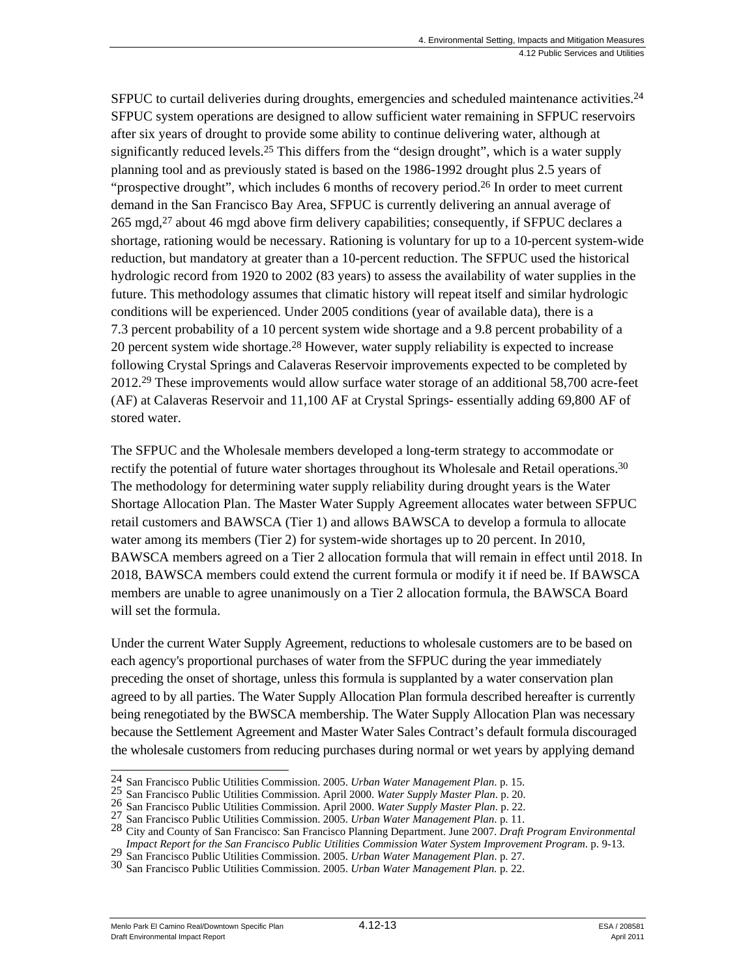SFPUC to curtail deliveries during droughts, emergencies and scheduled maintenance activities.<sup>24</sup> SFPUC system operations are designed to allow sufficient water remaining in SFPUC reservoirs after six years of drought to provide some ability to continue delivering water, although at significantly reduced levels.<sup>25</sup> This differs from the "design drought", which is a water supply planning tool and as previously stated is based on the 1986-1992 drought plus 2.5 years of "prospective drought", which includes 6 months of recovery period.<sup>26</sup> In order to meet current demand in the San Francisco Bay Area, SFPUC is currently delivering an annual average of 265 mgd, $27$  about 46 mgd above firm delivery capabilities; consequently, if SFPUC declares a shortage, rationing would be necessary. Rationing is voluntary for up to a 10-percent system-wide reduction, but mandatory at greater than a 10-percent reduction. The SFPUC used the historical hydrologic record from 1920 to 2002 (83 years) to assess the availability of water supplies in the future. This methodology assumes that climatic history will repeat itself and similar hydrologic conditions will be experienced. Under 2005 conditions (year of available data), there is a 7.3 percent probability of a 10 percent system wide shortage and a 9.8 percent probability of a 20 percent system wide shortage.28 However, water supply reliability is expected to increase following Crystal Springs and Calaveras Reservoir improvements expected to be completed by 2012.29 These improvements would allow surface water storage of an additional 58,700 acre-feet (AF) at Calaveras Reservoir and 11,100 AF at Crystal Springs- essentially adding 69,800 AF of stored water.

The SFPUC and the Wholesale members developed a long-term strategy to accommodate or rectify the potential of future water shortages throughout its Wholesale and Retail operations.<sup>30</sup> The methodology for determining water supply reliability during drought years is the Water Shortage Allocation Plan. The Master Water Supply Agreement allocates water between SFPUC retail customers and BAWSCA (Tier 1) and allows BAWSCA to develop a formula to allocate water among its members (Tier 2) for system-wide shortages up to 20 percent. In 2010, BAWSCA members agreed on a Tier 2 allocation formula that will remain in effect until 2018. In 2018, BAWSCA members could extend the current formula or modify it if need be. If BAWSCA members are unable to agree unanimously on a Tier 2 allocation formula, the BAWSCA Board will set the formula.

Under the current Water Supply Agreement, reductions to wholesale customers are to be based on each agency's proportional purchases of water from the SFPUC during the year immediately preceding the onset of shortage, unless this formula is supplanted by a water conservation plan agreed to by all parties. The Water Supply Allocation Plan formula described hereafter is currently being renegotiated by the BWSCA membership. The Water Supply Allocation Plan was necessary because the Settlement Agreement and Master Water Sales Contract's default formula discouraged the wholesale customers from reducing purchases during normal or wet years by applying demand

Menlo Park El Camino Real/Downtown Specific Plan **4.12-13** ESA / 208581<br>1120 Praft Environmental Impact Report Draft Environmental Impact Report

<sup>&</sup>lt;sup>24</sup> San Francisco Public Utilities Commission. 2005. *Urban Water Management Plan*. p. 15.

<sup>25</sup> San Francisco Public Utilities Commission. April 2000. Water Supply Master Plan. p. 20.<br>26 San Francisco Public Utilities Commission. April 2000. Water Supply Master Plan. p. 22.<br>27 San Francisco Public Utilities Commis

<sup>29</sup> San Francisco Public Utilities Commission. 2005. *Urban Water Management Plan.* p. 27.<br>30 San Francisco Public Utilities Commission. 2005. *Urban Water Management Plan.* p. 22.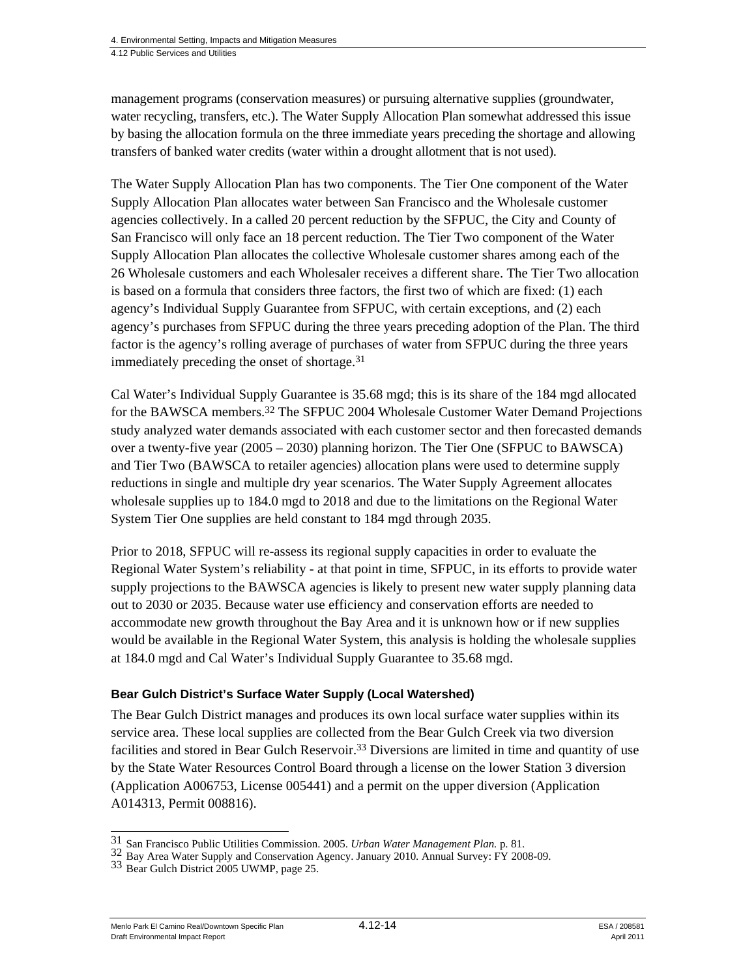management programs (conservation measures) or pursuing alternative supplies (groundwater, water recycling, transfers, etc.). The Water Supply Allocation Plan somewhat addressed this issue by basing the allocation formula on the three immediate years preceding the shortage and allowing transfers of banked water credits (water within a drought allotment that is not used).

The Water Supply Allocation Plan has two components. The Tier One component of the Water Supply Allocation Plan allocates water between San Francisco and the Wholesale customer agencies collectively. In a called 20 percent reduction by the SFPUC, the City and County of San Francisco will only face an 18 percent reduction. The Tier Two component of the Water Supply Allocation Plan allocates the collective Wholesale customer shares among each of the 26 Wholesale customers and each Wholesaler receives a different share. The Tier Two allocation is based on a formula that considers three factors, the first two of which are fixed: (1) each agency's Individual Supply Guarantee from SFPUC, with certain exceptions, and (2) each agency's purchases from SFPUC during the three years preceding adoption of the Plan. The third factor is the agency's rolling average of purchases of water from SFPUC during the three years immediately preceding the onset of shortage.31

Cal Water's Individual Supply Guarantee is 35.68 mgd; this is its share of the 184 mgd allocated for the BAWSCA members.32 The SFPUC 2004 Wholesale Customer Water Demand Projections study analyzed water demands associated with each customer sector and then forecasted demands over a twenty-five year (2005 – 2030) planning horizon. The Tier One (SFPUC to BAWSCA) and Tier Two (BAWSCA to retailer agencies) allocation plans were used to determine supply reductions in single and multiple dry year scenarios. The Water Supply Agreement allocates wholesale supplies up to 184.0 mgd to 2018 and due to the limitations on the Regional Water System Tier One supplies are held constant to 184 mgd through 2035.

Prior to 2018, SFPUC will re-assess its regional supply capacities in order to evaluate the Regional Water System's reliability - at that point in time, SFPUC, in its efforts to provide water supply projections to the BAWSCA agencies is likely to present new water supply planning data out to 2030 or 2035. Because water use efficiency and conservation efforts are needed to accommodate new growth throughout the Bay Area and it is unknown how or if new supplies would be available in the Regional Water System, this analysis is holding the wholesale supplies at 184.0 mgd and Cal Water's Individual Supply Guarantee to 35.68 mgd.

#### **Bear Gulch District's Surface Water Supply (Local Watershed)**

The Bear Gulch District manages and produces its own local surface water supplies within its service area. These local supplies are collected from the Bear Gulch Creek via two diversion facilities and stored in Bear Gulch Reservoir.33 Diversions are limited in time and quantity of use by the State Water Resources Control Board through a license on the lower Station 3 diversion (Application A006753, License 005441) and a permit on the upper diversion (Application A014313, Permit 008816).

<sup>31</sup> San Francisco Public Utilities Commission. 2005. Urban Water Management Plan. p. 81.

<sup>32</sup> Bay Area Water Supply and Conservation Agency. January 2010. Annual Survey: FY 2008-09.<br>33 Bear Gulch District 2005 UWMP, page 25.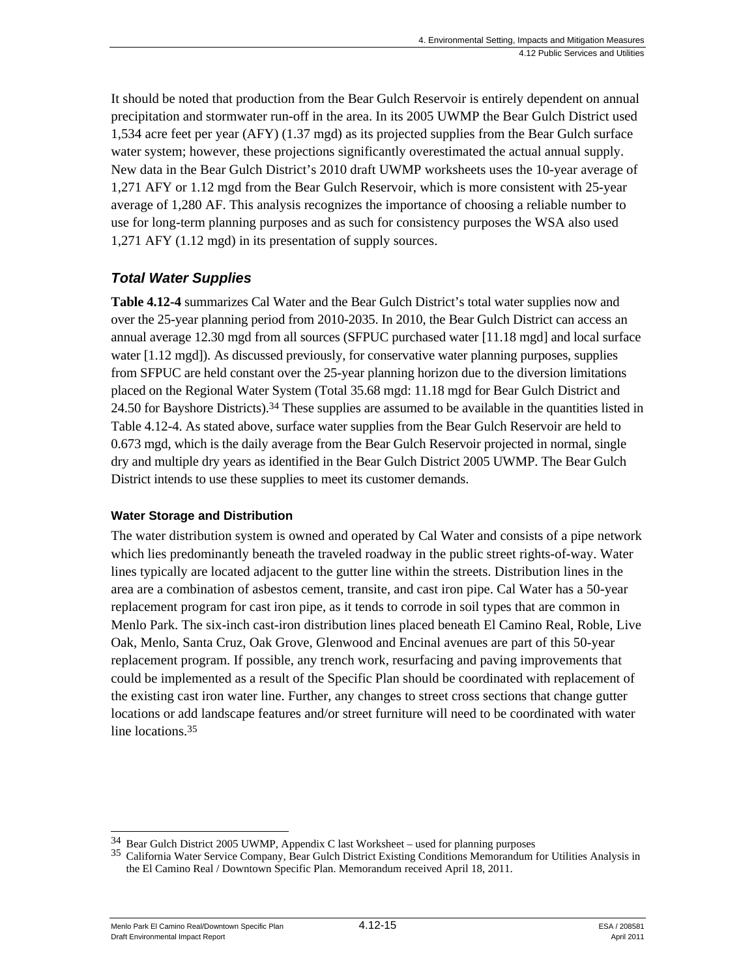It should be noted that production from the Bear Gulch Reservoir is entirely dependent on annual precipitation and stormwater run-off in the area. In its 2005 UWMP the Bear Gulch District used 1,534 acre feet per year (AFY) (1.37 mgd) as its projected supplies from the Bear Gulch surface water system; however, these projections significantly overestimated the actual annual supply. New data in the Bear Gulch District's 2010 draft UWMP worksheets uses the 10-year average of 1,271 AFY or 1.12 mgd from the Bear Gulch Reservoir, which is more consistent with 25-year average of 1,280 AF. This analysis recognizes the importance of choosing a reliable number to use for long-term planning purposes and as such for consistency purposes the WSA also used 1,271 AFY (1.12 mgd) in its presentation of supply sources.

# *Total Water Supplies*

**Table 4.12-4** summarizes Cal Water and the Bear Gulch District's total water supplies now and over the 25-year planning period from 2010-2035. In 2010, the Bear Gulch District can access an annual average 12.30 mgd from all sources (SFPUC purchased water [11.18 mgd] and local surface water [1.12 mgd]). As discussed previously, for conservative water planning purposes, supplies from SFPUC are held constant over the 25-year planning horizon due to the diversion limitations placed on the Regional Water System (Total 35.68 mgd: 11.18 mgd for Bear Gulch District and 24.50 for Bayshore Districts).34 These supplies are assumed to be available in the quantities listed in Table 4.12-4. As stated above, surface water supplies from the Bear Gulch Reservoir are held to 0.673 mgd, which is the daily average from the Bear Gulch Reservoir projected in normal, single dry and multiple dry years as identified in the Bear Gulch District 2005 UWMP. The Bear Gulch District intends to use these supplies to meet its customer demands.

# **Water Storage and Distribution**

The water distribution system is owned and operated by Cal Water and consists of a pipe network which lies predominantly beneath the traveled roadway in the public street rights-of-way. Water lines typically are located adjacent to the gutter line within the streets. Distribution lines in the area are a combination of asbestos cement, transite, and cast iron pipe. Cal Water has a 50-year replacement program for cast iron pipe, as it tends to corrode in soil types that are common in Menlo Park. The six-inch cast-iron distribution lines placed beneath El Camino Real, Roble, Live Oak, Menlo, Santa Cruz, Oak Grove, Glenwood and Encinal avenues are part of this 50-year replacement program. If possible, any trench work, resurfacing and paving improvements that could be implemented as a result of the Specific Plan should be coordinated with replacement of the existing cast iron water line. Further, any changes to street cross sections that change gutter locations or add landscape features and/or street furniture will need to be coordinated with water line locations.<sup>35</sup>

Menlo Park El Camino Real/Downtown Specific Plan  $4.12$ -15  $\qquad$   $\qquad$   $\qquad$   $\qquad$  ESA / 208581 Draft Environmental Impact Report April 2011

<sup>&</sup>lt;sup>34</sup> Bear Gulch District 2005 UWMP, Appendix C last Worksheet – used for planning purposes

<sup>&</sup>lt;sup>35</sup> California Water Service Company, Bear Gulch District Existing Conditions Memorandum for Utilities Analysis in the El Camino Real / Downtown Specific Plan. Memorandum received April 18, 2011.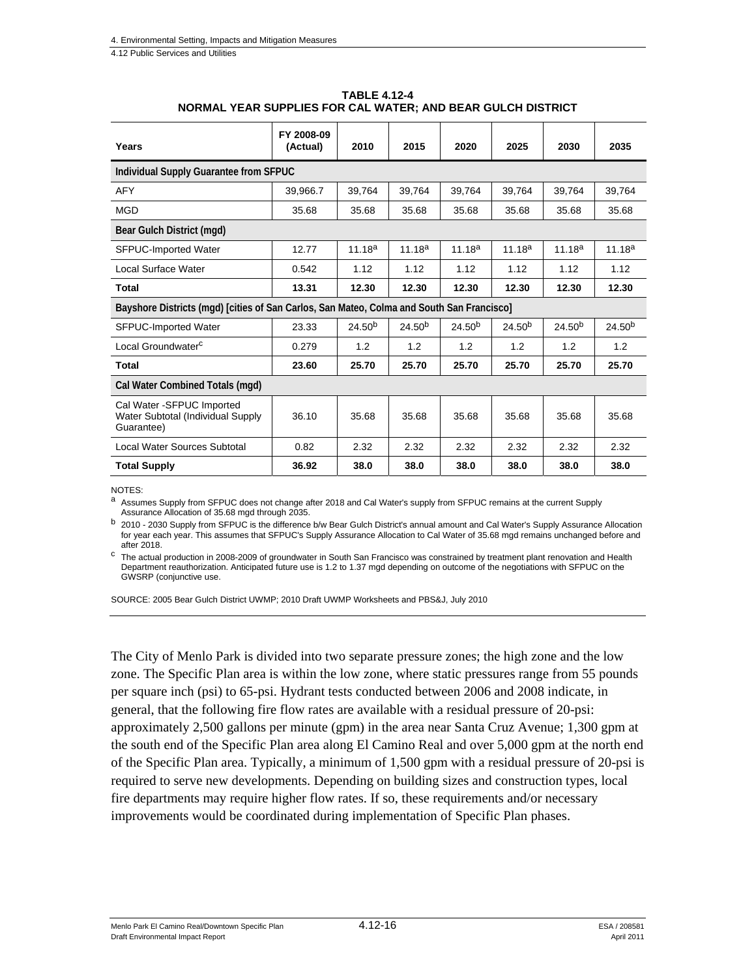| <b>TABLE 4.12-4</b>                                         |
|-------------------------------------------------------------|
| NORMAL YEAR SUPPLIES FOR CAL WATER; AND BEAR GULCH DISTRICT |

| Years                                                                                     | FY 2008-09<br>(Actual) | 2010               | 2015               | 2020               | 2025               | 2030               | 2035               |
|-------------------------------------------------------------------------------------------|------------------------|--------------------|--------------------|--------------------|--------------------|--------------------|--------------------|
| Individual Supply Guarantee from SFPUC                                                    |                        |                    |                    |                    |                    |                    |                    |
| <b>AFY</b>                                                                                | 39.966.7               | 39,764             | 39,764             | 39,764             | 39.764             | 39,764             | 39,764             |
| <b>MGD</b>                                                                                | 35.68                  | 35.68              | 35.68              | 35.68              | 35.68              | 35.68              | 35.68              |
| Bear Gulch District (mgd)                                                                 |                        |                    |                    |                    |                    |                    |                    |
| <b>SFPUC-Imported Water</b>                                                               | 12.77                  | $11.18^{a}$        | $11.18^{a}$        | 11.18 <sup>a</sup> | $11.18^{a}$        | 11.18 <sup>a</sup> | 11.18 <sup>a</sup> |
| Local Surface Water                                                                       | 0.542                  | 1.12               | 1.12               | 1.12               | 1.12               | 1.12               | 1.12               |
| <b>Total</b>                                                                              | 13.31                  | 12.30              | 12.30              | 12.30              | 12.30              | 12.30              | 12.30              |
| Bayshore Districts (mgd) [cities of San Carlos, San Mateo, Colma and South San Francisco] |                        |                    |                    |                    |                    |                    |                    |
| <b>SFPUC-Imported Water</b>                                                               | 23.33                  | 24.50 <sup>b</sup> | 24.50 <sup>b</sup> | 24.50 <sup>b</sup> | 24.50 <sup>b</sup> | $24.50^{b}$        | $24.50^{b}$        |
| Local Groundwater <sup>c</sup>                                                            | 0.279                  | 1.2                | 1.2                | 1.2                | 1.2                | 1.2                | 1.2                |
| <b>Total</b>                                                                              | 23.60                  | 25.70              | 25.70              | 25.70              | 25.70              | 25.70              | 25.70              |
| Cal Water Combined Totals (mgd)                                                           |                        |                    |                    |                    |                    |                    |                    |
| Cal Water - SFPUC Imported<br>Water Subtotal (Individual Supply<br>Guarantee)             | 36.10                  | 35.68              | 35.68              | 35.68              | 35.68              | 35.68              | 35.68              |
| Local Water Sources Subtotal                                                              | 0.82                   | 2.32               | 2.32               | 2.32               | 2.32               | 2.32               | 2.32               |
| <b>Total Supply</b>                                                                       | 36.92                  | 38.0               | 38.0               | 38.0               | 38.0               | 38.0               | 38.0               |

NOTES:

a Assumes Supply from SFPUC does not change after 2018 and Cal Water's supply from SFPUC remains at the current Supply Assurance Allocation of 35.68 mgd through 2035.

b 2010 - 2030 Supply from SFPUC is the difference b/w Bear Gulch District's annual amount and Cal Water's Supply Assurance Allocation for year each year. This assumes that SFPUC's Supply Assurance Allocation to Cal Water of 35.68 mgd remains unchanged before and after 2018.

 $c$  The actual production in 2008-2009 of groundwater in South San Francisco was constrained by treatment plant renovation and Health Department reauthorization. Anticipated future use is 1.2 to 1.37 mgd depending on outcome of the negotiations with SFPUC on the GWSRP (conjunctive use.

SOURCE: 2005 Bear Gulch District UWMP; 2010 Draft UWMP Worksheets and PBS&J, July 2010

The City of Menlo Park is divided into two separate pressure zones; the high zone and the low zone. The Specific Plan area is within the low zone, where static pressures range from 55 pounds per square inch (psi) to 65-psi. Hydrant tests conducted between 2006 and 2008 indicate, in general, that the following fire flow rates are available with a residual pressure of 20-psi: approximately 2,500 gallons per minute (gpm) in the area near Santa Cruz Avenue; 1,300 gpm at the south end of the Specific Plan area along El Camino Real and over 5,000 gpm at the north end of the Specific Plan area. Typically, a minimum of 1,500 gpm with a residual pressure of 20-psi is required to serve new developments. Depending on building sizes and construction types, local fire departments may require higher flow rates. If so, these requirements and/or necessary improvements would be coordinated during implementation of Specific Plan phases.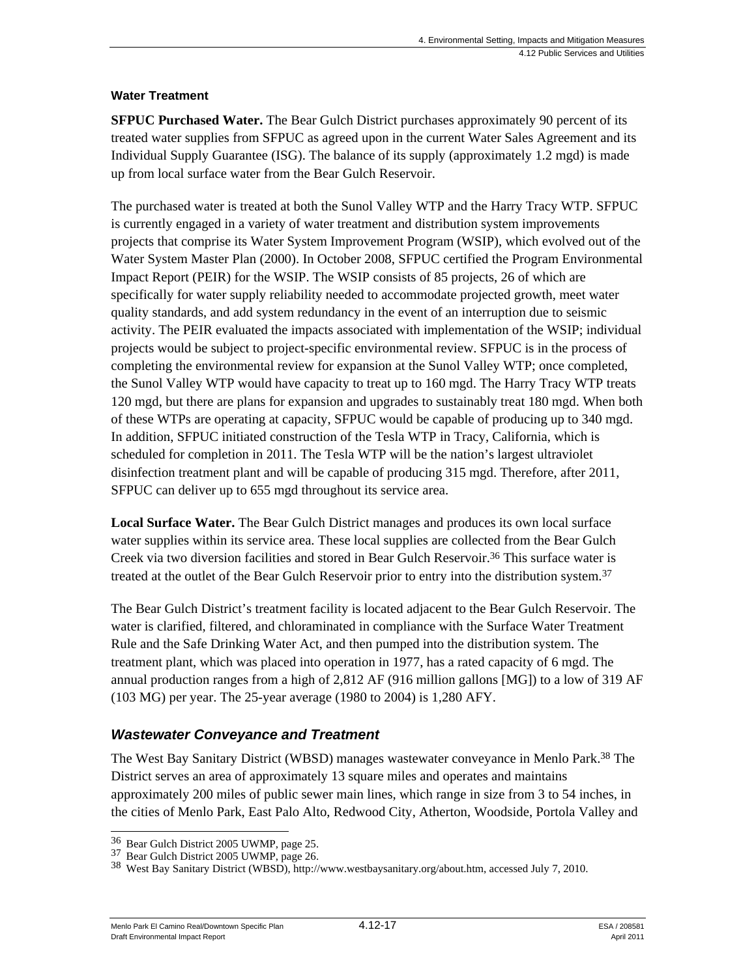### **Water Treatment**

**SFPUC Purchased Water.** The Bear Gulch District purchases approximately 90 percent of its treated water supplies from SFPUC as agreed upon in the current Water Sales Agreement and its Individual Supply Guarantee (ISG). The balance of its supply (approximately 1.2 mgd) is made up from local surface water from the Bear Gulch Reservoir.

The purchased water is treated at both the Sunol Valley WTP and the Harry Tracy WTP. SFPUC is currently engaged in a variety of water treatment and distribution system improvements projects that comprise its Water System Improvement Program (WSIP), which evolved out of the Water System Master Plan (2000). In October 2008, SFPUC certified the Program Environmental Impact Report (PEIR) for the WSIP. The WSIP consists of 85 projects, 26 of which are specifically for water supply reliability needed to accommodate projected growth, meet water quality standards, and add system redundancy in the event of an interruption due to seismic activity. The PEIR evaluated the impacts associated with implementation of the WSIP; individual projects would be subject to project-specific environmental review. SFPUC is in the process of completing the environmental review for expansion at the Sunol Valley WTP; once completed, the Sunol Valley WTP would have capacity to treat up to 160 mgd. The Harry Tracy WTP treats 120 mgd, but there are plans for expansion and upgrades to sustainably treat 180 mgd. When both of these WTPs are operating at capacity, SFPUC would be capable of producing up to 340 mgd. In addition, SFPUC initiated construction of the Tesla WTP in Tracy, California, which is scheduled for completion in 2011. The Tesla WTP will be the nation's largest ultraviolet disinfection treatment plant and will be capable of producing 315 mgd. Therefore, after 2011, SFPUC can deliver up to 655 mgd throughout its service area.

**Local Surface Water.** The Bear Gulch District manages and produces its own local surface water supplies within its service area. These local supplies are collected from the Bear Gulch Creek via two diversion facilities and stored in Bear Gulch Reservoir.36 This surface water is treated at the outlet of the Bear Gulch Reservoir prior to entry into the distribution system.37

The Bear Gulch District's treatment facility is located adjacent to the Bear Gulch Reservoir. The water is clarified, filtered, and chloraminated in compliance with the Surface Water Treatment Rule and the Safe Drinking Water Act, and then pumped into the distribution system. The treatment plant, which was placed into operation in 1977, has a rated capacity of 6 mgd. The annual production ranges from a high of 2,812 AF (916 million gallons [MG]) to a low of 319 AF (103 MG) per year. The 25-year average (1980 to 2004) is 1,280 AFY.

# *Wastewater Conveyance and Treatment*

The West Bay Sanitary District (WBSD) manages wastewater conveyance in Menlo Park.38 The District serves an area of approximately 13 square miles and operates and maintains approximately 200 miles of public sewer main lines, which range in size from 3 to 54 inches, in the cities of Menlo Park, East Palo Alto, Redwood City, Atherton, Woodside, Portola Valley and

<sup>&</sup>lt;sup>36</sup> Bear Gulch District 2005 UWMP, page 25.

<sup>&</sup>lt;sup>37</sup> Bear Gulch District 2005 UWMP, page 26. 38 West Bay Sanitary Org/about.htm, accessed July 7, 2010.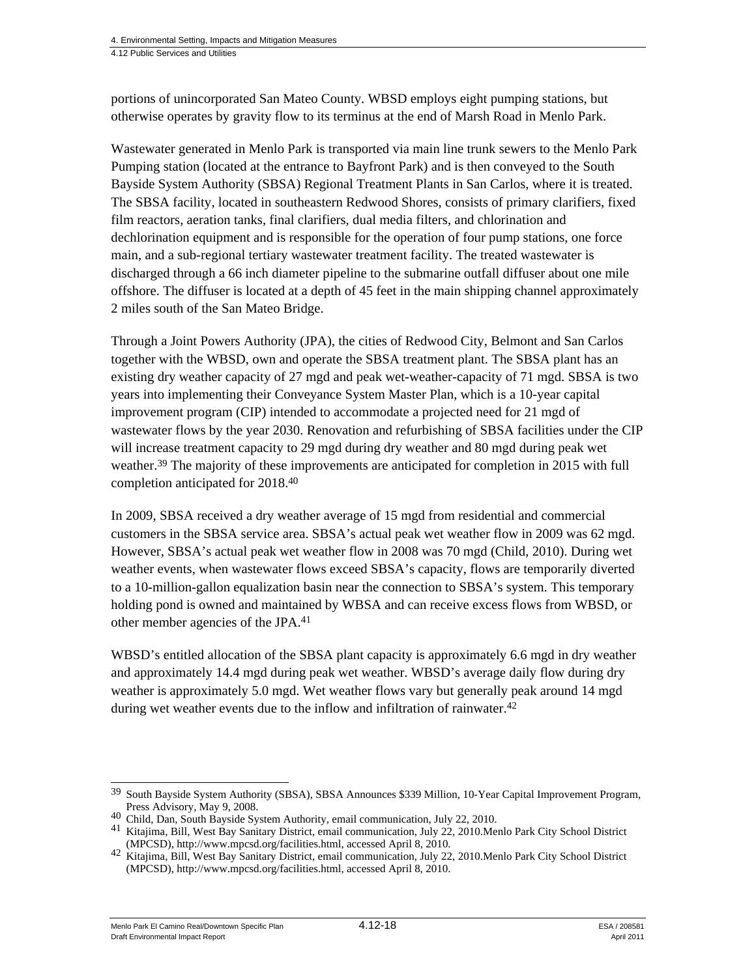portions of unincorporated San Mateo County. WBSD employs eight pumping stations, but otherwise operates by gravity flow to its terminus at the end of Marsh Road in Menlo Park.

Wastewater generated in Menlo Park is transported via main line trunk sewers to the Menlo Park Pumping station (located at the entrance to Bayfront Park) and is then conveyed to the South Bayside System Authority (SBSA) Regional Treatment Plants in San Carlos, where it is treated. The SBSA facility, located in southeastern Redwood Shores, consists of primary clarifiers, fixed film reactors, aeration tanks, final clarifiers, dual media filters, and chlorination and dechlorination equipment and is responsible for the operation of four pump stations, one force main, and a sub-regional tertiary wastewater treatment facility. The treated wastewater is discharged through a 66 inch diameter pipeline to the submarine outfall diffuser about one mile offshore. The diffuser is located at a depth of 45 feet in the main shipping channel approximately 2 miles south of the San Mateo Bridge.

Through a Joint Powers Authority (JPA), the cities of Redwood City, Belmont and San Carlos together with the WBSD, own and operate the SBSA treatment plant. The SBSA plant has an existing dry weather capacity of 27 mgd and peak wet-weather-capacity of 71 mgd. SBSA is two years into implementing their Conveyance System Master Plan, which is a 10-year capital improvement program (CIP) intended to accommodate a projected need for 21 mgd of wastewater flows by the year 2030. Renovation and refurbishing of SBSA facilities under the CIP will increase treatment capacity to 29 mgd during dry weather and 80 mgd during peak wet weather.39 The majority of these improvements are anticipated for completion in 2015 with full completion anticipated for 2018.40

In 2009, SBSA received a dry weather average of 15 mgd from residential and commercial customers in the SBSA service area. SBSA's actual peak wet weather flow in 2009 was 62 mgd. However, SBSA's actual peak wet weather flow in 2008 was 70 mgd (Child, 2010). During wet weather events, when wastewater flows exceed SBSA's capacity, flows are temporarily diverted to a 10-million-gallon equalization basin near the connection to SBSA's system. This temporary holding pond is owned and maintained by WBSA and can receive excess flows from WBSD, or other member agencies of the JPA.41

WBSD's entitled allocation of the SBSA plant capacity is approximately 6.6 mgd in dry weather and approximately 14.4 mgd during peak wet weather. WBSD's average daily flow during dry weather is approximately 5.0 mgd. Wet weather flows vary but generally peak around 14 mgd during wet weather events due to the inflow and infiltration of rainwater.<sup>42</sup>

Menlo Park El Camino Real/Downtown Specific Plan  $4.12$ -18  $\qquad$   $\qquad$   $\qquad$   $\qquad$  ESA / 208581 Draft Environmental Impact Report April 2011

<sup>1</sup> <sup>39</sup> South Bayside System Authority (SBSA), SBSA Announces \$339 Million, 10-Year Capital Improvement Program,

Press Advisory, May 9, 2008.<br>
<sup>40</sup> Child, Dan, South Bayside System Authority, email communication, July 22, 2010.<br>
<sup>41</sup> Kitajima, Bill, West Bay Sanitary District, email communication, July 22, 2010.<br>
Memora Park City Sch

<sup>&</sup>lt;sup>42</sup> Kitajima, Bill, West Bay Sanitary District, email communication, July 22, 2010. Menlo Park City School District (MPCSD), http://www.mpcsd.org/facilities.html, accessed April 8, 2010.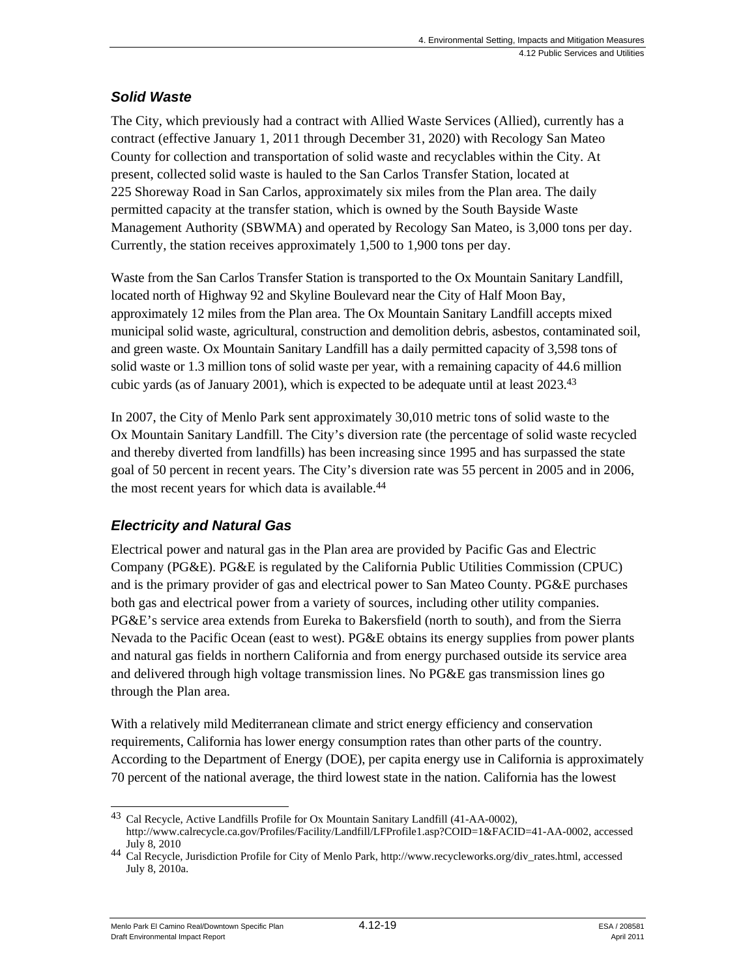# *Solid Waste*

The City, which previously had a contract with Allied Waste Services (Allied), currently has a contract (effective January 1, 2011 through December 31, 2020) with Recology San Mateo County for collection and transportation of solid waste and recyclables within the City. At present, collected solid waste is hauled to the San Carlos Transfer Station, located at 225 Shoreway Road in San Carlos, approximately six miles from the Plan area. The daily permitted capacity at the transfer station, which is owned by the South Bayside Waste Management Authority (SBWMA) and operated by Recology San Mateo, is 3,000 tons per day. Currently, the station receives approximately 1,500 to 1,900 tons per day.

Waste from the San Carlos Transfer Station is transported to the Ox Mountain Sanitary Landfill, located north of Highway 92 and Skyline Boulevard near the City of Half Moon Bay, approximately 12 miles from the Plan area. The Ox Mountain Sanitary Landfill accepts mixed municipal solid waste, agricultural, construction and demolition debris, asbestos, contaminated soil, and green waste. Ox Mountain Sanitary Landfill has a daily permitted capacity of 3,598 tons of solid waste or 1.3 million tons of solid waste per year, with a remaining capacity of 44.6 million cubic yards (as of January 2001), which is expected to be adequate until at least  $2023^{43}$ 

In 2007, the City of Menlo Park sent approximately 30,010 metric tons of solid waste to the Ox Mountain Sanitary Landfill. The City's diversion rate (the percentage of solid waste recycled and thereby diverted from landfills) has been increasing since 1995 and has surpassed the state goal of 50 percent in recent years. The City's diversion rate was 55 percent in 2005 and in 2006, the most recent years for which data is available.<sup>44</sup>

# *Electricity and Natural Gas*

Electrical power and natural gas in the Plan area are provided by Pacific Gas and Electric Company (PG&E). PG&E is regulated by the California Public Utilities Commission (CPUC) and is the primary provider of gas and electrical power to San Mateo County. PG&E purchases both gas and electrical power from a variety of sources, including other utility companies. PG&E's service area extends from Eureka to Bakersfield (north to south), and from the Sierra Nevada to the Pacific Ocean (east to west). PG&E obtains its energy supplies from power plants and natural gas fields in northern California and from energy purchased outside its service area and delivered through high voltage transmission lines. No PG&E gas transmission lines go through the Plan area.

With a relatively mild Mediterranean climate and strict energy efficiency and conservation requirements, California has lower energy consumption rates than other parts of the country. According to the Department of Energy (DOE), per capita energy use in California is approximately 70 percent of the national average, the third lowest state in the nation. California has the lowest

l 43 Cal Recycle, Active Landfills Profile for Ox Mountain Sanitary Landfill (41-AA-0002), http://www.calrecycle.ca.gov/Profiles/Facility/Landfill/LFProfile1.asp?COID=1&FACID=41-AA-0002, accessed

July 8, 2010 <sup>44</sup> Cal Recycle, Jurisdiction Profile for City of Menlo Park, http://www.recycleworks.org/div\_rates.html, accessed July 8, 2010a.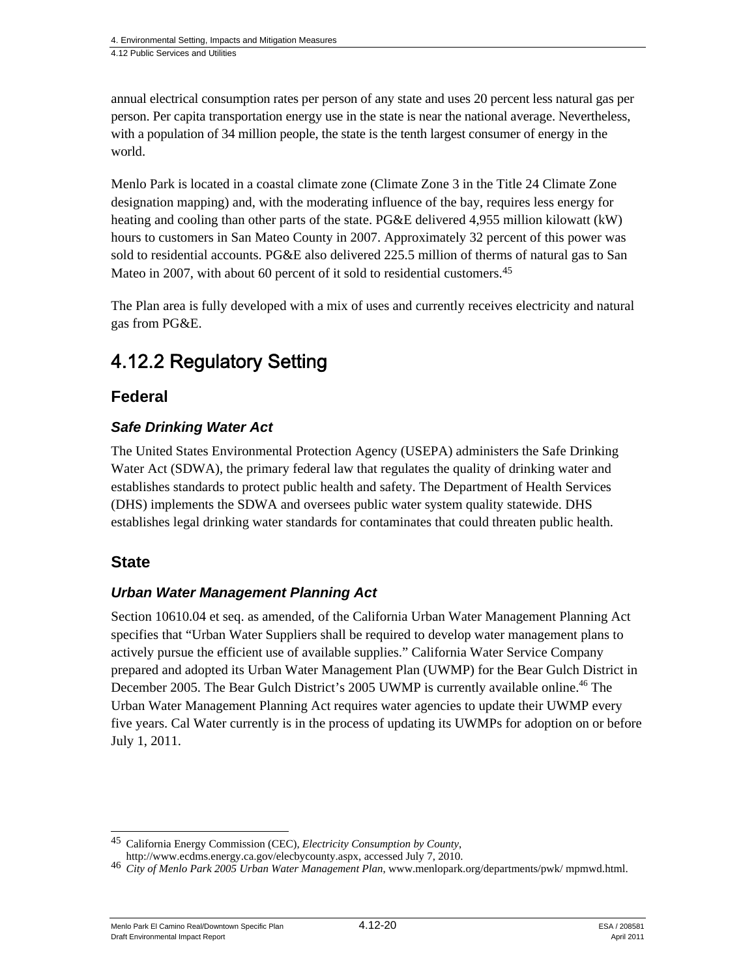annual electrical consumption rates per person of any state and uses 20 percent less natural gas per person. Per capita transportation energy use in the state is near the national average. Nevertheless, with a population of 34 million people, the state is the tenth largest consumer of energy in the world.

Menlo Park is located in a coastal climate zone (Climate Zone 3 in the Title 24 Climate Zone designation mapping) and, with the moderating influence of the bay, requires less energy for heating and cooling than other parts of the state. PG&E delivered 4,955 million kilowatt (kW) hours to customers in San Mateo County in 2007. Approximately 32 percent of this power was sold to residential accounts. PG&E also delivered 225.5 million of therms of natural gas to San Mateo in 2007, with about 60 percent of it sold to residential customers.<sup>45</sup>

The Plan area is fully developed with a mix of uses and currently receives electricity and natural gas from PG&E.

# 4.12.2 Regulatory Setting

# **Federal**

# *Safe Drinking Water Act*

The United States Environmental Protection Agency (USEPA) administers the Safe Drinking Water Act (SDWA), the primary federal law that regulates the quality of drinking water and establishes standards to protect public health and safety. The Department of Health Services (DHS) implements the SDWA and oversees public water system quality statewide. DHS establishes legal drinking water standards for contaminates that could threaten public health.

# **State**

# *Urban Water Management Planning Act*

Section 10610.04 et seq. as amended, of the California Urban Water Management Planning Act specifies that "Urban Water Suppliers shall be required to develop water management plans to actively pursue the efficient use of available supplies." California Water Service Company prepared and adopted its Urban Water Management Plan (UWMP) for the Bear Gulch District in December 2005. The Bear Gulch District's 2005 UWMP is currently available online.<sup>46</sup> The Urban Water Management Planning Act requires water agencies to update their UWMP every five years. Cal Water currently is in the process of updating its UWMPs for adoption on or before July 1, 2011.

Menlo Park El Camino Real/Downtown Specific Plan  $4.12$ - $20$  ESA / 208581 Draft Environmental Impact Report April 2011

 $\overline{\phantom{a}}$ 45 California Energy Commission (CEC), *Electricity Consumption by County*,

http://www.ecdms.energy.ca.gov/elecbycounty.aspx, accessed July 7, 2010. <sup>46</sup> *City of Menlo Park 2005 Urban Water Management Plan*, www.menlopark.org/departments/pwk/ mpmwd.html.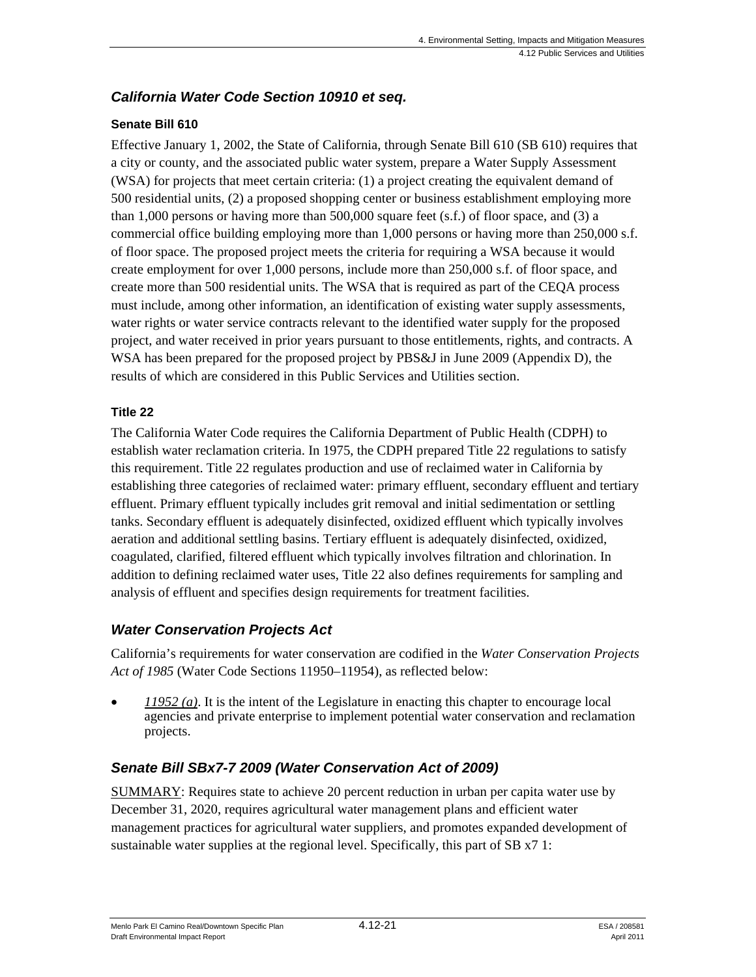# *California Water Code Section 10910 et seq.*

### **Senate Bill 610**

Effective January 1, 2002, the State of California, through Senate Bill 610 (SB 610) requires that a city or county, and the associated public water system, prepare a Water Supply Assessment (WSA) for projects that meet certain criteria: (1) a project creating the equivalent demand of 500 residential units, (2) a proposed shopping center or business establishment employing more than  $1,000$  persons or having more than  $500,000$  square feet (s.f.) of floor space, and (3) a commercial office building employing more than 1,000 persons or having more than 250,000 s.f. of floor space. The proposed project meets the criteria for requiring a WSA because it would create employment for over 1,000 persons, include more than 250,000 s.f. of floor space, and create more than 500 residential units. The WSA that is required as part of the CEQA process must include, among other information, an identification of existing water supply assessments, water rights or water service contracts relevant to the identified water supply for the proposed project, and water received in prior years pursuant to those entitlements, rights, and contracts. A WSA has been prepared for the proposed project by PBS&J in June 2009 (Appendix D), the results of which are considered in this Public Services and Utilities section.

#### **Title 22**

The California Water Code requires the California Department of Public Health (CDPH) to establish water reclamation criteria. In 1975, the CDPH prepared Title 22 regulations to satisfy this requirement. Title 22 regulates production and use of reclaimed water in California by establishing three categories of reclaimed water: primary effluent, secondary effluent and tertiary effluent. Primary effluent typically includes grit removal and initial sedimentation or settling tanks. Secondary effluent is adequately disinfected, oxidized effluent which typically involves aeration and additional settling basins. Tertiary effluent is adequately disinfected, oxidized, coagulated, clarified, filtered effluent which typically involves filtration and chlorination. In addition to defining reclaimed water uses, Title 22 also defines requirements for sampling and analysis of effluent and specifies design requirements for treatment facilities.

# *Water Conservation Projects Act*

California's requirements for water conservation are codified in the *Water Conservation Projects Act of 1985* (Water Code Sections 11950–11954), as reflected below:

 *11952 (a)*. It is the intent of the Legislature in enacting this chapter to encourage local agencies and private enterprise to implement potential water conservation and reclamation projects.

# *Senate Bill SBx7-7 2009 (Water Conservation Act of 2009)*

SUMMARY: Requires state to achieve 20 percent reduction in urban per capita water use by December 31, 2020, requires agricultural water management plans and efficient water management practices for agricultural water suppliers, and promotes expanded development of sustainable water supplies at the regional level. Specifically, this part of SB x7 1: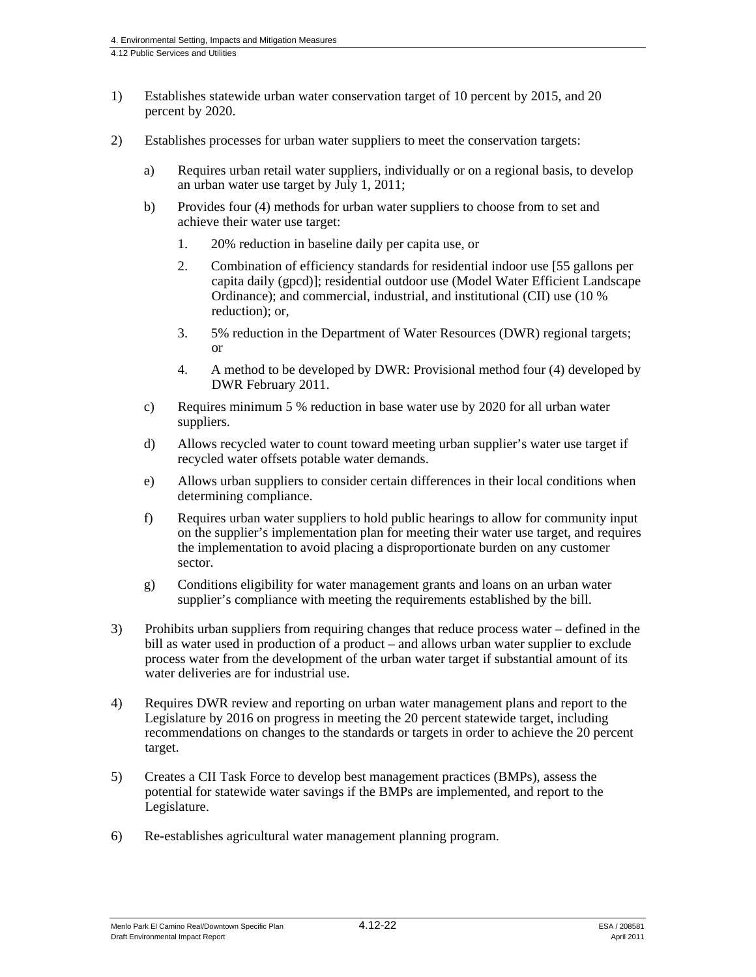- 1) Establishes statewide urban water conservation target of 10 percent by 2015, and 20 percent by 2020.
- 2) Establishes processes for urban water suppliers to meet the conservation targets:
	- a) Requires urban retail water suppliers, individually or on a regional basis, to develop an urban water use target by July 1, 2011;
	- b) Provides four (4) methods for urban water suppliers to choose from to set and achieve their water use target:
		- 1. 20% reduction in baseline daily per capita use, or
		- 2. Combination of efficiency standards for residential indoor use [55 gallons per capita daily (gpcd)]; residential outdoor use (Model Water Efficient Landscape Ordinance); and commercial, industrial, and institutional (CII) use (10 % reduction); or,
		- 3. 5% reduction in the Department of Water Resources (DWR) regional targets; or
		- 4. A method to be developed by DWR: Provisional method four (4) developed by DWR February 2011.
	- c) Requires minimum 5 % reduction in base water use by 2020 for all urban water suppliers.
	- d) Allows recycled water to count toward meeting urban supplier's water use target if recycled water offsets potable water demands.
	- e) Allows urban suppliers to consider certain differences in their local conditions when determining compliance.
	- f) Requires urban water suppliers to hold public hearings to allow for community input on the supplier's implementation plan for meeting their water use target, and requires the implementation to avoid placing a disproportionate burden on any customer sector.
	- g) Conditions eligibility for water management grants and loans on an urban water supplier's compliance with meeting the requirements established by the bill.
- 3) Prohibits urban suppliers from requiring changes that reduce process water defined in the bill as water used in production of a product – and allows urban water supplier to exclude process water from the development of the urban water target if substantial amount of its water deliveries are for industrial use.
- 4) Requires DWR review and reporting on urban water management plans and report to the Legislature by 2016 on progress in meeting the 20 percent statewide target, including recommendations on changes to the standards or targets in order to achieve the 20 percent target.
- 5) Creates a CII Task Force to develop best management practices (BMPs), assess the potential for statewide water savings if the BMPs are implemented, and report to the Legislature.
- 6) Re-establishes agricultural water management planning program.

Menlo Park El Camino Real/Downtown Specific Plan  $4.12$ -22  $\qquad$   $\qquad$   $\qquad$   $\qquad$  ESA / 208581 Draft Environmental Impact Report April 2011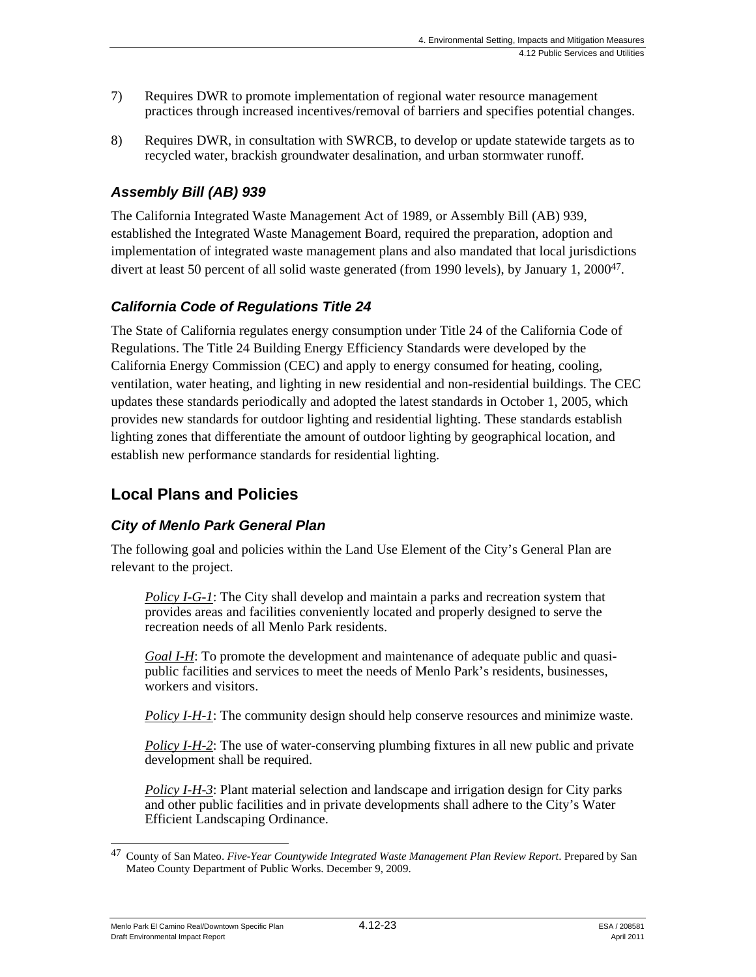- 7) Requires DWR to promote implementation of regional water resource management practices through increased incentives/removal of barriers and specifies potential changes.
- 8) Requires DWR, in consultation with SWRCB, to develop or update statewide targets as to recycled water, brackish groundwater desalination, and urban stormwater runoff.

# *Assembly Bill (AB) 939*

The California Integrated Waste Management Act of 1989, or Assembly Bill (AB) 939, established the Integrated Waste Management Board, required the preparation, adoption and implementation of integrated waste management plans and also mandated that local jurisdictions divert at least 50 percent of all solid waste generated (from 1990 levels), by January 1, 200047.

# *California Code of Regulations Title 24*

The State of California regulates energy consumption under Title 24 of the California Code of Regulations. The Title 24 Building Energy Efficiency Standards were developed by the California Energy Commission (CEC) and apply to energy consumed for heating, cooling, ventilation, water heating, and lighting in new residential and non-residential buildings. The CEC updates these standards periodically and adopted the latest standards in October 1, 2005, which provides new standards for outdoor lighting and residential lighting. These standards establish lighting zones that differentiate the amount of outdoor lighting by geographical location, and establish new performance standards for residential lighting.

# **Local Plans and Policies**

# *City of Menlo Park General Plan*

The following goal and policies within the Land Use Element of the City's General Plan are relevant to the project.

*Policy I-G-1*: The City shall develop and maintain a parks and recreation system that provides areas and facilities conveniently located and properly designed to serve the recreation needs of all Menlo Park residents.

*Goal I-H*: To promote the development and maintenance of adequate public and quasipublic facilities and services to meet the needs of Menlo Park's residents, businesses, workers and visitors.

*Policy I-H-1*: The community design should help conserve resources and minimize waste.

*Policy I-H-2*: The use of water-conserving plumbing fixtures in all new public and private development shall be required.

*Policy I-H-3*: Plant material selection and landscape and irrigation design for City parks and other public facilities and in private developments shall adhere to the City's Water Efficient Landscaping Ordinance.

Menlo Park El Camino Real/Downtown Specific Plan  $4.12$ -23 Alexandre 208581 Draft Environmental Impact Report April 2011

l 47 County of San Mateo. *Five-Year Countywide Integrated Waste Management Plan Review Report*. Prepared by San Mateo County Department of Public Works. December 9, 2009.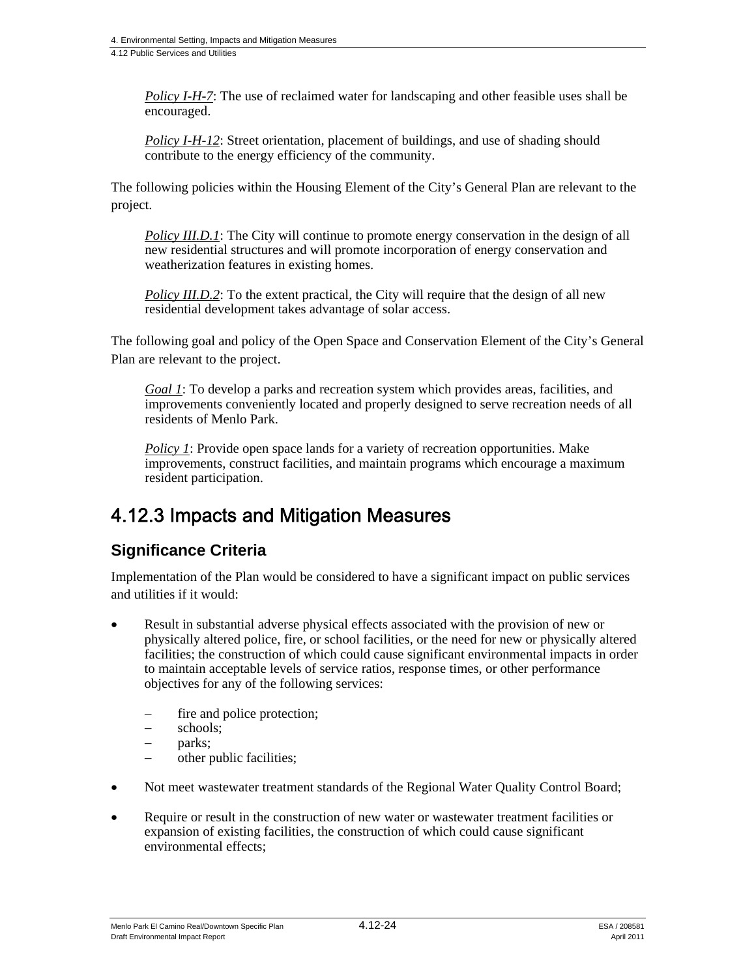*Policy I-H-7*: The use of reclaimed water for landscaping and other feasible uses shall be encouraged.

*Policy I-H-12*: Street orientation, placement of buildings, and use of shading should contribute to the energy efficiency of the community.

The following policies within the Housing Element of the City's General Plan are relevant to the project.

*Policy III.D.1*: The City will continue to promote energy conservation in the design of all new residential structures and will promote incorporation of energy conservation and weatherization features in existing homes.

*Policy III.D.2*: To the extent practical, the City will require that the design of all new residential development takes advantage of solar access.

The following goal and policy of the Open Space and Conservation Element of the City's General Plan are relevant to the project.

*Goal 1*: To develop a parks and recreation system which provides areas, facilities, and improvements conveniently located and properly designed to serve recreation needs of all residents of Menlo Park.

*Policy 1*: Provide open space lands for a variety of recreation opportunities. Make improvements, construct facilities, and maintain programs which encourage a maximum resident participation.

# 4.12.3 Impacts and Mitigation Measures

# **Significance Criteria**

Implementation of the Plan would be considered to have a significant impact on public services and utilities if it would:

- Result in substantial adverse physical effects associated with the provision of new or physically altered police, fire, or school facilities, or the need for new or physically altered facilities; the construction of which could cause significant environmental impacts in order to maintain acceptable levels of service ratios, response times, or other performance objectives for any of the following services:
	- fire and police protection;
	- schools;
	- parks;
	- other public facilities;
- Not meet wastewater treatment standards of the Regional Water Quality Control Board;
- Require or result in the construction of new water or wastewater treatment facilities or expansion of existing facilities, the construction of which could cause significant environmental effects;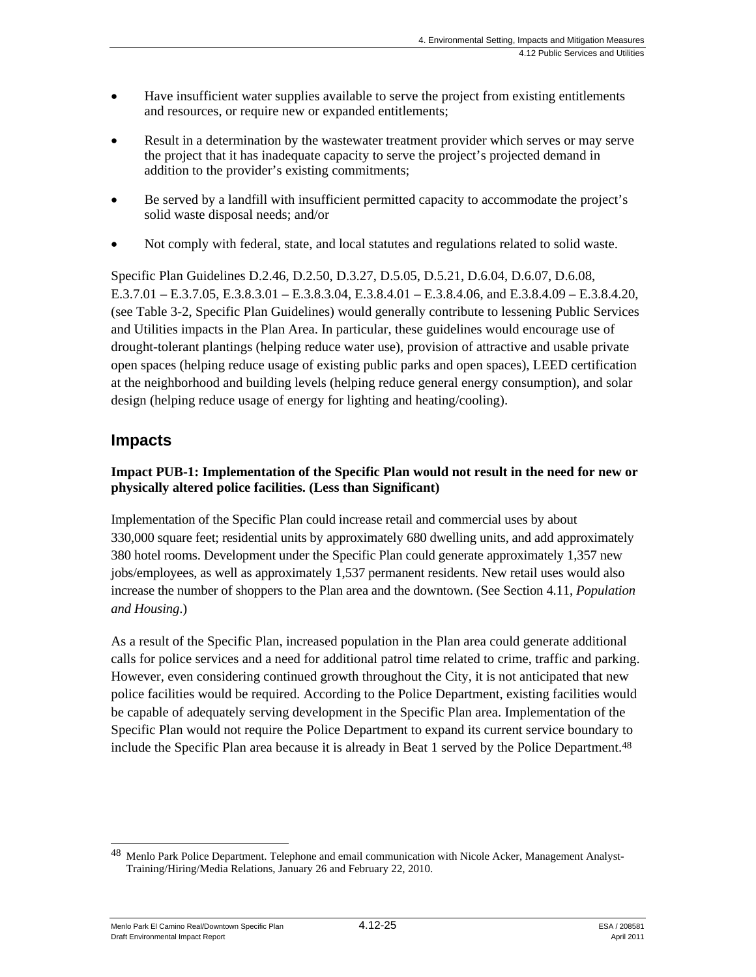- Have insufficient water supplies available to serve the project from existing entitlements and resources, or require new or expanded entitlements;
- Result in a determination by the wastewater treatment provider which serves or may serve the project that it has inadequate capacity to serve the project's projected demand in addition to the provider's existing commitments;
- Be served by a landfill with insufficient permitted capacity to accommodate the project's solid waste disposal needs; and/or
- Not comply with federal, state, and local statutes and regulations related to solid waste.

Specific Plan Guidelines D.2.46, D.2.50, D.3.27, D.5.05, D.5.21, D.6.04, D.6.07, D.6.08, E.3.7.01 – E.3.7.05, E.3.8.3.01 – E.3.8.3.04, E.3.8.4.01 – E.3.8.4.06, and E.3.8.4.09 – E.3.8.4.20, (see Table 3-2, Specific Plan Guidelines) would generally contribute to lessening Public Services and Utilities impacts in the Plan Area. In particular, these guidelines would encourage use of drought-tolerant plantings (helping reduce water use), provision of attractive and usable private open spaces (helping reduce usage of existing public parks and open spaces), LEED certification at the neighborhood and building levels (helping reduce general energy consumption), and solar design (helping reduce usage of energy for lighting and heating/cooling).

# **Impacts**

# **Impact PUB-1: Implementation of the Specific Plan would not result in the need for new or physically altered police facilities. (Less than Significant)**

Implementation of the Specific Plan could increase retail and commercial uses by about 330,000 square feet; residential units by approximately 680 dwelling units, and add approximately 380 hotel rooms. Development under the Specific Plan could generate approximately 1,357 new jobs/employees, as well as approximately 1,537 permanent residents. New retail uses would also increase the number of shoppers to the Plan area and the downtown. (See Section 4.11, *Population and Housing*.)

As a result of the Specific Plan, increased population in the Plan area could generate additional calls for police services and a need for additional patrol time related to crime, traffic and parking. However, even considering continued growth throughout the City, it is not anticipated that new police facilities would be required. According to the Police Department, existing facilities would be capable of adequately serving development in the Specific Plan area. Implementation of the Specific Plan would not require the Police Department to expand its current service boundary to include the Specific Plan area because it is already in Beat 1 served by the Police Department.<sup>48</sup>

Menlo Park El Camino Real/Downtown Specific Plan  $4.12$ - $25$  ESA / 208581 Draft Environmental Impact Report April 2011

l <sup>48</sup> Menlo Park Police Department. Telephone and email communication with Nicole Acker, Management Analyst-Training/Hiring/Media Relations, January 26 and February 22, 2010.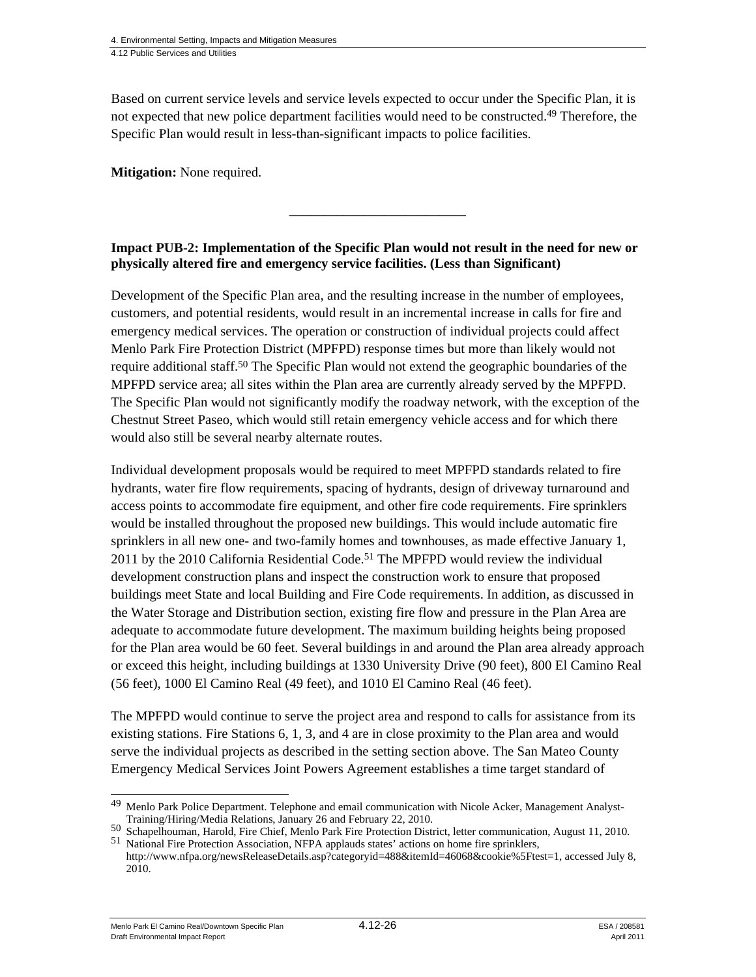Based on current service levels and service levels expected to occur under the Specific Plan, it is not expected that new police department facilities would need to be constructed.49 Therefore, the Specific Plan would result in less-than-significant impacts to police facilities.

**Mitigation:** None required.

## **Impact PUB-2: Implementation of the Specific Plan would not result in the need for new or physically altered fire and emergency service facilities. (Less than Significant)**

**\_\_\_\_\_\_\_\_\_\_\_\_\_\_\_\_\_\_\_\_\_\_\_\_\_\_** 

Development of the Specific Plan area, and the resulting increase in the number of employees, customers, and potential residents, would result in an incremental increase in calls for fire and emergency medical services. The operation or construction of individual projects could affect Menlo Park Fire Protection District (MPFPD) response times but more than likely would not require additional staff.<sup>50</sup> The Specific Plan would not extend the geographic boundaries of the MPFPD service area; all sites within the Plan area are currently already served by the MPFPD. The Specific Plan would not significantly modify the roadway network, with the exception of the Chestnut Street Paseo, which would still retain emergency vehicle access and for which there would also still be several nearby alternate routes.

Individual development proposals would be required to meet MPFPD standards related to fire hydrants, water fire flow requirements, spacing of hydrants, design of driveway turnaround and access points to accommodate fire equipment, and other fire code requirements. Fire sprinklers would be installed throughout the proposed new buildings. This would include automatic fire sprinklers in all new one- and two-family homes and townhouses, as made effective January 1,  $2011$  by the  $2010$  California Residential Code.<sup>51</sup> The MPFPD would review the individual development construction plans and inspect the construction work to ensure that proposed buildings meet State and local Building and Fire Code requirements. In addition, as discussed in the Water Storage and Distribution section, existing fire flow and pressure in the Plan Area are adequate to accommodate future development. The maximum building heights being proposed for the Plan area would be 60 feet. Several buildings in and around the Plan area already approach or exceed this height, including buildings at 1330 University Drive (90 feet), 800 El Camino Real (56 feet), 1000 El Camino Real (49 feet), and 1010 El Camino Real (46 feet).

The MPFPD would continue to serve the project area and respond to calls for assistance from its existing stations. Fire Stations 6, 1, 3, and 4 are in close proximity to the Plan area and would serve the individual projects as described in the setting section above. The San Mateo County Emergency Medical Services Joint Powers Agreement establishes a time target standard of

Menlo Park El Camino Real/Downtown Specific Plan  $4.12$ - $26$  ESA / 208581 Draft Environmental Impact Report April 2011

 $\overline{\phantom{a}}$ 49 Menlo Park Police Department. Telephone and email communication with Nicole Acker, Management Analyst-Training/Hiring/Media Relations, January 26 and February 22, 2010.

<sup>50</sup> Schapelhouman, Harold, Fire Chief, Menlo Park Fire Protection District, letter communication, August 11, 2010.<br>51 National Fire Protection Association, NFPA applauds states' actions on home fire sprinklers,

http://www.nfpa.org/newsReleaseDetails.asp?categoryid=488&itemId=46068&cookie%5Ftest=1, accessed July 8, 2010.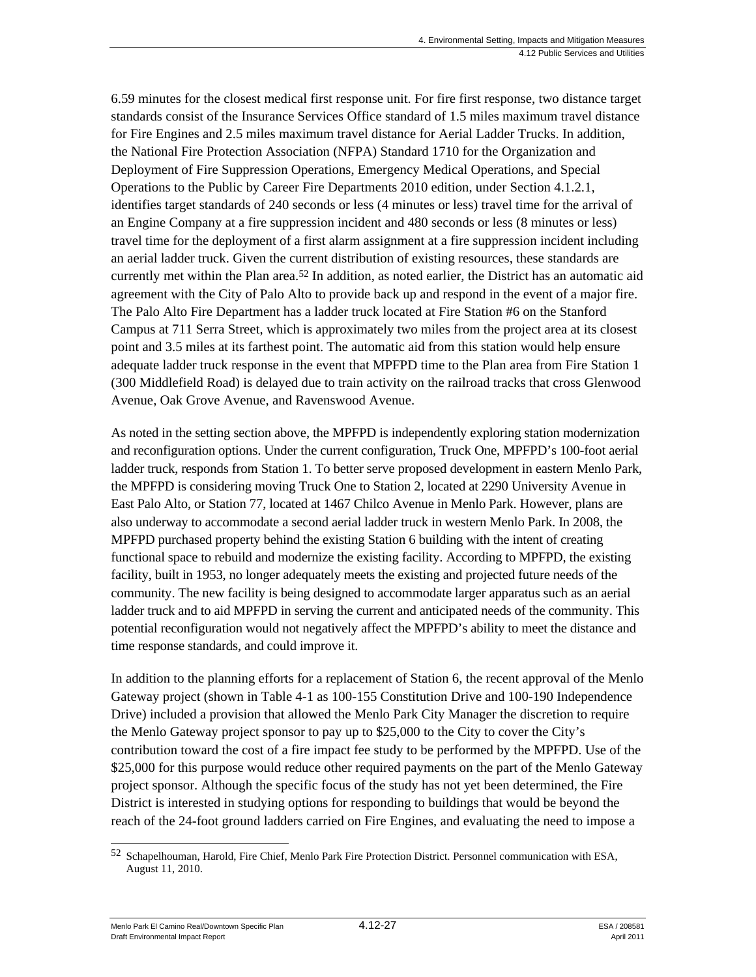6.59 minutes for the closest medical first response unit. For fire first response, two distance target standards consist of the Insurance Services Office standard of 1.5 miles maximum travel distance for Fire Engines and 2.5 miles maximum travel distance for Aerial Ladder Trucks. In addition, the National Fire Protection Association (NFPA) Standard 1710 for the Organization and Deployment of Fire Suppression Operations, Emergency Medical Operations, and Special Operations to the Public by Career Fire Departments 2010 edition, under Section 4.1.2.1, identifies target standards of 240 seconds or less (4 minutes or less) travel time for the arrival of an Engine Company at a fire suppression incident and 480 seconds or less (8 minutes or less) travel time for the deployment of a first alarm assignment at a fire suppression incident including an aerial ladder truck. Given the current distribution of existing resources, these standards are currently met within the Plan area.52 In addition, as noted earlier, the District has an automatic aid agreement with the City of Palo Alto to provide back up and respond in the event of a major fire. The Palo Alto Fire Department has a ladder truck located at Fire Station #6 on the Stanford Campus at 711 Serra Street, which is approximately two miles from the project area at its closest point and 3.5 miles at its farthest point. The automatic aid from this station would help ensure adequate ladder truck response in the event that MPFPD time to the Plan area from Fire Station 1 (300 Middlefield Road) is delayed due to train activity on the railroad tracks that cross Glenwood Avenue, Oak Grove Avenue, and Ravenswood Avenue.

As noted in the setting section above, the MPFPD is independently exploring station modernization and reconfiguration options. Under the current configuration, Truck One, MPFPD's 100-foot aerial ladder truck, responds from Station 1. To better serve proposed development in eastern Menlo Park, the MPFPD is considering moving Truck One to Station 2, located at 2290 University Avenue in East Palo Alto, or Station 77, located at 1467 Chilco Avenue in Menlo Park. However, plans are also underway to accommodate a second aerial ladder truck in western Menlo Park. In 2008, the MPFPD purchased property behind the existing Station 6 building with the intent of creating functional space to rebuild and modernize the existing facility. According to MPFPD, the existing facility, built in 1953, no longer adequately meets the existing and projected future needs of the community. The new facility is being designed to accommodate larger apparatus such as an aerial ladder truck and to aid MPFPD in serving the current and anticipated needs of the community. This potential reconfiguration would not negatively affect the MPFPD's ability to meet the distance and time response standards, and could improve it.

In addition to the planning efforts for a replacement of Station 6, the recent approval of the Menlo Gateway project (shown in Table 4-1 as 100-155 Constitution Drive and 100-190 Independence Drive) included a provision that allowed the Menlo Park City Manager the discretion to require the Menlo Gateway project sponsor to pay up to \$25,000 to the City to cover the City's contribution toward the cost of a fire impact fee study to be performed by the MPFPD. Use of the \$25,000 for this purpose would reduce other required payments on the part of the Menlo Gateway project sponsor. Although the specific focus of the study has not yet been determined, the Fire District is interested in studying options for responding to buildings that would be beyond the reach of the 24-foot ground ladders carried on Fire Engines, and evaluating the need to impose a

Menlo Park El Camino Real/Downtown Specific Plan  $4.12$ -27  $\qquad$   $\qquad$   $\qquad$   $\qquad$  ESA / 208581 Draft Environmental Impact Report April 2011

<sup>1</sup> 52 Schapelhouman, Harold, Fire Chief, Menlo Park Fire Protection District. Personnel communication with ESA, August 11, 2010.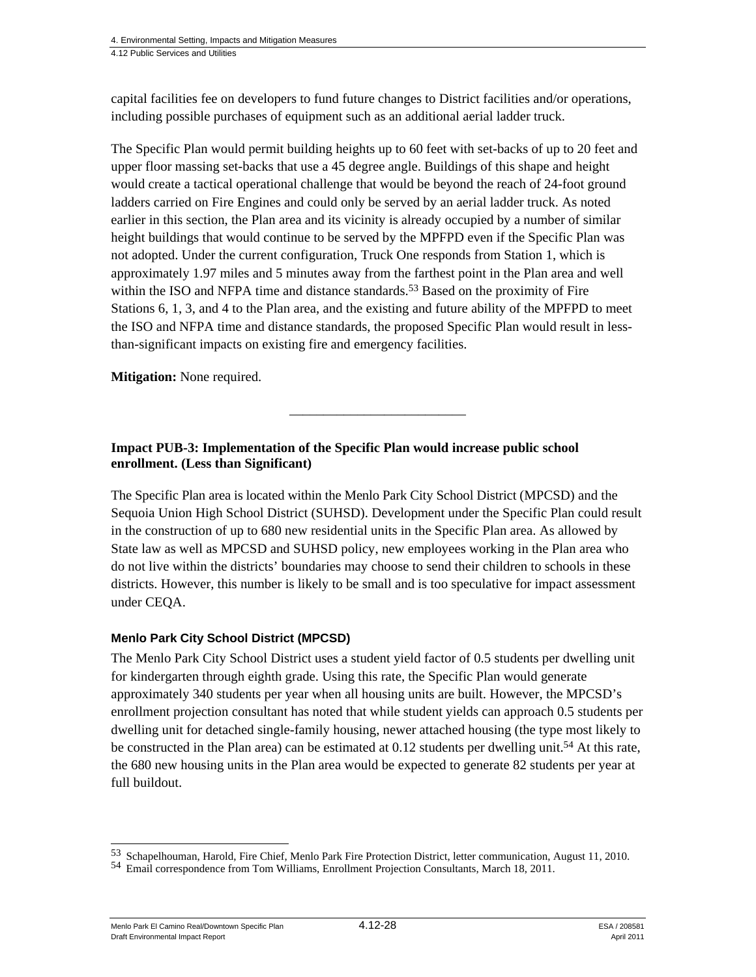4. Environmental Setting, Impacts and Mitigation Measures

4.12 Public Services and Utilities

capital facilities fee on developers to fund future changes to District facilities and/or operations, including possible purchases of equipment such as an additional aerial ladder truck.

The Specific Plan would permit building heights up to 60 feet with set-backs of up to 20 feet and upper floor massing set-backs that use a 45 degree angle. Buildings of this shape and height would create a tactical operational challenge that would be beyond the reach of 24-foot ground ladders carried on Fire Engines and could only be served by an aerial ladder truck. As noted earlier in this section, the Plan area and its vicinity is already occupied by a number of similar height buildings that would continue to be served by the MPFPD even if the Specific Plan was not adopted. Under the current configuration, Truck One responds from Station 1, which is approximately 1.97 miles and 5 minutes away from the farthest point in the Plan area and well within the ISO and NFPA time and distance standards.<sup>53</sup> Based on the proximity of Fire Stations 6, 1, 3, and 4 to the Plan area, and the existing and future ability of the MPFPD to meet the ISO and NFPA time and distance standards, the proposed Specific Plan would result in lessthan-significant impacts on existing fire and emergency facilities.

**Mitigation:** None required.

## **Impact PUB-3: Implementation of the Specific Plan would increase public school enrollment. (Less than Significant)**

The Specific Plan area is located within the Menlo Park City School District (MPCSD) and the Sequoia Union High School District (SUHSD). Development under the Specific Plan could result in the construction of up to 680 new residential units in the Specific Plan area. As allowed by State law as well as MPCSD and SUHSD policy, new employees working in the Plan area who do not live within the districts' boundaries may choose to send their children to schools in these districts. However, this number is likely to be small and is too speculative for impact assessment under CEQA.

\_\_\_\_\_\_\_\_\_\_\_\_\_\_\_\_\_\_\_\_\_\_\_\_\_\_

#### **Menlo Park City School District (MPCSD)**

The Menlo Park City School District uses a student yield factor of 0.5 students per dwelling unit for kindergarten through eighth grade. Using this rate, the Specific Plan would generate approximately 340 students per year when all housing units are built. However, the MPCSD's enrollment projection consultant has noted that while student yields can approach 0.5 students per dwelling unit for detached single-family housing, newer attached housing (the type most likely to be constructed in the Plan area) can be estimated at  $0.12$  students per dwelling unit.<sup>54</sup> At this rate, the 680 new housing units in the Plan area would be expected to generate 82 students per year at full buildout.

Menlo Park El Camino Real/Downtown Specific Plan  $4.12$ -28 ESA / 208581 Draft Environmental Impact Report April 2011

1

<sup>53</sup> Schapelhouman, Harold, Fire Chief, Menlo Park Fire Protection District, letter communication, August 11, 2010.<br>54 Email correspondence from Tom Williams, Enrollment Projection Consultants, March 18, 2011.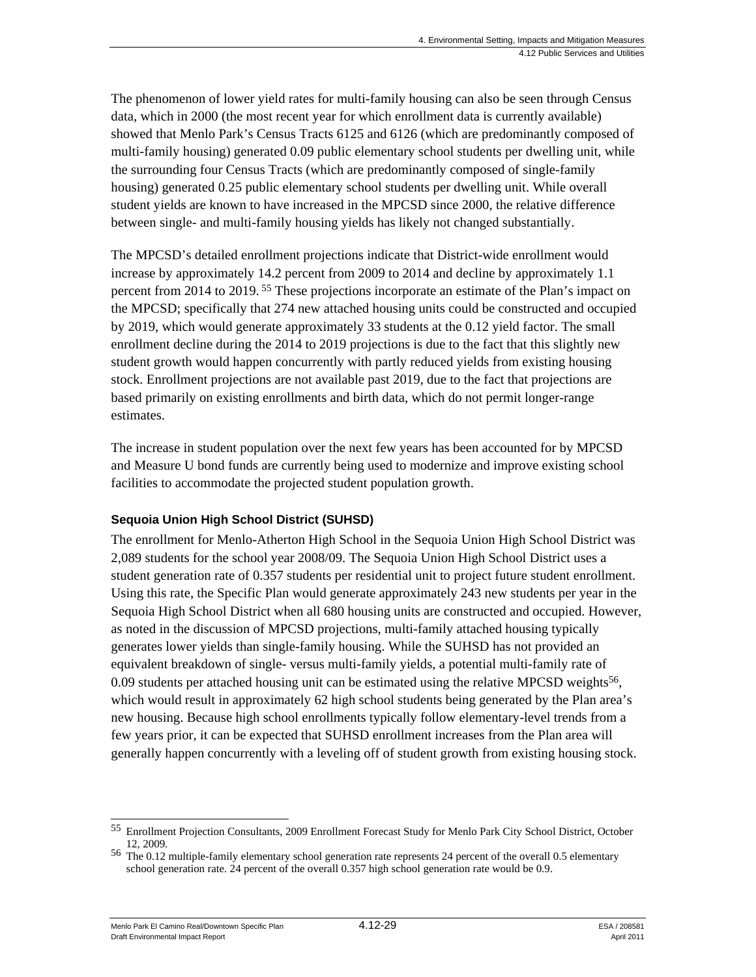The phenomenon of lower yield rates for multi-family housing can also be seen through Census data, which in 2000 (the most recent year for which enrollment data is currently available) showed that Menlo Park's Census Tracts 6125 and 6126 (which are predominantly composed of multi-family housing) generated 0.09 public elementary school students per dwelling unit, while the surrounding four Census Tracts (which are predominantly composed of single-family housing) generated 0.25 public elementary school students per dwelling unit. While overall student yields are known to have increased in the MPCSD since 2000, the relative difference between single- and multi-family housing yields has likely not changed substantially.

The MPCSD's detailed enrollment projections indicate that District-wide enrollment would increase by approximately 14.2 percent from 2009 to 2014 and decline by approximately 1.1 percent from 2014 to 2019. 55 These projections incorporate an estimate of the Plan's impact on the MPCSD; specifically that 274 new attached housing units could be constructed and occupied by 2019, which would generate approximately 33 students at the 0.12 yield factor. The small enrollment decline during the 2014 to 2019 projections is due to the fact that this slightly new student growth would happen concurrently with partly reduced yields from existing housing stock. Enrollment projections are not available past 2019, due to the fact that projections are based primarily on existing enrollments and birth data, which do not permit longer-range estimates.

The increase in student population over the next few years has been accounted for by MPCSD and Measure U bond funds are currently being used to modernize and improve existing school facilities to accommodate the projected student population growth.

# **Sequoia Union High School District (SUHSD)**

The enrollment for Menlo-Atherton High School in the Sequoia Union High School District was 2,089 students for the school year 2008/09. The Sequoia Union High School District uses a student generation rate of 0.357 students per residential unit to project future student enrollment. Using this rate, the Specific Plan would generate approximately 243 new students per year in the Sequoia High School District when all 680 housing units are constructed and occupied. However, as noted in the discussion of MPCSD projections, multi-family attached housing typically generates lower yields than single-family housing. While the SUHSD has not provided an equivalent breakdown of single- versus multi-family yields, a potential multi-family rate of 0.09 students per attached housing unit can be estimated using the relative MPCSD weights<sup>56</sup>, which would result in approximately 62 high school students being generated by the Plan area's new housing. Because high school enrollments typically follow elementary-level trends from a few years prior, it can be expected that SUHSD enrollment increases from the Plan area will generally happen concurrently with a leveling off of student growth from existing housing stock.

Menlo Park El Camino Real/Downtown Specific Plan  $4.12$ -29  $\qquad$   $\qquad$   $\qquad$   $\qquad$  ESA / 208581 Draft Environmental Impact Report April 2011

l 55 Enrollment Projection Consultants, 2009 Enrollment Forecast Study for Menlo Park City School District, October 12, 2009.

<sup>56</sup> The 0.12 multiple-family elementary school generation rate represents 24 percent of the overall 0.5 elementary school generation rate. 24 percent of the overall 0.357 high school generation rate would be 0.9.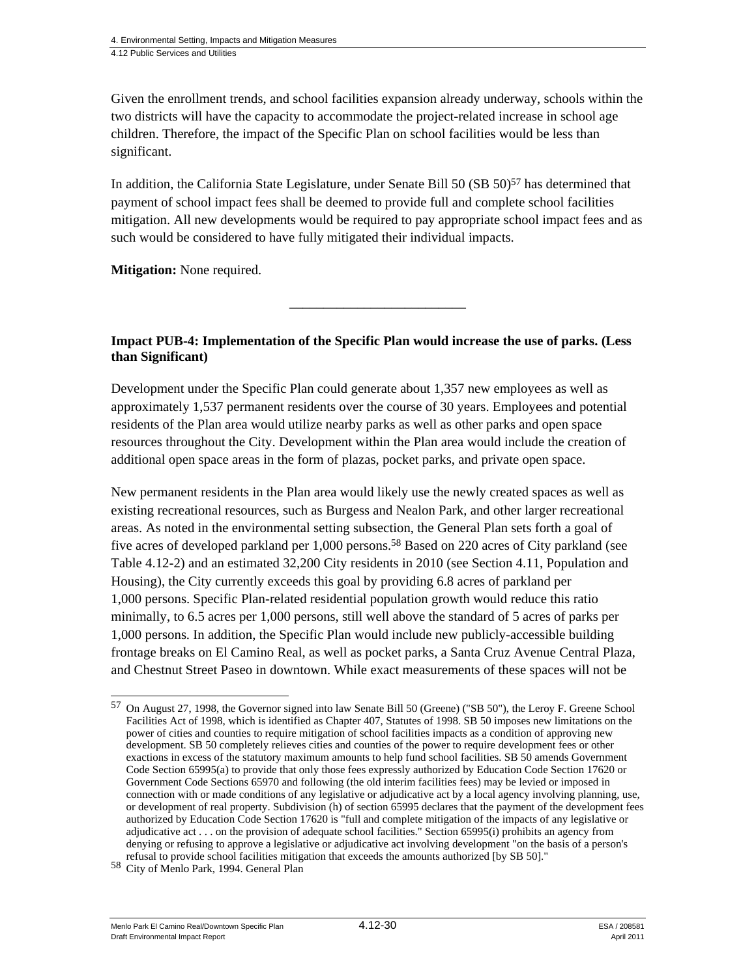Given the enrollment trends, and school facilities expansion already underway, schools within the two districts will have the capacity to accommodate the project-related increase in school age children. Therefore, the impact of the Specific Plan on school facilities would be less than significant.

In addition, the California State Legislature, under Senate Bill 50 (SB 50)<sup>57</sup> has determined that payment of school impact fees shall be deemed to provide full and complete school facilities mitigation. All new developments would be required to pay appropriate school impact fees and as such would be considered to have fully mitigated their individual impacts.

**Mitigation:** None required.

**Impact PUB-4: Implementation of the Specific Plan would increase the use of parks. (Less than Significant)** 

\_\_\_\_\_\_\_\_\_\_\_\_\_\_\_\_\_\_\_\_\_\_\_\_\_\_

Development under the Specific Plan could generate about 1,357 new employees as well as approximately 1,537 permanent residents over the course of 30 years. Employees and potential residents of the Plan area would utilize nearby parks as well as other parks and open space resources throughout the City. Development within the Plan area would include the creation of additional open space areas in the form of plazas, pocket parks, and private open space.

New permanent residents in the Plan area would likely use the newly created spaces as well as existing recreational resources, such as Burgess and Nealon Park, and other larger recreational areas. As noted in the environmental setting subsection, the General Plan sets forth a goal of five acres of developed parkland per 1,000 persons.58 Based on 220 acres of City parkland (see Table 4.12-2) and an estimated 32,200 City residents in 2010 (see Section 4.11, Population and Housing), the City currently exceeds this goal by providing 6.8 acres of parkland per 1,000 persons. Specific Plan-related residential population growth would reduce this ratio minimally, to 6.5 acres per 1,000 persons, still well above the standard of 5 acres of parks per 1,000 persons. In addition, the Specific Plan would include new publicly-accessible building frontage breaks on El Camino Real, as well as pocket parks, a Santa Cruz Avenue Central Plaza, and Chestnut Street Paseo in downtown. While exact measurements of these spaces will not be

l

<sup>57</sup> On August 27, 1998, the Governor signed into law Senate Bill 50 (Greene) ("SB 50"), the Leroy F. Greene School Facilities Act of 1998, which is identified as Chapter 407, Statutes of 1998. SB 50 imposes new limitations on the power of cities and counties to require mitigation of school facilities impacts as a condition of approving new development. SB 50 completely relieves cities and counties of the power to require development fees or other exactions in excess of the statutory maximum amounts to help fund school facilities. SB 50 amends Government Code Section 65995(a) to provide that only those fees expressly authorized by Education Code Section 17620 or Government Code Sections 65970 and following (the old interim facilities fees) may be levied or imposed in connection with or made conditions of any legislative or adjudicative act by a local agency involving planning, use, or development of real property. Subdivision (h) of section 65995 declares that the payment of the development fees authorized by Education Code Section 17620 is "full and complete mitigation of the impacts of any legislative or adjudicative act . . . on the provision of adequate school facilities." Section 65995(i) prohibits an agency from denying or refusing to approve a legislative or adjudicative act involving development "on the basis of a person's refusal to provide school facilities mitigation that exceeds the amounts authorized [by SB 50]." 58 City of Menlo Park, 1994. General Plan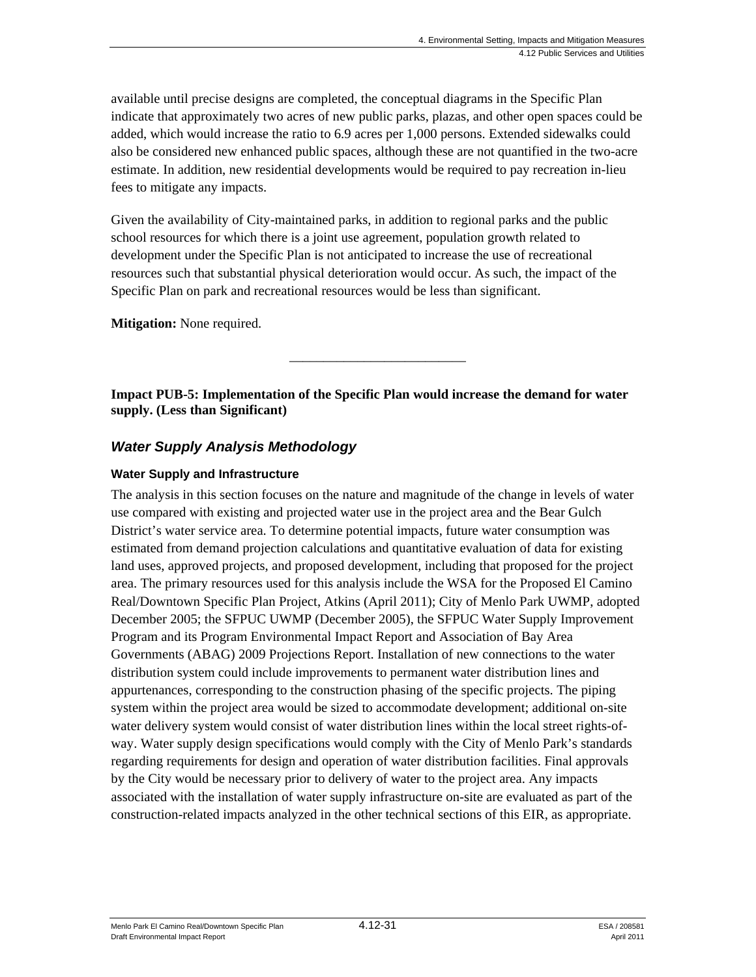available until precise designs are completed, the conceptual diagrams in the Specific Plan indicate that approximately two acres of new public parks, plazas, and other open spaces could be added, which would increase the ratio to 6.9 acres per 1,000 persons. Extended sidewalks could also be considered new enhanced public spaces, although these are not quantified in the two-acre estimate. In addition, new residential developments would be required to pay recreation in-lieu fees to mitigate any impacts.

Given the availability of City-maintained parks, in addition to regional parks and the public school resources for which there is a joint use agreement, population growth related to development under the Specific Plan is not anticipated to increase the use of recreational resources such that substantial physical deterioration would occur. As such, the impact of the Specific Plan on park and recreational resources would be less than significant.

**Mitigation:** None required.

**Impact PUB-5: Implementation of the Specific Plan would increase the demand for water supply. (Less than Significant)** 

\_\_\_\_\_\_\_\_\_\_\_\_\_\_\_\_\_\_\_\_\_\_\_\_\_\_

# *Water Supply Analysis Methodology*

#### **Water Supply and Infrastructure**

The analysis in this section focuses on the nature and magnitude of the change in levels of water use compared with existing and projected water use in the project area and the Bear Gulch District's water service area. To determine potential impacts, future water consumption was estimated from demand projection calculations and quantitative evaluation of data for existing land uses, approved projects, and proposed development, including that proposed for the project area. The primary resources used for this analysis include the WSA for the Proposed El Camino Real/Downtown Specific Plan Project, Atkins (April 2011); City of Menlo Park UWMP, adopted December 2005; the SFPUC UWMP (December 2005), the SFPUC Water Supply Improvement Program and its Program Environmental Impact Report and Association of Bay Area Governments (ABAG) 2009 Projections Report. Installation of new connections to the water distribution system could include improvements to permanent water distribution lines and appurtenances, corresponding to the construction phasing of the specific projects. The piping system within the project area would be sized to accommodate development; additional on-site water delivery system would consist of water distribution lines within the local street rights-ofway. Water supply design specifications would comply with the City of Menlo Park's standards regarding requirements for design and operation of water distribution facilities. Final approvals by the City would be necessary prior to delivery of water to the project area. Any impacts associated with the installation of water supply infrastructure on-site are evaluated as part of the construction-related impacts analyzed in the other technical sections of this EIR, as appropriate.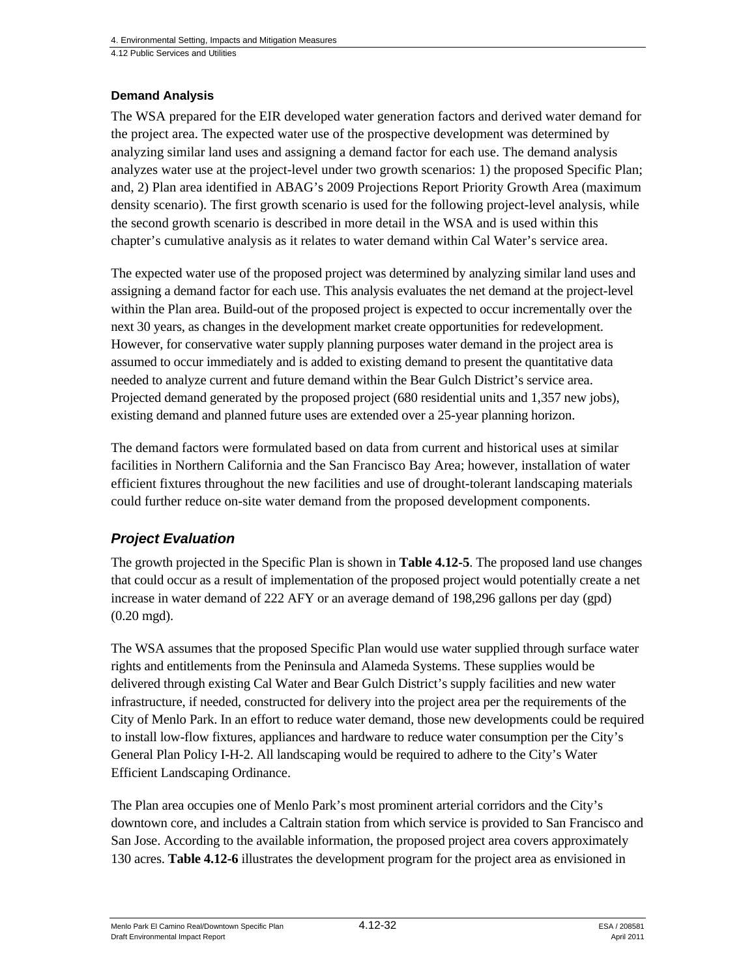#### **Demand Analysis**

The WSA prepared for the EIR developed water generation factors and derived water demand for the project area. The expected water use of the prospective development was determined by analyzing similar land uses and assigning a demand factor for each use. The demand analysis analyzes water use at the project-level under two growth scenarios: 1) the proposed Specific Plan; and, 2) Plan area identified in ABAG's 2009 Projections Report Priority Growth Area (maximum density scenario). The first growth scenario is used for the following project-level analysis, while the second growth scenario is described in more detail in the WSA and is used within this chapter's cumulative analysis as it relates to water demand within Cal Water's service area.

The expected water use of the proposed project was determined by analyzing similar land uses and assigning a demand factor for each use. This analysis evaluates the net demand at the project-level within the Plan area. Build-out of the proposed project is expected to occur incrementally over the next 30 years, as changes in the development market create opportunities for redevelopment. However, for conservative water supply planning purposes water demand in the project area is assumed to occur immediately and is added to existing demand to present the quantitative data needed to analyze current and future demand within the Bear Gulch District's service area. Projected demand generated by the proposed project (680 residential units and 1,357 new jobs), existing demand and planned future uses are extended over a 25-year planning horizon.

The demand factors were formulated based on data from current and historical uses at similar facilities in Northern California and the San Francisco Bay Area; however, installation of water efficient fixtures throughout the new facilities and use of drought-tolerant landscaping materials could further reduce on-site water demand from the proposed development components.

# *Project Evaluation*

The growth projected in the Specific Plan is shown in **Table 4.12-5**. The proposed land use changes that could occur as a result of implementation of the proposed project would potentially create a net increase in water demand of 222 AFY or an average demand of 198,296 gallons per day (gpd) (0.20 mgd).

The WSA assumes that the proposed Specific Plan would use water supplied through surface water rights and entitlements from the Peninsula and Alameda Systems. These supplies would be delivered through existing Cal Water and Bear Gulch District's supply facilities and new water infrastructure, if needed, constructed for delivery into the project area per the requirements of the City of Menlo Park. In an effort to reduce water demand, those new developments could be required to install low-flow fixtures, appliances and hardware to reduce water consumption per the City's General Plan Policy I-H-2. All landscaping would be required to adhere to the City's Water Efficient Landscaping Ordinance.

The Plan area occupies one of Menlo Park's most prominent arterial corridors and the City's downtown core, and includes a Caltrain station from which service is provided to San Francisco and San Jose. According to the available information, the proposed project area covers approximately 130 acres. **Table 4.12-6** illustrates the development program for the project area as envisioned in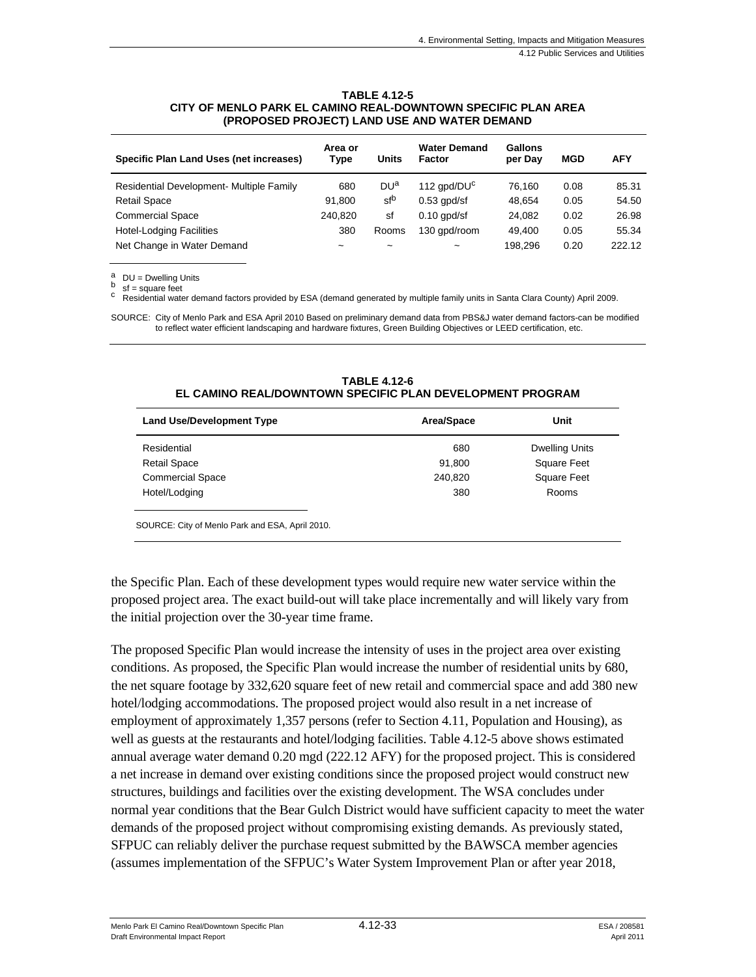#### **TABLE 4.12-5 CITY OF MENLO PARK EL CAMINO REAL-DOWNTOWN SPECIFIC PLAN AREA (PROPOSED PROJECT) LAND USE AND WATER DEMAND**

| Specific Plan Land Uses (net increases)  | Area or<br>Type | Units                 | <b>Water Demand</b><br>Factor | Gallons<br>per Day | <b>MGD</b> | <b>AFY</b> |
|------------------------------------------|-----------------|-----------------------|-------------------------------|--------------------|------------|------------|
| Residential Development- Multiple Family | 680             | DU <sup>a</sup>       | 112 $qpd/DUc$                 | 76.160             | 0.08       | 85.31      |
| <b>Retail Space</b>                      | 91.800          | sfb                   | $0.53$ apd/sf                 | 48.654             | 0.05       | 54.50      |
| <b>Commercial Space</b>                  | 240.820         | sf                    | $0.10$ apd/sf                 | 24,082             | 0.02       | 26.98      |
| <b>Hotel-Lodging Facilities</b>          | 380             | Rooms                 | 130 gpd/room                  | 49.400             | 0.05       | 55.34      |
| Net Change in Water Demand               | $\tilde{}$      | $\tilde{\phantom{a}}$ | $\tilde{\phantom{a}}$         | 198.296            | 0.20       | 222.12     |

 $\overset{a}{\underset{b}{\text{D}}}$  DU = Dwelling Units

 $sf$  = square feet

c Residential water demand factors provided by ESA (demand generated by multiple family units in Santa Clara County) April 2009.

SOURCE: City of Menlo Park and ESA April 2010 Based on preliminary demand data from PBS&J water demand factors-can be modified to reflect water efficient landscaping and hardware fixtures, Green Building Objectives or LEED certification, etc.

#### **TABLE 4.12-6 EL CAMINO REAL/DOWNTOWN SPECIFIC PLAN DEVELOPMENT PROGRAM**

| <b>Land Use/Development Type</b> | Area/Space | Unit                  |
|----------------------------------|------------|-----------------------|
| Residential                      | 680        | <b>Dwelling Units</b> |
| <b>Retail Space</b>              | 91,800     | <b>Square Feet</b>    |
| <b>Commercial Space</b>          | 240,820    | <b>Square Feet</b>    |
| Hotel/Lodging                    | 380        | Rooms                 |
|                                  |            |                       |

SOURCE: City of Menlo Park and ESA, April 2010.

the Specific Plan. Each of these development types would require new water service within the proposed project area. The exact build-out will take place incrementally and will likely vary from the initial projection over the 30-year time frame.

The proposed Specific Plan would increase the intensity of uses in the project area over existing conditions. As proposed, the Specific Plan would increase the number of residential units by 680, the net square footage by 332,620 square feet of new retail and commercial space and add 380 new hotel/lodging accommodations. The proposed project would also result in a net increase of employment of approximately 1,357 persons (refer to Section 4.11, Population and Housing), as well as guests at the restaurants and hotel/lodging facilities. Table 4.12-5 above shows estimated annual average water demand 0.20 mgd (222.12 AFY) for the proposed project. This is considered a net increase in demand over existing conditions since the proposed project would construct new structures, buildings and facilities over the existing development. The WSA concludes under normal year conditions that the Bear Gulch District would have sufficient capacity to meet the water demands of the proposed project without compromising existing demands. As previously stated, SFPUC can reliably deliver the purchase request submitted by the BAWSCA member agencies (assumes implementation of the SFPUC's Water System Improvement Plan or after year 2018,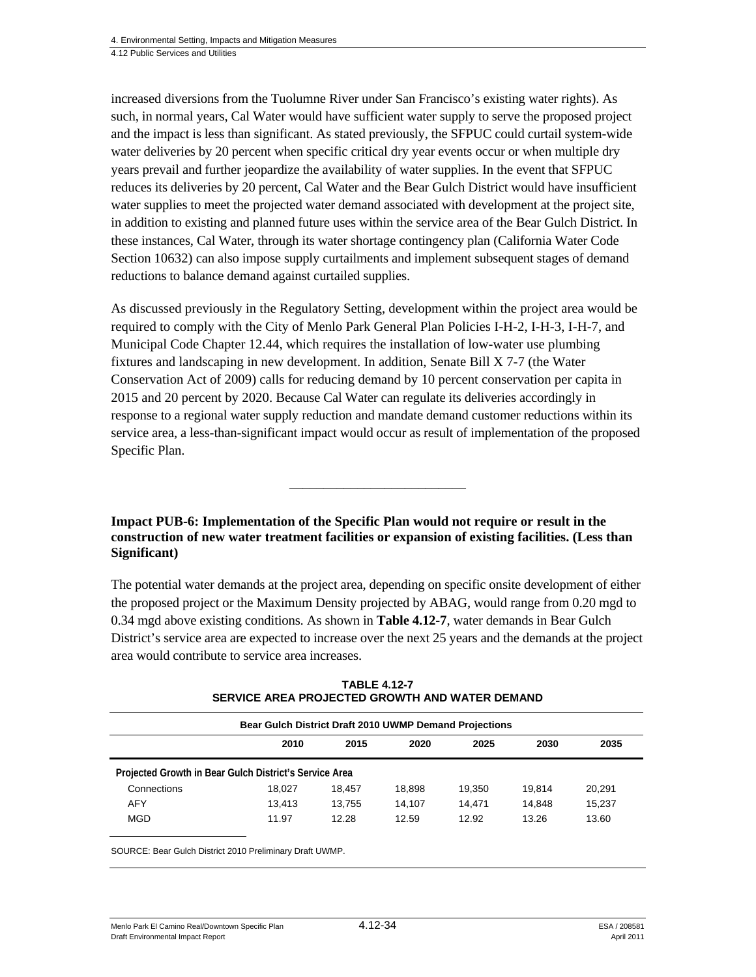increased diversions from the Tuolumne River under San Francisco's existing water rights). As such, in normal years, Cal Water would have sufficient water supply to serve the proposed project and the impact is less than significant. As stated previously, the SFPUC could curtail system-wide water deliveries by 20 percent when specific critical dry year events occur or when multiple dry years prevail and further jeopardize the availability of water supplies. In the event that SFPUC reduces its deliveries by 20 percent, Cal Water and the Bear Gulch District would have insufficient water supplies to meet the projected water demand associated with development at the project site, in addition to existing and planned future uses within the service area of the Bear Gulch District. In these instances, Cal Water, through its water shortage contingency plan (California Water Code Section 10632) can also impose supply curtailments and implement subsequent stages of demand reductions to balance demand against curtailed supplies.

As discussed previously in the Regulatory Setting, development within the project area would be required to comply with the City of Menlo Park General Plan Policies I-H-2, I-H-3, I-H-7, and Municipal Code Chapter 12.44, which requires the installation of low-water use plumbing fixtures and landscaping in new development. In addition, Senate Bill X 7-7 (the Water Conservation Act of 2009) calls for reducing demand by 10 percent conservation per capita in 2015 and 20 percent by 2020. Because Cal Water can regulate its deliveries accordingly in response to a regional water supply reduction and mandate demand customer reductions within its service area, a less-than-significant impact would occur as result of implementation of the proposed Specific Plan.

**Impact PUB-6: Implementation of the Specific Plan would not require or result in the construction of new water treatment facilities or expansion of existing facilities. (Less than Significant)** 

\_\_\_\_\_\_\_\_\_\_\_\_\_\_\_\_\_\_\_\_\_\_\_\_\_\_

The potential water demands at the project area, depending on specific onsite development of either the proposed project or the Maximum Density projected by ABAG, would range from 0.20 mgd to 0.34 mgd above existing conditions. As shown in **Table 4.12-7**, water demands in Bear Gulch District's service area are expected to increase over the next 25 years and the demands at the project area would contribute to service area increases.

|                                                        |        |        | Bear Gulch District Draft 2010 UWMP Demand Projections |        |        |        |
|--------------------------------------------------------|--------|--------|--------------------------------------------------------|--------|--------|--------|
|                                                        | 2010   | 2015   | 2020                                                   | 2025   | 2030   | 2035   |
| Projected Growth in Bear Gulch District's Service Area |        |        |                                                        |        |        |        |
| Connections                                            | 18.027 | 18.457 | 18,898                                                 | 19.350 | 19.814 | 20.291 |
|                                                        | 13.413 | 13.755 | 14.107                                                 | 14.471 | 14.848 | 15.237 |
| <b>AFY</b>                                             |        |        |                                                        |        |        |        |

| <b>TABLE 4.12-7</b>                            |  |
|------------------------------------------------|--|
| SERVICE AREA PROJECTED GROWTH AND WATER DEMAND |  |

SOURCE: Bear Gulch District 2010 Preliminary Draft UWMP.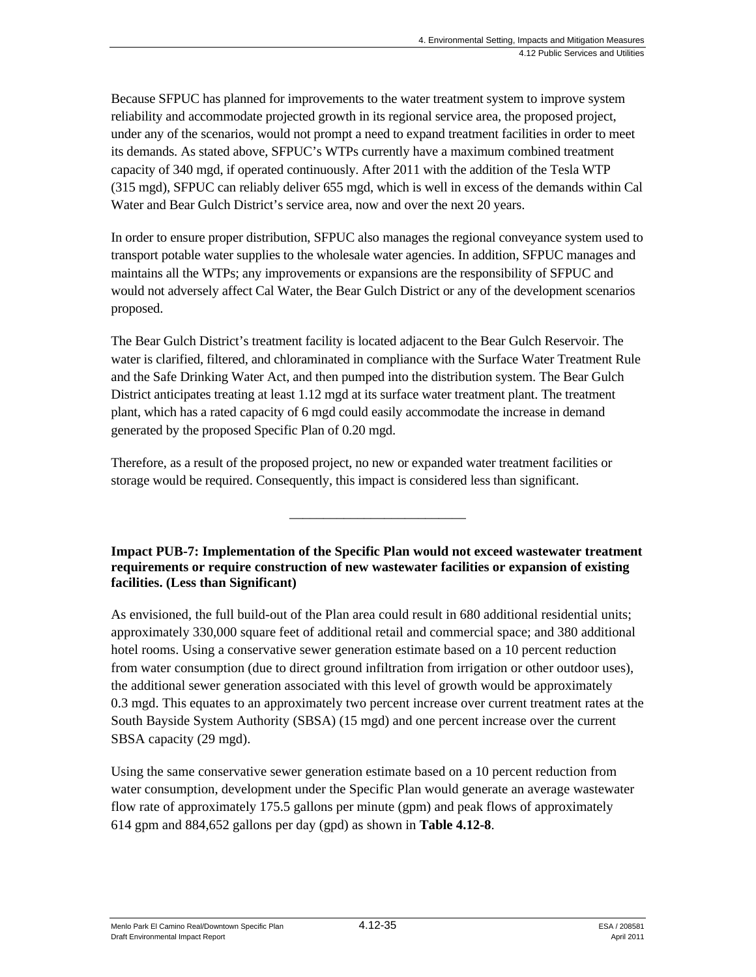Because SFPUC has planned for improvements to the water treatment system to improve system reliability and accommodate projected growth in its regional service area, the proposed project, under any of the scenarios, would not prompt a need to expand treatment facilities in order to meet its demands. As stated above, SFPUC's WTPs currently have a maximum combined treatment capacity of 340 mgd, if operated continuously. After 2011 with the addition of the Tesla WTP (315 mgd), SFPUC can reliably deliver 655 mgd, which is well in excess of the demands within Cal Water and Bear Gulch District's service area, now and over the next 20 years.

In order to ensure proper distribution, SFPUC also manages the regional conveyance system used to transport potable water supplies to the wholesale water agencies. In addition, SFPUC manages and maintains all the WTPs; any improvements or expansions are the responsibility of SFPUC and would not adversely affect Cal Water, the Bear Gulch District or any of the development scenarios proposed.

The Bear Gulch District's treatment facility is located adjacent to the Bear Gulch Reservoir. The water is clarified, filtered, and chloraminated in compliance with the Surface Water Treatment Rule and the Safe Drinking Water Act, and then pumped into the distribution system. The Bear Gulch District anticipates treating at least 1.12 mgd at its surface water treatment plant. The treatment plant, which has a rated capacity of 6 mgd could easily accommodate the increase in demand generated by the proposed Specific Plan of 0.20 mgd.

Therefore, as a result of the proposed project, no new or expanded water treatment facilities or storage would be required. Consequently, this impact is considered less than significant.

**Impact PUB-7: Implementation of the Specific Plan would not exceed wastewater treatment requirements or require construction of new wastewater facilities or expansion of existing facilities. (Less than Significant)** 

\_\_\_\_\_\_\_\_\_\_\_\_\_\_\_\_\_\_\_\_\_\_\_\_\_\_

As envisioned, the full build-out of the Plan area could result in 680 additional residential units; approximately 330,000 square feet of additional retail and commercial space; and 380 additional hotel rooms. Using a conservative sewer generation estimate based on a 10 percent reduction from water consumption (due to direct ground infiltration from irrigation or other outdoor uses), the additional sewer generation associated with this level of growth would be approximately 0.3 mgd. This equates to an approximately two percent increase over current treatment rates at the South Bayside System Authority (SBSA) (15 mgd) and one percent increase over the current SBSA capacity (29 mgd).

Using the same conservative sewer generation estimate based on a 10 percent reduction from water consumption, development under the Specific Plan would generate an average wastewater flow rate of approximately 175.5 gallons per minute (gpm) and peak flows of approximately 614 gpm and 884,652 gallons per day (gpd) as shown in **Table 4.12-8**.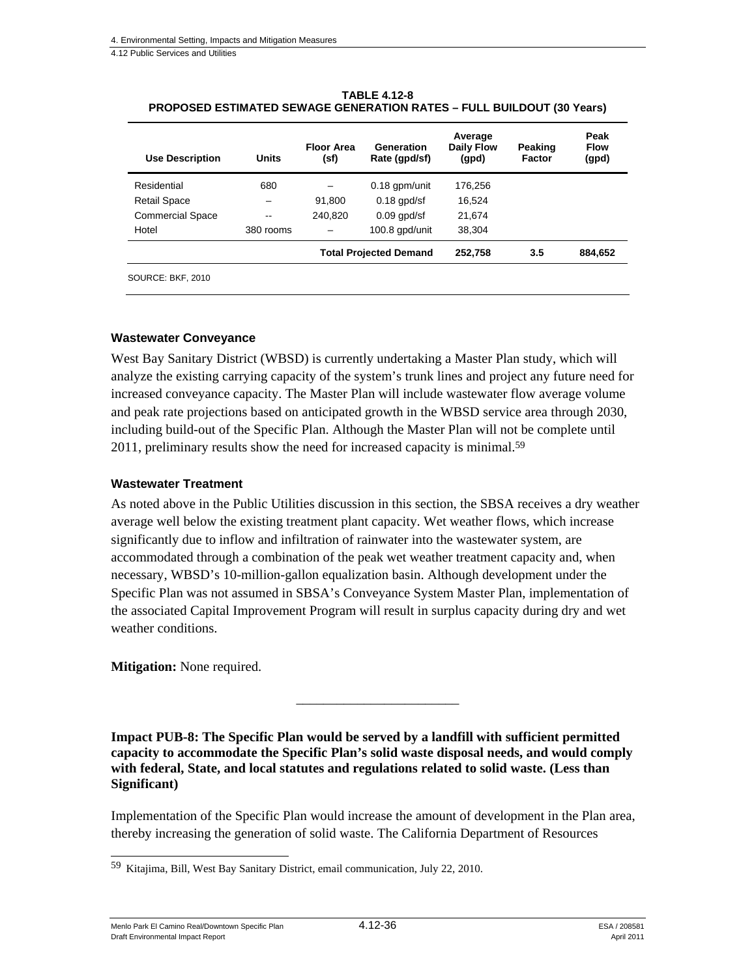| <b>Use Description</b>  | Units                    | <b>Floor Area</b><br>(sf) | Generation<br>Rate (gpd/sf)   | Average<br><b>Daily Flow</b><br>(gpd) | Peaking<br>Factor | Peak<br><b>Flow</b><br>(gpd) |
|-------------------------|--------------------------|---------------------------|-------------------------------|---------------------------------------|-------------------|------------------------------|
| Residential             | 680                      |                           | $0.18$ gpm/unit               | 176.256                               |                   |                              |
| <b>Retail Space</b>     |                          | 91,800                    | $0.18$ gpd/sf                 | 16,524                                |                   |                              |
| <b>Commercial Space</b> | $\overline{\phantom{m}}$ | 240,820                   | $0.09$ apd/sf                 | 21,674                                |                   |                              |
| Hotel                   | 380 rooms                | $\overline{\phantom{0}}$  | 100.8 gpd/unit                | 38,304                                |                   |                              |
|                         |                          |                           | <b>Total Projected Demand</b> | 252,758                               | 3.5               | 884,652                      |
| SOURCE: BKF, 2010       |                          |                           |                               |                                       |                   |                              |

**TABLE 4.12-8 PROPOSED ESTIMATED SEWAGE GENERATION RATES – FULL BUILDOUT (30 Years)** 

#### **Wastewater Conveyance**

West Bay Sanitary District (WBSD) is currently undertaking a Master Plan study, which will analyze the existing carrying capacity of the system's trunk lines and project any future need for increased conveyance capacity. The Master Plan will include wastewater flow average volume and peak rate projections based on anticipated growth in the WBSD service area through 2030, including build-out of the Specific Plan. Although the Master Plan will not be complete until 2011, preliminary results show the need for increased capacity is minimal.<sup>59</sup>

#### **Wastewater Treatment**

As noted above in the Public Utilities discussion in this section, the SBSA receives a dry weather average well below the existing treatment plant capacity. Wet weather flows, which increase significantly due to inflow and infiltration of rainwater into the wastewater system, are accommodated through a combination of the peak wet weather treatment capacity and, when necessary, WBSD's 10-million-gallon equalization basin. Although development under the Specific Plan was not assumed in SBSA's Conveyance System Master Plan, implementation of the associated Capital Improvement Program will result in surplus capacity during dry and wet weather conditions.

**Mitigation:** None required.

**Impact PUB-8: The Specific Plan would be served by a landfill with sufficient permitted capacity to accommodate the Specific Plan's solid waste disposal needs, and would comply with federal, State, and local statutes and regulations related to solid waste. (Less than Significant)** 

\_\_\_\_\_\_\_\_\_\_\_\_\_\_\_\_\_\_\_\_\_\_\_\_

Implementation of the Specific Plan would increase the amount of development in the Plan area, thereby increasing the generation of solid waste. The California Department of Resources

Menlo Park El Camino Real/Downtown Specific Plan  $4.12$ -36  $\qquad$   $\qquad$   $\qquad$   $\qquad$  ESA / 208581 Draft Environmental Impact Report April 2011

l 59 Kitajima, Bill, West Bay Sanitary District, email communication, July 22, 2010.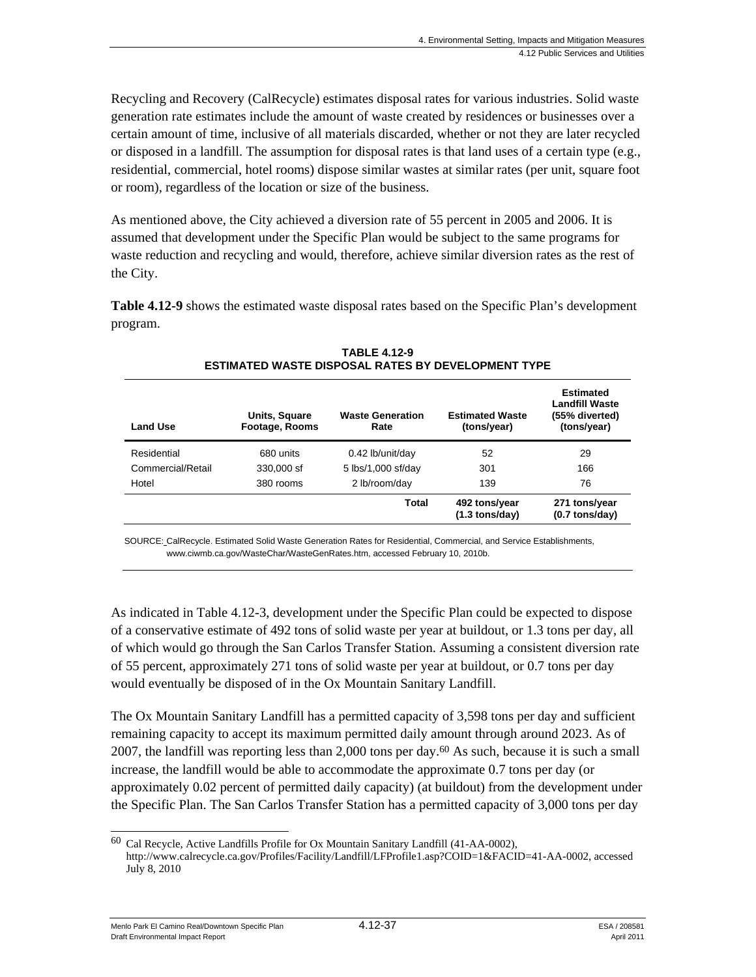Recycling and Recovery (CalRecycle) estimates disposal rates for various industries. Solid waste generation rate estimates include the amount of waste created by residences or businesses over a certain amount of time, inclusive of all materials discarded, whether or not they are later recycled or disposed in a landfill. The assumption for disposal rates is that land uses of a certain type (e.g., residential, commercial, hotel rooms) dispose similar wastes at similar rates (per unit, square foot or room), regardless of the location or size of the business.

As mentioned above, the City achieved a diversion rate of 55 percent in 2005 and 2006. It is assumed that development under the Specific Plan would be subject to the same programs for waste reduction and recycling and would, therefore, achieve similar diversion rates as the rest of the City.

**Table 4.12-9** shows the estimated waste disposal rates based on the Specific Plan's development program.

| <b>Land Use</b>   | Units, Square<br>Footage, Rooms | <b>Waste Generation</b><br>Rate | <b>Estimated Waste</b><br>(tons/year)     | Estimated<br><b>Landfill Waste</b><br>(55% diverted)<br>(tons/year) |
|-------------------|---------------------------------|---------------------------------|-------------------------------------------|---------------------------------------------------------------------|
| Residential       | 680 units                       | 0.42 lb/unit/day                | 52                                        | 29                                                                  |
| Commercial/Retail | 330,000 sf                      | 5 lbs/1,000 sf/day              | 301                                       | 166                                                                 |
| Hotel             | 380 rooms                       | 2 lb/room/day                   | 139                                       | 76                                                                  |
|                   |                                 | Total                           | 492 tons/year<br>$(1.3 \text{ tons/day})$ | 271 tons/year<br>$(0.7 \text{ tons/day})$                           |

**TABLE 4.12-9 ESTIMATED WASTE DISPOSAL RATES BY DEVELOPMENT TYPE** 

SOURCE: CalRecycle. Estimated Solid Waste Generation Rates for Residential, Commercial, and Service Establishments, www.ciwmb.ca.gov/WasteChar/WasteGenRates.htm, accessed February 10, 2010b.

As indicated in Table 4.12-3, development under the Specific Plan could be expected to dispose of a conservative estimate of 492 tons of solid waste per year at buildout, or 1.3 tons per day, all of which would go through the San Carlos Transfer Station. Assuming a consistent diversion rate of 55 percent, approximately 271 tons of solid waste per year at buildout, or 0.7 tons per day would eventually be disposed of in the Ox Mountain Sanitary Landfill.

The Ox Mountain Sanitary Landfill has a permitted capacity of 3,598 tons per day and sufficient remaining capacity to accept its maximum permitted daily amount through around 2023. As of 2007, the landfill was reporting less than 2,000 tons per day.60 As such, because it is such a small increase, the landfill would be able to accommodate the approximate 0.7 tons per day (or approximately 0.02 percent of permitted daily capacity) (at buildout) from the development under the Specific Plan. The San Carlos Transfer Station has a permitted capacity of 3,000 tons per day

Menlo Park El Camino Real/Downtown Specific Plan  $4.12$ -37  $\qquad$   $\qquad$   $\qquad$   $\qquad$  ESA / 208581 Draft Environmental Impact Report April 2011

 $\overline{a}$ 60 Cal Recycle, Active Landfills Profile for Ox Mountain Sanitary Landfill (41-AA-0002), http://www.calrecycle.ca.gov/Profiles/Facility/Landfill/LFProfile1.asp?COID=1&FACID=41-AA-0002, accessed July 8, 2010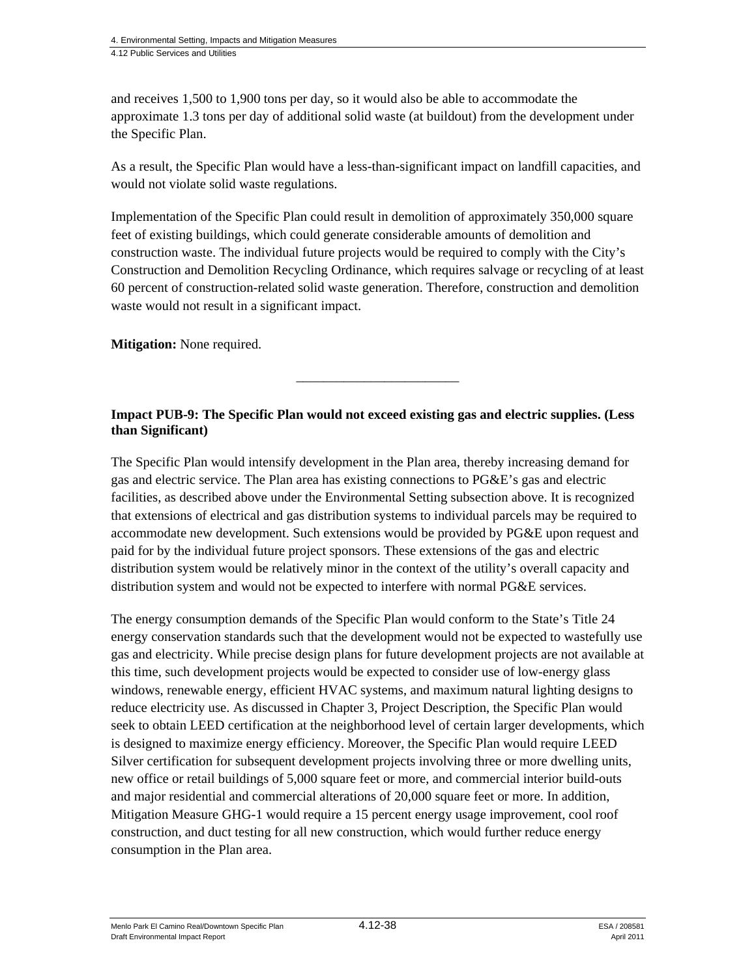and receives 1,500 to 1,900 tons per day, so it would also be able to accommodate the approximate 1.3 tons per day of additional solid waste (at buildout) from the development under the Specific Plan.

As a result, the Specific Plan would have a less-than-significant impact on landfill capacities, and would not violate solid waste regulations.

Implementation of the Specific Plan could result in demolition of approximately 350,000 square feet of existing buildings, which could generate considerable amounts of demolition and construction waste. The individual future projects would be required to comply with the City's Construction and Demolition Recycling Ordinance, which requires salvage or recycling of at least 60 percent of construction-related solid waste generation. Therefore, construction and demolition waste would not result in a significant impact.

**Mitigation:** None required.

## **Impact PUB-9: The Specific Plan would not exceed existing gas and electric supplies. (Less than Significant)**

\_\_\_\_\_\_\_\_\_\_\_\_\_\_\_\_\_\_\_\_\_\_\_\_

The Specific Plan would intensify development in the Plan area, thereby increasing demand for gas and electric service. The Plan area has existing connections to PG&E's gas and electric facilities, as described above under the Environmental Setting subsection above. It is recognized that extensions of electrical and gas distribution systems to individual parcels may be required to accommodate new development. Such extensions would be provided by PG&E upon request and paid for by the individual future project sponsors. These extensions of the gas and electric distribution system would be relatively minor in the context of the utility's overall capacity and distribution system and would not be expected to interfere with normal PG&E services.

The energy consumption demands of the Specific Plan would conform to the State's Title 24 energy conservation standards such that the development would not be expected to wastefully use gas and electricity. While precise design plans for future development projects are not available at this time, such development projects would be expected to consider use of low-energy glass windows, renewable energy, efficient HVAC systems, and maximum natural lighting designs to reduce electricity use. As discussed in Chapter 3, Project Description, the Specific Plan would seek to obtain LEED certification at the neighborhood level of certain larger developments, which is designed to maximize energy efficiency. Moreover, the Specific Plan would require LEED Silver certification for subsequent development projects involving three or more dwelling units, new office or retail buildings of 5,000 square feet or more, and commercial interior build-outs and major residential and commercial alterations of 20,000 square feet or more. In addition, Mitigation Measure GHG-1 would require a 15 percent energy usage improvement, cool roof construction, and duct testing for all new construction, which would further reduce energy consumption in the Plan area.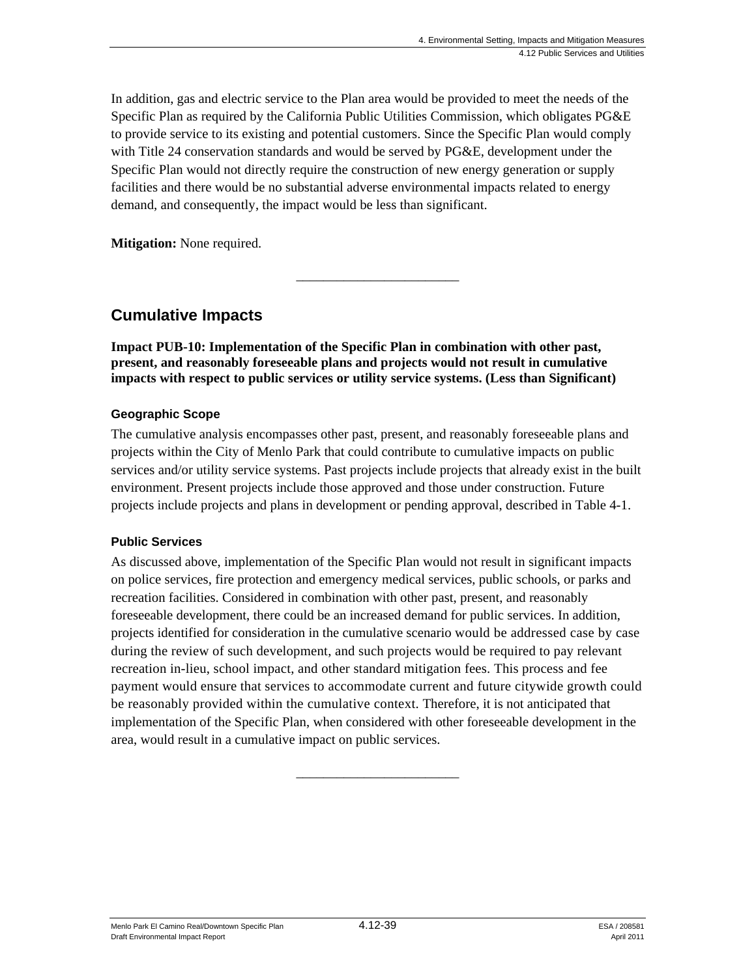In addition, gas and electric service to the Plan area would be provided to meet the needs of the Specific Plan as required by the California Public Utilities Commission, which obligates PG&E to provide service to its existing and potential customers. Since the Specific Plan would comply with Title 24 conservation standards and would be served by PG&E, development under the Specific Plan would not directly require the construction of new energy generation or supply facilities and there would be no substantial adverse environmental impacts related to energy demand, and consequently, the impact would be less than significant.

\_\_\_\_\_\_\_\_\_\_\_\_\_\_\_\_\_\_\_\_\_\_\_\_

**Mitigation:** None required.

# **Cumulative Impacts**

**Impact PUB-10: Implementation of the Specific Plan in combination with other past, present, and reasonably foreseeable plans and projects would not result in cumulative impacts with respect to public services or utility service systems. (Less than Significant)** 

## **Geographic Scope**

The cumulative analysis encompasses other past, present, and reasonably foreseeable plans and projects within the City of Menlo Park that could contribute to cumulative impacts on public services and/or utility service systems. Past projects include projects that already exist in the built environment. Present projects include those approved and those under construction. Future projects include projects and plans in development or pending approval, described in Table 4-1.

#### **Public Services**

As discussed above, implementation of the Specific Plan would not result in significant impacts on police services, fire protection and emergency medical services, public schools, or parks and recreation facilities. Considered in combination with other past, present, and reasonably foreseeable development, there could be an increased demand for public services. In addition, projects identified for consideration in the cumulative scenario would be addressed case by case during the review of such development, and such projects would be required to pay relevant recreation in-lieu, school impact, and other standard mitigation fees. This process and fee payment would ensure that services to accommodate current and future citywide growth could be reasonably provided within the cumulative context. Therefore, it is not anticipated that implementation of the Specific Plan, when considered with other foreseeable development in the area, would result in a cumulative impact on public services.

\_\_\_\_\_\_\_\_\_\_\_\_\_\_\_\_\_\_\_\_\_\_\_\_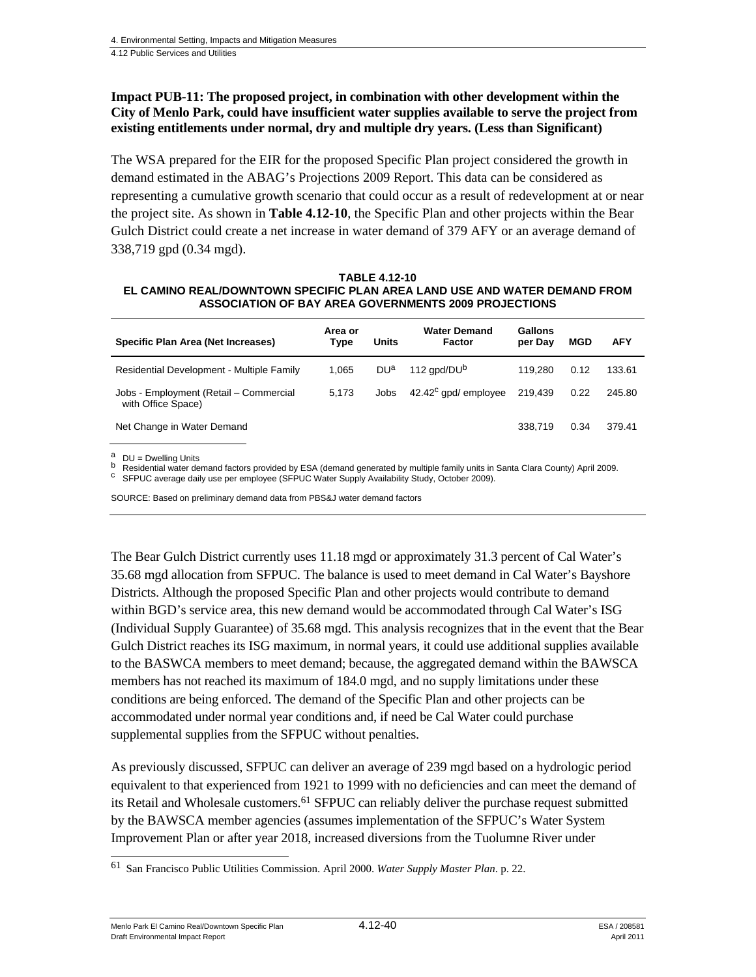#### **Impact PUB-11: The proposed project, in combination with other development within the City of Menlo Park, could have insufficient water supplies available to serve the project from existing entitlements under normal, dry and multiple dry years. (Less than Significant)**

The WSA prepared for the EIR for the proposed Specific Plan project considered the growth in demand estimated in the ABAG's Projections 2009 Report. This data can be considered as representing a cumulative growth scenario that could occur as a result of redevelopment at or near the project site. As shown in **Table 4.12-10**, the Specific Plan and other projects within the Bear Gulch District could create a net increase in water demand of 379 AFY or an average demand of 338,719 gpd (0.34 mgd).

#### **TABLE 4.12-10 EL CAMINO REAL/DOWNTOWN SPECIFIC PLAN AREA LAND USE AND WATER DEMAND FROM ASSOCIATION OF BAY AREA GOVERNMENTS 2009 PROJECTIONS**

| Specific Plan Area (Net Increases)                           | Area or<br>Type | Units           | <b>Water Demand</b><br>Factor | Gallons<br>per Day | <b>MGD</b> | <b>AFY</b> |
|--------------------------------------------------------------|-----------------|-----------------|-------------------------------|--------------------|------------|------------|
| Residential Development - Multiple Family                    | 1.065           | DU <sup>a</sup> | 112 apd/DU <sup>b</sup>       | 119.280            | 0.12       | 133.61     |
| Jobs - Employment (Retail - Commercial<br>with Office Space) | 5.173           | Jobs            | $42.42^c$ gpd/ employee       | 219.439            | 0.22       | 245.80     |
| Net Change in Water Demand                                   |                 |                 |                               | 338.719            | 0.34       | 379.41     |
|                                                              |                 |                 |                               |                    |            |            |

 $\overset{a}{\phantom{a}}$  DU = Dwelling Units

<sup>b</sup> Residential water demand factors provided by ESA (demand generated by multiple family units in Santa Clara County) April 2009.<br><sup>C</sup> SFPUC average daily use per employee (SFPUC Water Supply Availability Study, October 20

SOURCE: Based on preliminary demand data from PBS&J water demand factors

The Bear Gulch District currently uses 11.18 mgd or approximately 31.3 percent of Cal Water's 35.68 mgd allocation from SFPUC. The balance is used to meet demand in Cal Water's Bayshore Districts. Although the proposed Specific Plan and other projects would contribute to demand within BGD's service area, this new demand would be accommodated through Cal Water's ISG (Individual Supply Guarantee) of 35.68 mgd. This analysis recognizes that in the event that the Bear Gulch District reaches its ISG maximum, in normal years, it could use additional supplies available to the BASWCA members to meet demand; because, the aggregated demand within the BAWSCA members has not reached its maximum of 184.0 mgd, and no supply limitations under these conditions are being enforced. The demand of the Specific Plan and other projects can be accommodated under normal year conditions and, if need be Cal Water could purchase supplemental supplies from the SFPUC without penalties.

As previously discussed, SFPUC can deliver an average of 239 mgd based on a hydrologic period equivalent to that experienced from 1921 to 1999 with no deficiencies and can meet the demand of its Retail and Wholesale customers.<sup>61</sup> SFPUC can reliably deliver the purchase request submitted by the BAWSCA member agencies (assumes implementation of the SFPUC's Water System Improvement Plan or after year 2018, increased diversions from the Tuolumne River under

Menlo Park El Camino Real/Downtown Specific Plan  $4.12 - 40$  ESA / 208581 Draft Environmental Impact Report April 2011

l 61 San Francisco Public Utilities Commission. April 2000. *Water Supply Master Plan*. p. 22.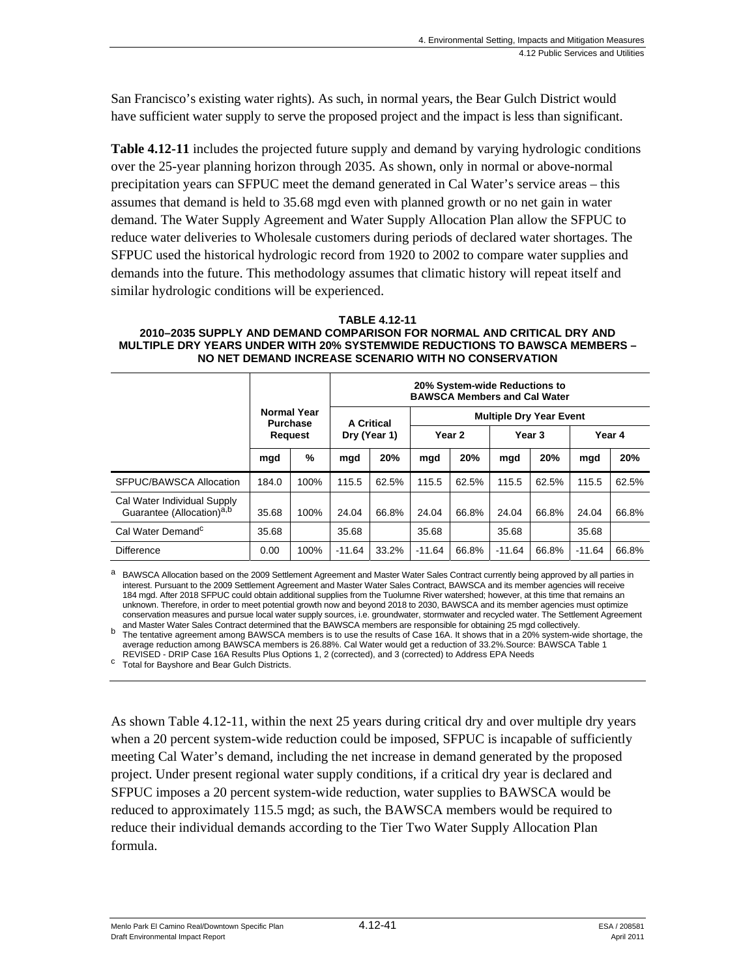San Francisco's existing water rights). As such, in normal years, the Bear Gulch District would have sufficient water supply to serve the proposed project and the impact is less than significant.

**Table 4.12-11** includes the projected future supply and demand by varying hydrologic conditions over the 25-year planning horizon through 2035. As shown, only in normal or above-normal precipitation years can SFPUC meet the demand generated in Cal Water's service areas – this assumes that demand is held to 35.68 mgd even with planned growth or no net gain in water demand. The Water Supply Agreement and Water Supply Allocation Plan allow the SFPUC to reduce water deliveries to Wholesale customers during periods of declared water shortages. The SFPUC used the historical hydrologic record from 1920 to 2002 to compare water supplies and demands into the future. This methodology assumes that climatic history will repeat itself and similar hydrologic conditions will be experienced.

#### **TABLE 4.12-11**

#### **2010–2035 SUPPLY AND DEMAND COMPARISON FOR NORMAL AND CRITICAL DRY AND MULTIPLE DRY YEARS UNDER WITH 20% SYSTEMWIDE REDUCTIONS TO BAWSCA MEMBERS – NO NET DEMAND INCREASE SCENARIO WITH NO CONSERVATION**

|                                                                      |                                                         |      | 20% System-wide Reductions to<br><b>BAWSCA Members and Cal Water</b> |       |                                |       |                   |       |          |       |
|----------------------------------------------------------------------|---------------------------------------------------------|------|----------------------------------------------------------------------|-------|--------------------------------|-------|-------------------|-------|----------|-------|
|                                                                      | <b>Normal Year</b><br><b>Purchase</b><br><b>Request</b> |      | <b>A Critical</b><br>Dry (Year 1)                                    |       | <b>Multiple Dry Year Event</b> |       |                   |       |          |       |
|                                                                      |                                                         |      |                                                                      |       | Year <sub>2</sub>              |       | Year <sub>3</sub> |       | Year 4   |       |
|                                                                      | mgd                                                     | %    | mgd                                                                  | 20%   | mgd                            | 20%   | mgd               | 20%   | mgd      | 20%   |
| SFPUC/BAWSCA Allocation                                              | 184.0                                                   | 100% | 115.5                                                                | 62.5% | 115.5                          | 62.5% | 115.5             | 62.5% | 115.5    | 62.5% |
| Cal Water Individual Supply<br>Guarantee (Allocation) <sup>a,b</sup> | 35.68                                                   | 100% | 24.04                                                                | 66.8% | 24.04                          | 66.8% | 24.04             | 66.8% | 24.04    | 66.8% |
| Cal Water Demand <sup>c</sup>                                        | 35.68                                                   |      | 35.68                                                                |       | 35.68                          |       | 35.68             |       | 35.68    |       |
| <b>Difference</b>                                                    | 0.00                                                    | 100% | $-11.64$                                                             | 33.2% | $-11.64$                       | 66.8% | $-11.64$          | 66.8% | $-11.64$ | 66.8% |

BAWSCA Allocation based on the 2009 Settlement Agreement and Master Water Sales Contract currently being approved by all parties in interest. Pursuant to the 2009 Settlement Agreement and Master Water Sales Contract, BAWSCA and its member agencies will receive 184 mgd. After 2018 SFPUC could obtain additional supplies from the Tuolumne River watershed; however, at this time that remains an unknown. Therefore, in order to meet potential growth now and beyond 2018 to 2030, BAWSCA and its member agencies must optimize conservation measures and pursue local water supply sources, i.e. groundwater, stormwater and recycled water. The Settlement Agreement and Master Water Sales Contract determined that the BAWSCA members are responsible for

The tentative agreement among BAWSCA members is to use the results of Case 16A. It shows that in a 20% system-wide shortage, the average reduction among BAWSCA members is 26.88%. Cal Water would get a reduction of 33.2%.Source: BAWSCA Table 1 REVISED - DRIP Case 16A Results Plus Options 1, 2 (corrected), and 3 (corrected) to Address EPA Needs <sup>c</sup> Total for Bayshore and Bear Gulch Districts.

As shown Table 4.12-11, within the next 25 years during critical dry and over multiple dry years when a 20 percent system-wide reduction could be imposed, SFPUC is incapable of sufficiently meeting Cal Water's demand, including the net increase in demand generated by the proposed project. Under present regional water supply conditions, if a critical dry year is declared and SFPUC imposes a 20 percent system-wide reduction, water supplies to BAWSCA would be reduced to approximately 115.5 mgd; as such, the BAWSCA members would be required to reduce their individual demands according to the Tier Two Water Supply Allocation Plan formula.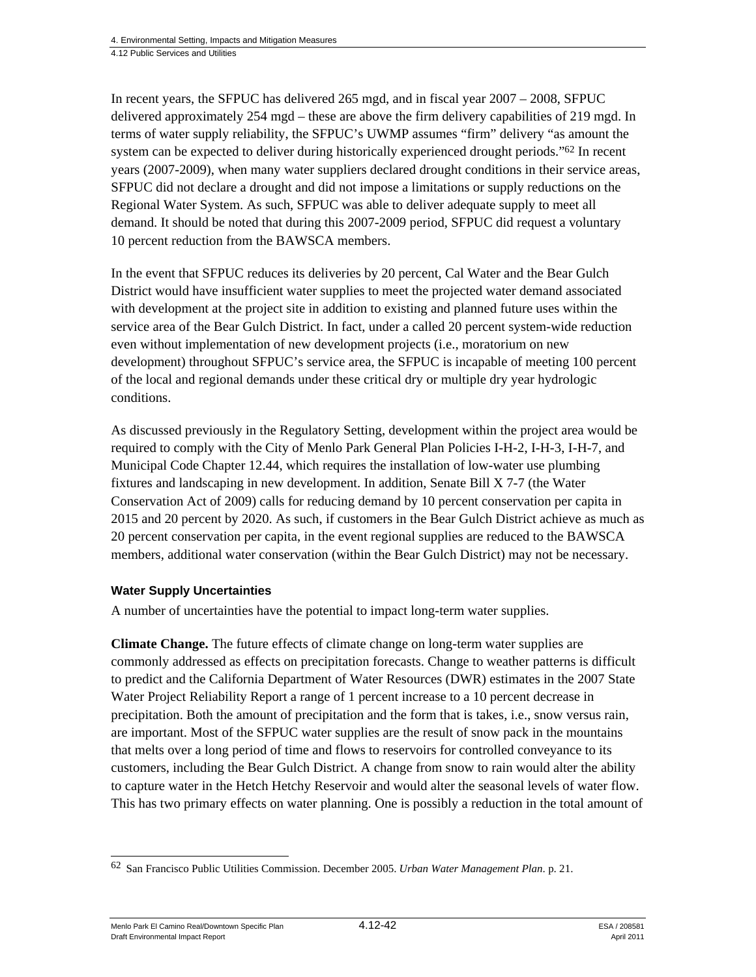In recent years, the SFPUC has delivered 265 mgd, and in fiscal year 2007 – 2008, SFPUC delivered approximately 254 mgd – these are above the firm delivery capabilities of 219 mgd. In terms of water supply reliability, the SFPUC's UWMP assumes "firm" delivery "as amount the system can be expected to deliver during historically experienced drought periods."<sup>62</sup> In recent years (2007-2009), when many water suppliers declared drought conditions in their service areas, SFPUC did not declare a drought and did not impose a limitations or supply reductions on the Regional Water System. As such, SFPUC was able to deliver adequate supply to meet all demand. It should be noted that during this 2007-2009 period, SFPUC did request a voluntary 10 percent reduction from the BAWSCA members.

In the event that SFPUC reduces its deliveries by 20 percent, Cal Water and the Bear Gulch District would have insufficient water supplies to meet the projected water demand associated with development at the project site in addition to existing and planned future uses within the service area of the Bear Gulch District. In fact, under a called 20 percent system-wide reduction even without implementation of new development projects (i.e., moratorium on new development) throughout SFPUC's service area, the SFPUC is incapable of meeting 100 percent of the local and regional demands under these critical dry or multiple dry year hydrologic conditions.

As discussed previously in the Regulatory Setting, development within the project area would be required to comply with the City of Menlo Park General Plan Policies I-H-2, I-H-3, I-H-7, and Municipal Code Chapter 12.44, which requires the installation of low-water use plumbing fixtures and landscaping in new development. In addition, Senate Bill X 7-7 (the Water Conservation Act of 2009) calls for reducing demand by 10 percent conservation per capita in 2015 and 20 percent by 2020. As such, if customers in the Bear Gulch District achieve as much as 20 percent conservation per capita, in the event regional supplies are reduced to the BAWSCA members, additional water conservation (within the Bear Gulch District) may not be necessary.

#### **Water Supply Uncertainties**

A number of uncertainties have the potential to impact long-term water supplies.

**Climate Change.** The future effects of climate change on long-term water supplies are commonly addressed as effects on precipitation forecasts. Change to weather patterns is difficult to predict and the California Department of Water Resources (DWR) estimates in the 2007 State Water Project Reliability Report a range of 1 percent increase to a 10 percent decrease in precipitation. Both the amount of precipitation and the form that is takes, i.e., snow versus rain, are important. Most of the SFPUC water supplies are the result of snow pack in the mountains that melts over a long period of time and flows to reservoirs for controlled conveyance to its customers, including the Bear Gulch District. A change from snow to rain would alter the ability to capture water in the Hetch Hetchy Reservoir and would alter the seasonal levels of water flow. This has two primary effects on water planning. One is possibly a reduction in the total amount of

Menlo Park El Camino Real/Downtown Specific Plan  $4.12 - 42$  ESA / 208581 Draft Environmental Impact Report April 2011

1

<sup>62</sup> San Francisco Public Utilities Commission. December 2005. *Urban Water Management Plan*. p. 21.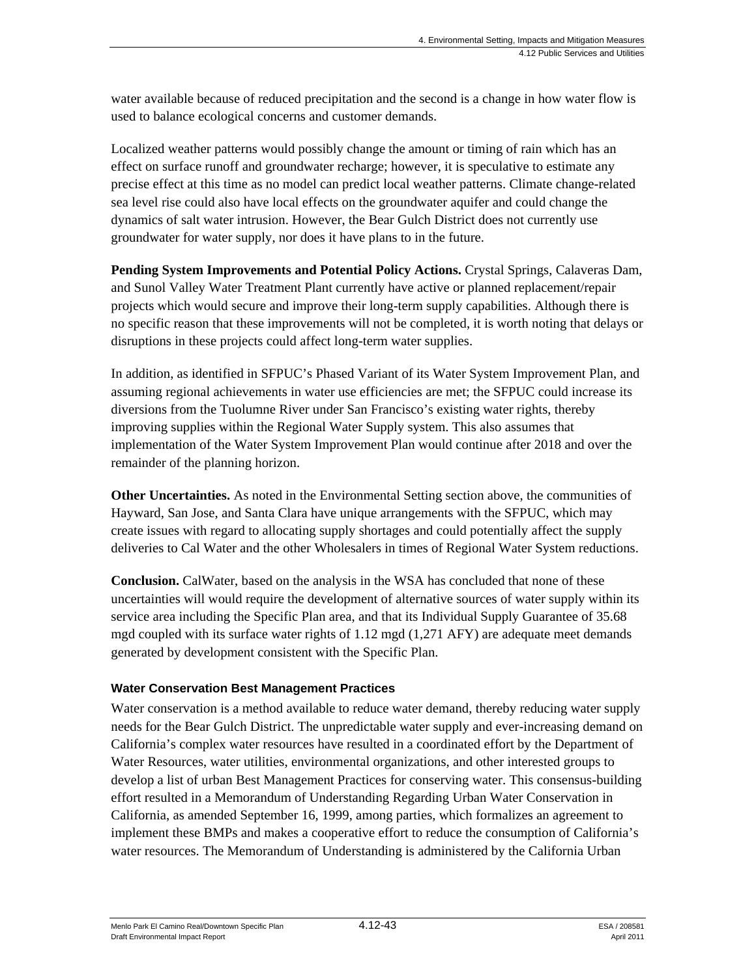water available because of reduced precipitation and the second is a change in how water flow is used to balance ecological concerns and customer demands.

Localized weather patterns would possibly change the amount or timing of rain which has an effect on surface runoff and groundwater recharge; however, it is speculative to estimate any precise effect at this time as no model can predict local weather patterns. Climate change-related sea level rise could also have local effects on the groundwater aquifer and could change the dynamics of salt water intrusion. However, the Bear Gulch District does not currently use groundwater for water supply, nor does it have plans to in the future.

**Pending System Improvements and Potential Policy Actions.** Crystal Springs, Calaveras Dam, and Sunol Valley Water Treatment Plant currently have active or planned replacement/repair projects which would secure and improve their long-term supply capabilities. Although there is no specific reason that these improvements will not be completed, it is worth noting that delays or disruptions in these projects could affect long-term water supplies.

In addition, as identified in SFPUC's Phased Variant of its Water System Improvement Plan, and assuming regional achievements in water use efficiencies are met; the SFPUC could increase its diversions from the Tuolumne River under San Francisco's existing water rights, thereby improving supplies within the Regional Water Supply system. This also assumes that implementation of the Water System Improvement Plan would continue after 2018 and over the remainder of the planning horizon.

**Other Uncertainties.** As noted in the Environmental Setting section above, the communities of Hayward, San Jose, and Santa Clara have unique arrangements with the SFPUC, which may create issues with regard to allocating supply shortages and could potentially affect the supply deliveries to Cal Water and the other Wholesalers in times of Regional Water System reductions.

**Conclusion.** CalWater, based on the analysis in the WSA has concluded that none of these uncertainties will would require the development of alternative sources of water supply within its service area including the Specific Plan area, and that its Individual Supply Guarantee of 35.68 mgd coupled with its surface water rights of 1.12 mgd (1,271 AFY) are adequate meet demands generated by development consistent with the Specific Plan.

# **Water Conservation Best Management Practices**

Water conservation is a method available to reduce water demand, thereby reducing water supply needs for the Bear Gulch District. The unpredictable water supply and ever-increasing demand on California's complex water resources have resulted in a coordinated effort by the Department of Water Resources, water utilities, environmental organizations, and other interested groups to develop a list of urban Best Management Practices for conserving water. This consensus-building effort resulted in a Memorandum of Understanding Regarding Urban Water Conservation in California, as amended September 16, 1999, among parties, which formalizes an agreement to implement these BMPs and makes a cooperative effort to reduce the consumption of California's water resources. The Memorandum of Understanding is administered by the California Urban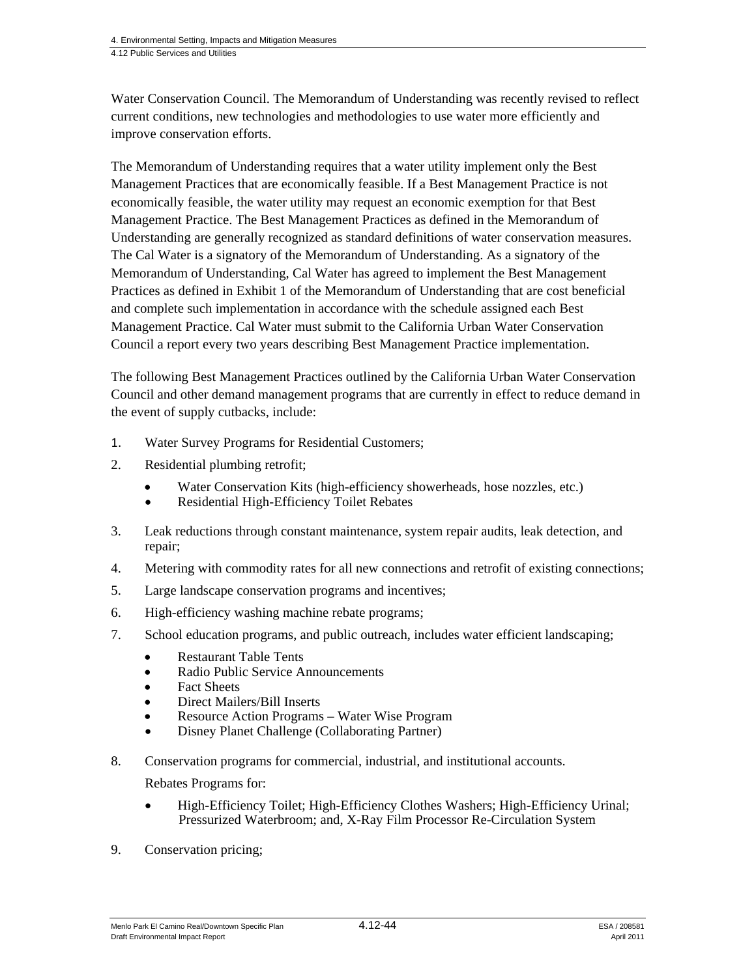Water Conservation Council. The Memorandum of Understanding was recently revised to reflect current conditions, new technologies and methodologies to use water more efficiently and improve conservation efforts.

The Memorandum of Understanding requires that a water utility implement only the Best Management Practices that are economically feasible. If a Best Management Practice is not economically feasible, the water utility may request an economic exemption for that Best Management Practice. The Best Management Practices as defined in the Memorandum of Understanding are generally recognized as standard definitions of water conservation measures. The Cal Water is a signatory of the Memorandum of Understanding. As a signatory of the Memorandum of Understanding, Cal Water has agreed to implement the Best Management Practices as defined in Exhibit 1 of the Memorandum of Understanding that are cost beneficial and complete such implementation in accordance with the schedule assigned each Best Management Practice. Cal Water must submit to the California Urban Water Conservation Council a report every two years describing Best Management Practice implementation.

The following Best Management Practices outlined by the California Urban Water Conservation Council and other demand management programs that are currently in effect to reduce demand in the event of supply cutbacks, include:

- 1. Water Survey Programs for Residential Customers;
- 2. Residential plumbing retrofit;
	- Water Conservation Kits (high-efficiency showerheads, hose nozzles, etc.)
	- Residential High-Efficiency Toilet Rebates
- 3. Leak reductions through constant maintenance, system repair audits, leak detection, and repair;
- 4. Metering with commodity rates for all new connections and retrofit of existing connections;
- 5. Large landscape conservation programs and incentives;
- 6. High-efficiency washing machine rebate programs;
- 7. School education programs, and public outreach, includes water efficient landscaping;
	- Restaurant Table Tents
	- Radio Public Service Announcements
	- Fact Sheets
	- Direct Mailers/Bill Inserts
	- Resource Action Programs Water Wise Program
	- Disney Planet Challenge (Collaborating Partner)
- 8. Conservation programs for commercial, industrial, and institutional accounts.

Rebates Programs for:

- High-Efficiency Toilet; High-Efficiency Clothes Washers; High-Efficiency Urinal; Pressurized Waterbroom; and, X-Ray Film Processor Re-Circulation System
- 9. Conservation pricing;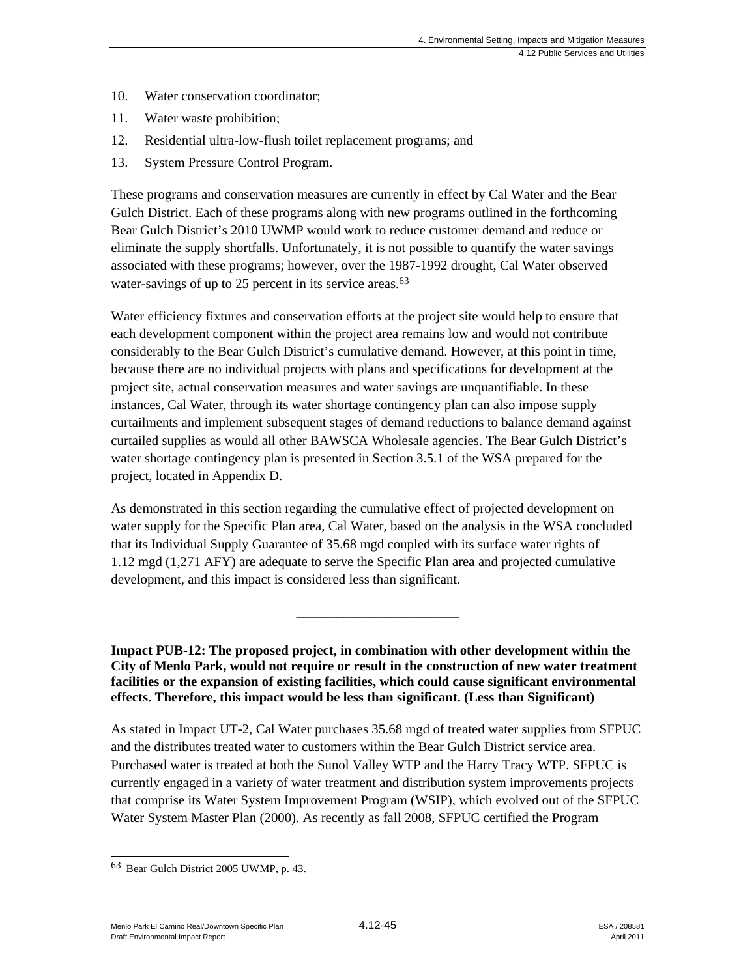- 10. Water conservation coordinator;
- 11. Water waste prohibition;
- 12. Residential ultra-low-flush toilet replacement programs; and
- 13. System Pressure Control Program.

These programs and conservation measures are currently in effect by Cal Water and the Bear Gulch District. Each of these programs along with new programs outlined in the forthcoming Bear Gulch District's 2010 UWMP would work to reduce customer demand and reduce or eliminate the supply shortfalls. Unfortunately, it is not possible to quantify the water savings associated with these programs; however, over the 1987-1992 drought, Cal Water observed water-savings of up to 25 percent in its service areas.<sup>63</sup>

Water efficiency fixtures and conservation efforts at the project site would help to ensure that each development component within the project area remains low and would not contribute considerably to the Bear Gulch District's cumulative demand. However, at this point in time, because there are no individual projects with plans and specifications for development at the project site, actual conservation measures and water savings are unquantifiable. In these instances, Cal Water, through its water shortage contingency plan can also impose supply curtailments and implement subsequent stages of demand reductions to balance demand against curtailed supplies as would all other BAWSCA Wholesale agencies. The Bear Gulch District's water shortage contingency plan is presented in Section 3.5.1 of the WSA prepared for the project, located in Appendix D.

As demonstrated in this section regarding the cumulative effect of projected development on water supply for the Specific Plan area, Cal Water, based on the analysis in the WSA concluded that its Individual Supply Guarantee of 35.68 mgd coupled with its surface water rights of 1.12 mgd (1,271 AFY) are adequate to serve the Specific Plan area and projected cumulative development, and this impact is considered less than significant.

**Impact PUB-12: The proposed project, in combination with other development within the City of Menlo Park, would not require or result in the construction of new water treatment facilities or the expansion of existing facilities, which could cause significant environmental effects. Therefore, this impact would be less than significant. (Less than Significant)** 

\_\_\_\_\_\_\_\_\_\_\_\_\_\_\_\_\_\_\_\_\_\_\_\_

As stated in Impact UT-2, Cal Water purchases 35.68 mgd of treated water supplies from SFPUC and the distributes treated water to customers within the Bear Gulch District service area. Purchased water is treated at both the Sunol Valley WTP and the Harry Tracy WTP. SFPUC is currently engaged in a variety of water treatment and distribution system improvements projects that comprise its Water System Improvement Program (WSIP), which evolved out of the SFPUC Water System Master Plan (2000). As recently as fall 2008, SFPUC certified the Program

Menlo Park El Camino Real/Downtown Specific Plan  $4.12 - 45$  ESA / 208581 Draft Environmental Impact Report April 2011

l 63 Bear Gulch District 2005 UWMP, p. 43.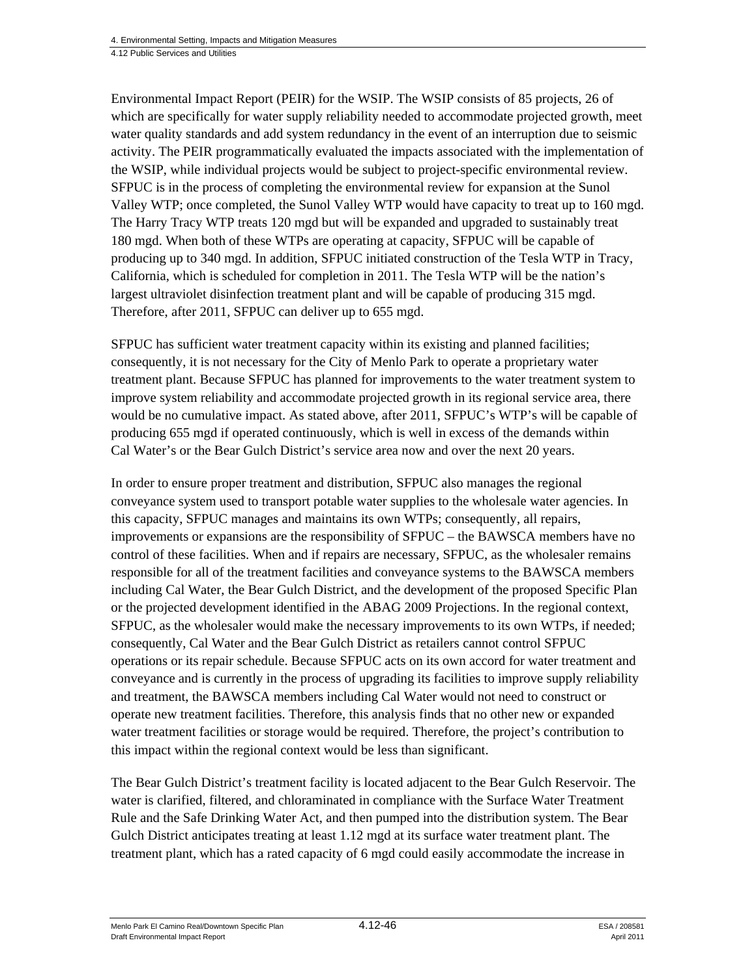Environmental Impact Report (PEIR) for the WSIP. The WSIP consists of 85 projects, 26 of which are specifically for water supply reliability needed to accommodate projected growth, meet water quality standards and add system redundancy in the event of an interruption due to seismic activity. The PEIR programmatically evaluated the impacts associated with the implementation of the WSIP, while individual projects would be subject to project-specific environmental review. SFPUC is in the process of completing the environmental review for expansion at the Sunol Valley WTP; once completed, the Sunol Valley WTP would have capacity to treat up to 160 mgd. The Harry Tracy WTP treats 120 mgd but will be expanded and upgraded to sustainably treat 180 mgd. When both of these WTPs are operating at capacity, SFPUC will be capable of producing up to 340 mgd. In addition, SFPUC initiated construction of the Tesla WTP in Tracy, California, which is scheduled for completion in 2011. The Tesla WTP will be the nation's largest ultraviolet disinfection treatment plant and will be capable of producing 315 mgd. Therefore, after 2011, SFPUC can deliver up to 655 mgd.

SFPUC has sufficient water treatment capacity within its existing and planned facilities; consequently, it is not necessary for the City of Menlo Park to operate a proprietary water treatment plant. Because SFPUC has planned for improvements to the water treatment system to improve system reliability and accommodate projected growth in its regional service area, there would be no cumulative impact. As stated above, after 2011, SFPUC's WTP's will be capable of producing 655 mgd if operated continuously, which is well in excess of the demands within Cal Water's or the Bear Gulch District's service area now and over the next 20 years.

In order to ensure proper treatment and distribution, SFPUC also manages the regional conveyance system used to transport potable water supplies to the wholesale water agencies. In this capacity, SFPUC manages and maintains its own WTPs; consequently, all repairs, improvements or expansions are the responsibility of SFPUC – the BAWSCA members have no control of these facilities. When and if repairs are necessary, SFPUC, as the wholesaler remains responsible for all of the treatment facilities and conveyance systems to the BAWSCA members including Cal Water, the Bear Gulch District, and the development of the proposed Specific Plan or the projected development identified in the ABAG 2009 Projections. In the regional context, SFPUC, as the wholesaler would make the necessary improvements to its own WTPs, if needed; consequently, Cal Water and the Bear Gulch District as retailers cannot control SFPUC operations or its repair schedule. Because SFPUC acts on its own accord for water treatment and conveyance and is currently in the process of upgrading its facilities to improve supply reliability and treatment, the BAWSCA members including Cal Water would not need to construct or operate new treatment facilities. Therefore, this analysis finds that no other new or expanded water treatment facilities or storage would be required. Therefore, the project's contribution to this impact within the regional context would be less than significant.

The Bear Gulch District's treatment facility is located adjacent to the Bear Gulch Reservoir. The water is clarified, filtered, and chloraminated in compliance with the Surface Water Treatment Rule and the Safe Drinking Water Act, and then pumped into the distribution system. The Bear Gulch District anticipates treating at least 1.12 mgd at its surface water treatment plant. The treatment plant, which has a rated capacity of 6 mgd could easily accommodate the increase in